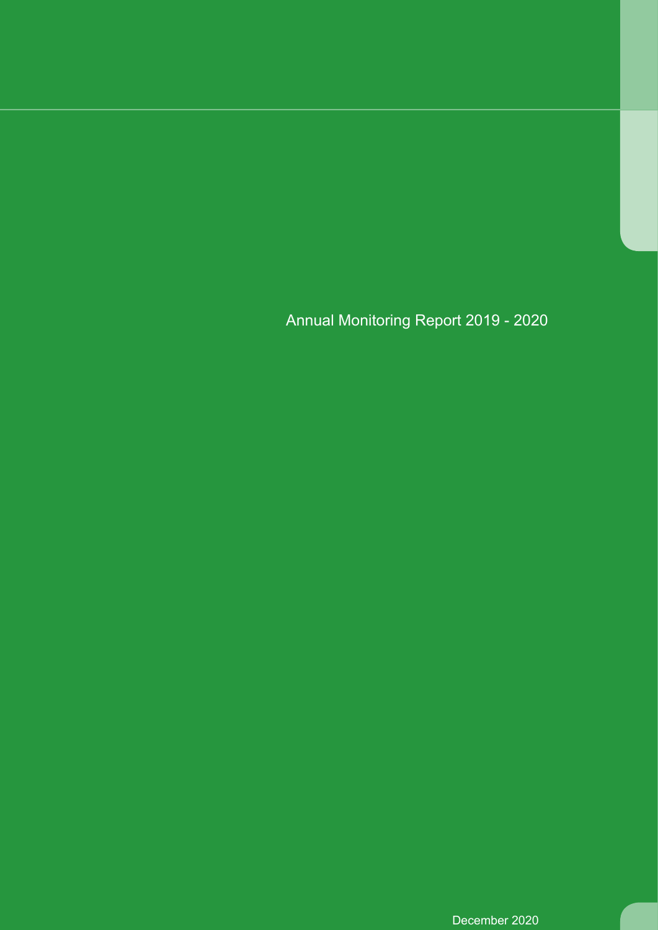December 2020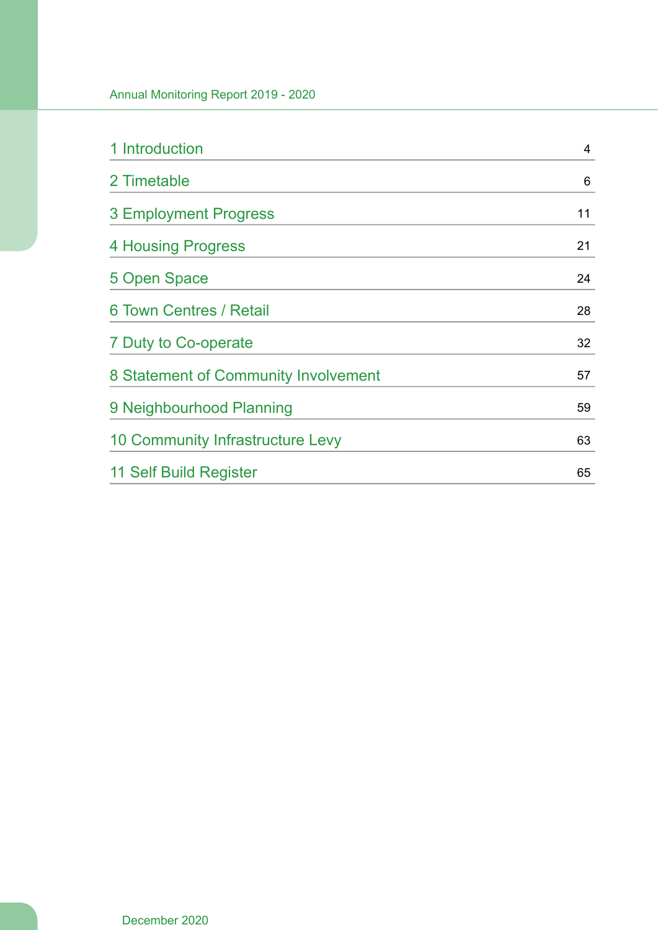| 1 Introduction                          | 4  |
|-----------------------------------------|----|
| 2 Timetable                             | 6  |
| 3 Employment Progress                   | 11 |
| 4 Housing Progress                      | 21 |
| 5 Open Space                            | 24 |
| 6 Town Centres / Retail                 | 28 |
| 7 Duty to Co-operate                    | 32 |
| 8 Statement of Community Involvement    | 57 |
| 9 Neighbourhood Planning                | 59 |
| <b>10 Community Infrastructure Levy</b> | 63 |
| 11 Self Build Register                  | 65 |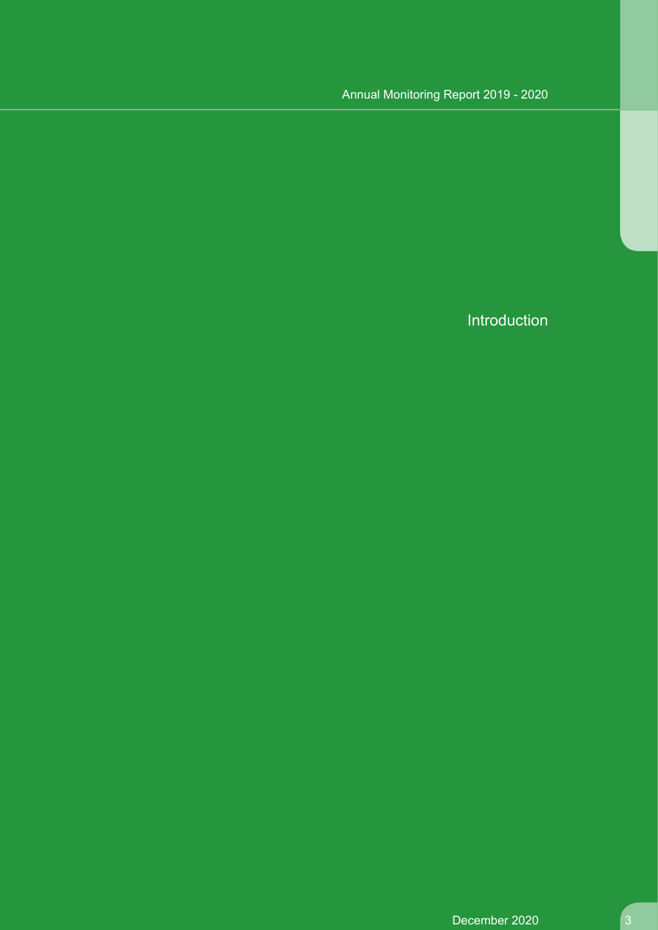Introduction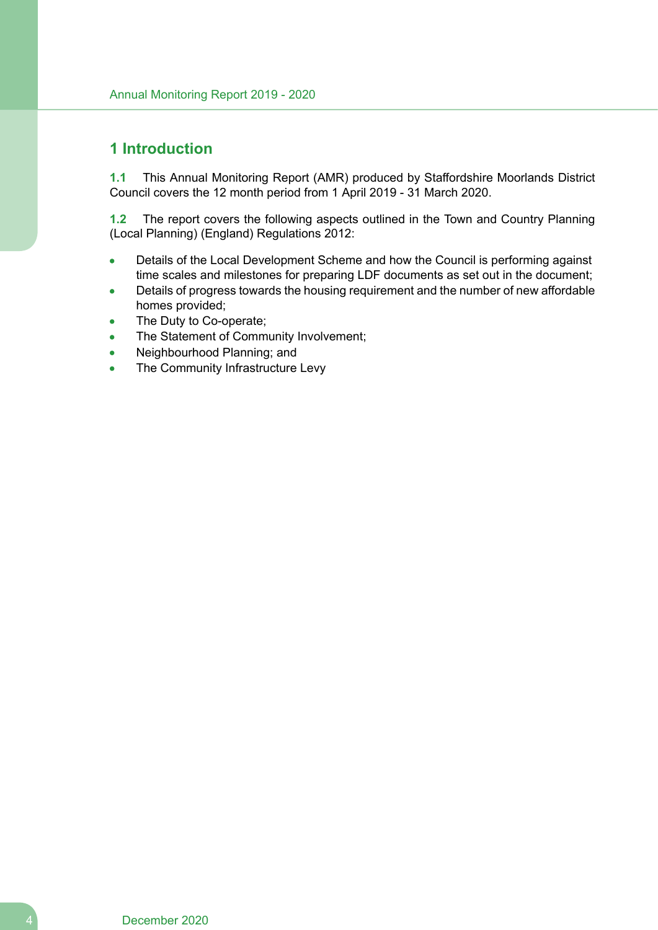# **1 Introduction**

**1.1** This Annual Monitoring Report (AMR) produced by Staffordshire Moorlands District Council covers the 12 month period from 1 April 2019 - 31 March 2020.

**1.2** The report covers the following aspects outlined in the Town and Country Planning (Local Planning) (England) Regulations 2012:

- Details of the Local Development Scheme and how the Council is performing against time scales and milestones for preparing LDF documents as set out in the document;
- Details of progress towards the housing requirement and the number of new affordable homes provided;
- The Duty to Co-operate;
- The Statement of Community Involvement;  $\blacksquare$
- Neighbourhood Planning; and  $\bullet$
- The Community Infrastructure Levy  $\bullet$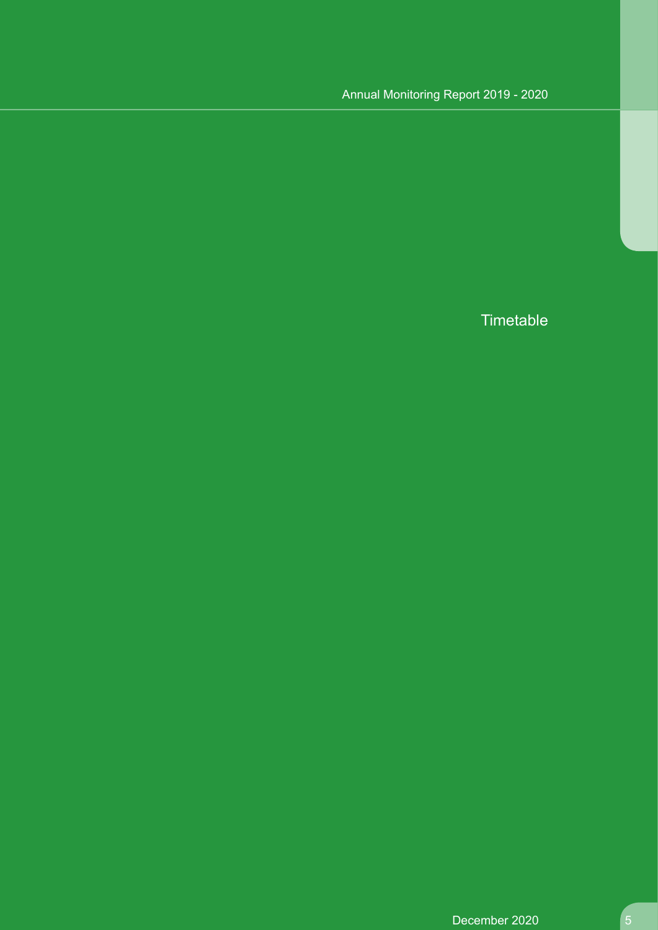**Timetable**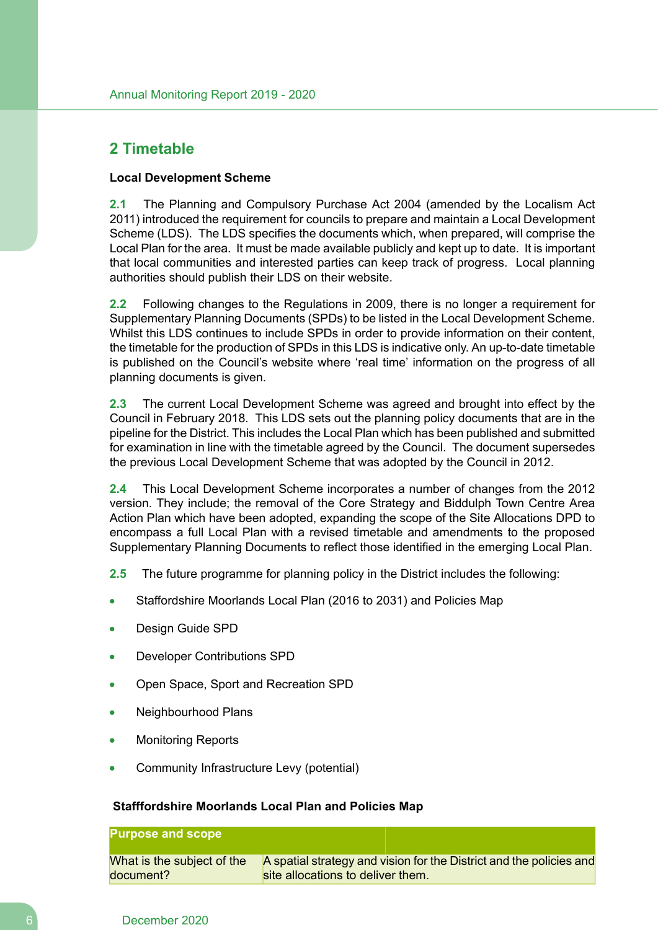# **2 Timetable**

#### **Local Development Scheme**

**2.1** The Planning and Compulsory Purchase Act 2004 (amended by the Localism Act 2011) introduced the requirement for councils to prepare and maintain a Local Development Scheme (LDS). The LDS specifies the documents which, when prepared, will comprise the Local Plan for the area. It must be made available publicly and kept up to date. It is important that local communities and interested parties can keep track of progress. Local planning authorities should publish their LDS on their website.

**2.2** Following changes to the Regulations in 2009, there is no longer a requirement for Supplementary Planning Documents (SPDs) to be listed in the Local Development Scheme. Whilst this LDS continues to include SPDs in order to provide information on their content, the timetable for the production of SPDs in this LDS is indicative only. An up-to-date timetable is published on the Council's website where 'real time' information on the progress of all planning documents is given.

**2.3** The current Local Development Scheme was agreed and brought into effect by the Council in February 2018. This LDS sets out the planning policy documents that are in the pipeline for the District. This includes the Local Plan which has been published and submitted for examination in line with the timetable agreed by the Council. The document supersedes the previous Local Development Scheme that was adopted by the Council in 2012.

**2.4** This Local Development Scheme incorporates a number of changes from the 2012 version. They include; the removal of the Core Strategy and Biddulph Town Centre Area Action Plan which have been adopted, expanding the scope of the Site Allocations DPD to encompass a full Local Plan with a revised timetable and amendments to the proposed Supplementary Planning Documents to reflect those identified in the emerging Local Plan.

- **2.5** The future programme for planning policy in the District includes the following:
- Staffordshire Moorlands Local Plan (2016 to 2031) and Policies Map
- Design Guide SPD
- Developer Contributions SPD
- Open Space, Sport and Recreation SPD
- Neighbourhood Plans
- Monitoring Reports
- Community Infrastructure Levy (potential)

#### **Stafffordshire Moorlands Local Plan and Policies Map**

# **Purpose and scope**

A spatial strategy and vision for the District and the policies and site allocations to deliver them. What is the subject of the document?

#### 6 December 2020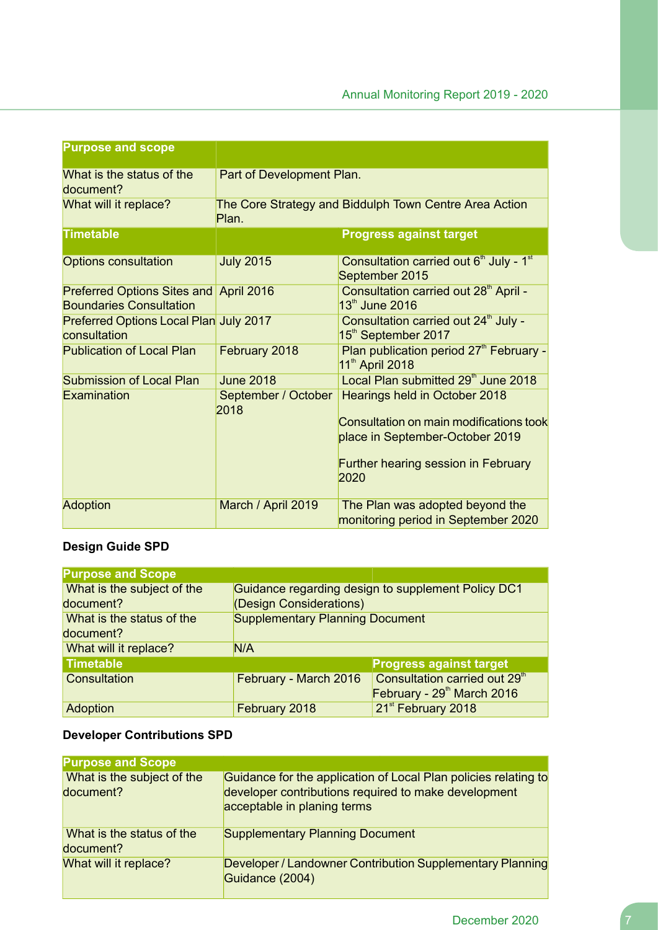| <b>Purpose and scope</b>                                                 |                             |                                                                                     |  |  |
|--------------------------------------------------------------------------|-----------------------------|-------------------------------------------------------------------------------------|--|--|
| What is the status of the<br>document?                                   | Part of Development Plan.   |                                                                                     |  |  |
| What will it replace?                                                    | Plan.                       | The Core Strategy and Biddulph Town Centre Area Action                              |  |  |
| <b>Timetable</b>                                                         |                             | <b>Progress against target</b>                                                      |  |  |
| <b>Options consultation</b>                                              | <b>July 2015</b>            | Consultation carried out 6 <sup>th</sup> July - 1 <sup>st</sup><br>September 2015   |  |  |
| Preferred Options Sites and April 2016<br><b>Boundaries Consultation</b> |                             | Consultation carried out 28 <sup>th</sup> April -<br>13th June 2016                 |  |  |
| Preferred Options Local Plan July 2017<br>consultation                   |                             | Consultation carried out 24 <sup>th</sup> July -<br>15 <sup>th</sup> September 2017 |  |  |
| <b>Publication of Local Plan</b>                                         | February 2018               | Plan publication period 27 <sup>th</sup> February -<br>11 <sup>th</sup> April 2018  |  |  |
| <b>Submission of Local Plan</b>                                          | <b>June 2018</b>            | Local Plan submitted 29 <sup>th</sup> June 2018                                     |  |  |
| Examination                                                              | September / October<br>2018 | Hearings held in October 2018<br>Consultation on main modifications took            |  |  |
|                                                                          |                             | place in September-October 2019                                                     |  |  |
|                                                                          |                             | <b>Further hearing session in February</b><br>2020                                  |  |  |
| <b>Adoption</b>                                                          | March / April 2019          | The Plan was adopted beyond the<br>monitoring period in September 2020              |  |  |

# **Design Guide SPD**

| <b>Purpose and Scope</b>   |                                                    |                                           |  |
|----------------------------|----------------------------------------------------|-------------------------------------------|--|
| What is the subject of the | Guidance regarding design to supplement Policy DC1 |                                           |  |
| document?                  | (Design Considerations)                            |                                           |  |
| What is the status of the  | <b>Supplementary Planning Document</b>             |                                           |  |
| document?                  |                                                    |                                           |  |
| What will it replace?      | N/A                                                |                                           |  |
| <b>Timetable</b>           |                                                    | <b>Progress against target</b>            |  |
| Consultation               | February - March 2016                              | Consultation carried out 29 <sup>th</sup> |  |
|                            |                                                    | February - 29th March 2016                |  |
| Adoption                   | February 2018                                      | 21 <sup>st</sup> February 2018            |  |

# **Developer Contributions SPD**

| <b>Purpose and Scope</b>                |                                                                                     |                                                                 |
|-----------------------------------------|-------------------------------------------------------------------------------------|-----------------------------------------------------------------|
| What is the subject of the<br>document? | developer contributions required to make development<br>acceptable in planing terms | Guidance for the application of Local Plan policies relating to |
| What is the status of the<br>document?  | <b>Supplementary Planning Document</b>                                              |                                                                 |
| What will it replace?                   | Guidance (2004)                                                                     | Developer / Landowner Contribution Supplementary Planning       |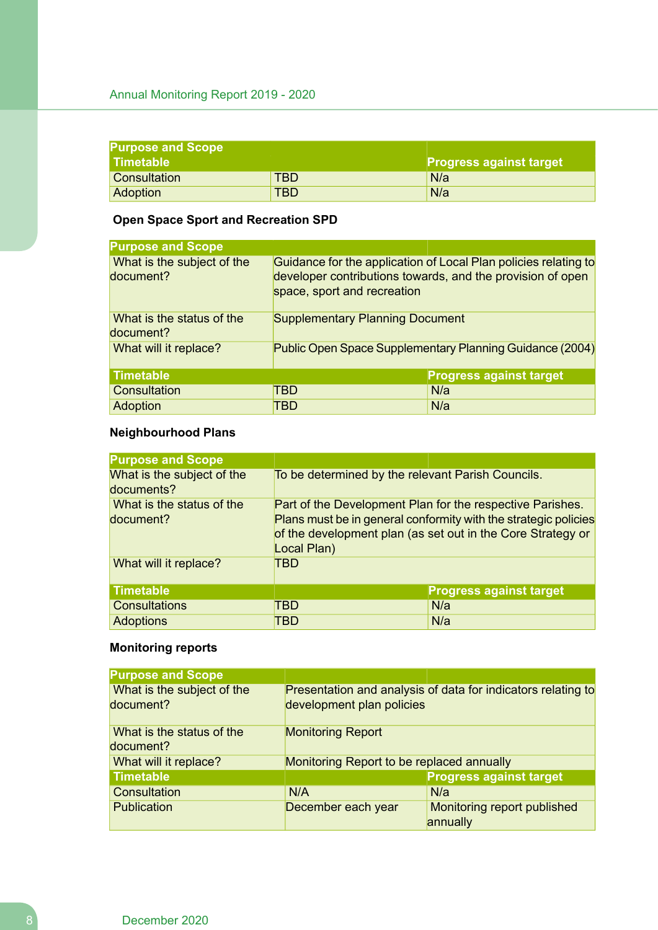| <b>Purpose and Scope</b> |            |                                |  |
|--------------------------|------------|--------------------------------|--|
| l Timetable              |            | <b>Progress against target</b> |  |
| <b>Consultation</b>      | <b>TBD</b> | N/a                            |  |
| <b>Adoption</b>          | <b>TBD</b> | N/a                            |  |

# **Open Space Sport and Recreation SPD**

| <b>Purpose and Scope</b>                |                                                                                                                                                              |                                |  |
|-----------------------------------------|--------------------------------------------------------------------------------------------------------------------------------------------------------------|--------------------------------|--|
| What is the subject of the<br>document? | Guidance for the application of Local Plan policies relating to<br>developer contributions towards, and the provision of open<br>space, sport and recreation |                                |  |
| What is the status of the<br>document?  | <b>Supplementary Planning Document</b>                                                                                                                       |                                |  |
| What will it replace?                   | Public Open Space Supplementary Planning Guidance (2004)                                                                                                     |                                |  |
| <b>Timetable</b>                        |                                                                                                                                                              | <b>Progress against target</b> |  |
| Consultation                            | TBD                                                                                                                                                          | N/a                            |  |
| Adoption                                | TBD                                                                                                                                                          | N/a                            |  |

# **Neighbourhood Plans**

| <b>Purpose and Scope</b>                 |                                                                                                                                                                                                            |                                |  |
|------------------------------------------|------------------------------------------------------------------------------------------------------------------------------------------------------------------------------------------------------------|--------------------------------|--|
| What is the subject of the<br>documents? | To be determined by the relevant Parish Councils.                                                                                                                                                          |                                |  |
| What is the status of the<br>document?   | Part of the Development Plan for the respective Parishes.<br>Plans must be in general conformity with the strategic policies<br>of the development plan (as set out in the Core Strategy or<br>Local Plan) |                                |  |
| What will it replace?                    | TBD                                                                                                                                                                                                        |                                |  |
| <b>Timetable</b>                         |                                                                                                                                                                                                            | <b>Progress against target</b> |  |
| <b>Consultations</b>                     | TBD                                                                                                                                                                                                        | N/a                            |  |
| <b>Adoptions</b>                         | TBD                                                                                                                                                                                                        | N/a                            |  |

# **Monitoring reports**

| <b>Purpose and Scope</b>   |                                                   |                                                              |  |
|----------------------------|---------------------------------------------------|--------------------------------------------------------------|--|
| What is the subject of the |                                                   | Presentation and analysis of data for indicators relating to |  |
| document?                  | development plan policies                         |                                                              |  |
| What is the status of the  | <b>Monitoring Report</b>                          |                                                              |  |
| document?                  |                                                   |                                                              |  |
| What will it replace?      | Monitoring Report to be replaced annually         |                                                              |  |
| <b>Timetable</b>           |                                                   | <b>Progress against target</b>                               |  |
| Consultation               | N/A                                               | N/a                                                          |  |
| <b>Publication</b>         | Monitoring report published<br>December each year |                                                              |  |
|                            |                                                   | annually                                                     |  |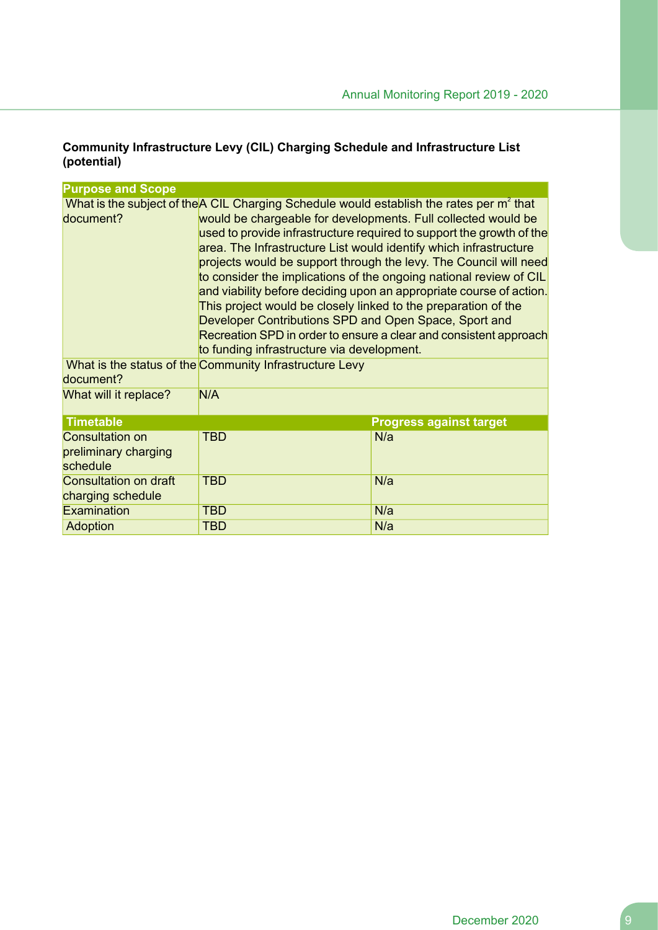# **Community Infrastructure Levy (CIL) Charging Schedule and Infrastructure List (potential)**

| <b>Purpose and Scope</b>                                   |                                                                                                                                                                                                                                                                                                                                                                                                                                                                                                                                                                                                                                                                                                                                                                                    |                                |  |  |
|------------------------------------------------------------|------------------------------------------------------------------------------------------------------------------------------------------------------------------------------------------------------------------------------------------------------------------------------------------------------------------------------------------------------------------------------------------------------------------------------------------------------------------------------------------------------------------------------------------------------------------------------------------------------------------------------------------------------------------------------------------------------------------------------------------------------------------------------------|--------------------------------|--|--|
| document?                                                  | What is the subject of the A CIL Charging Schedule would establish the rates per m <sup>2</sup> that<br>would be chargeable for developments. Full collected would be<br>used to provide infrastructure required to support the growth of the<br>area. The Infrastructure List would identify which infrastructure<br>projects would be support through the levy. The Council will need<br>to consider the implications of the ongoing national review of CIL<br>and viability before deciding upon an appropriate course of action.<br>This project would be closely linked to the preparation of the<br>Developer Contributions SPD and Open Space, Sport and<br>Recreation SPD in order to ensure a clear and consistent approach<br>to funding infrastructure via development. |                                |  |  |
| document?                                                  | What is the status of the Community Infrastructure Levy                                                                                                                                                                                                                                                                                                                                                                                                                                                                                                                                                                                                                                                                                                                            |                                |  |  |
| What will it replace?                                      | N/A                                                                                                                                                                                                                                                                                                                                                                                                                                                                                                                                                                                                                                                                                                                                                                                |                                |  |  |
| <b>Timetable</b>                                           |                                                                                                                                                                                                                                                                                                                                                                                                                                                                                                                                                                                                                                                                                                                                                                                    | <b>Progress against target</b> |  |  |
| <b>Consultation on</b><br>preliminary charging<br>schedule | <b>TBD</b>                                                                                                                                                                                                                                                                                                                                                                                                                                                                                                                                                                                                                                                                                                                                                                         | N/a                            |  |  |
| Consultation on draft<br>charging schedule                 | <b>TBD</b>                                                                                                                                                                                                                                                                                                                                                                                                                                                                                                                                                                                                                                                                                                                                                                         | N/a                            |  |  |
| Examination                                                | <b>TBD</b>                                                                                                                                                                                                                                                                                                                                                                                                                                                                                                                                                                                                                                                                                                                                                                         | N/a                            |  |  |
| Adoption                                                   | <b>TBD</b>                                                                                                                                                                                                                                                                                                                                                                                                                                                                                                                                                                                                                                                                                                                                                                         | N/a                            |  |  |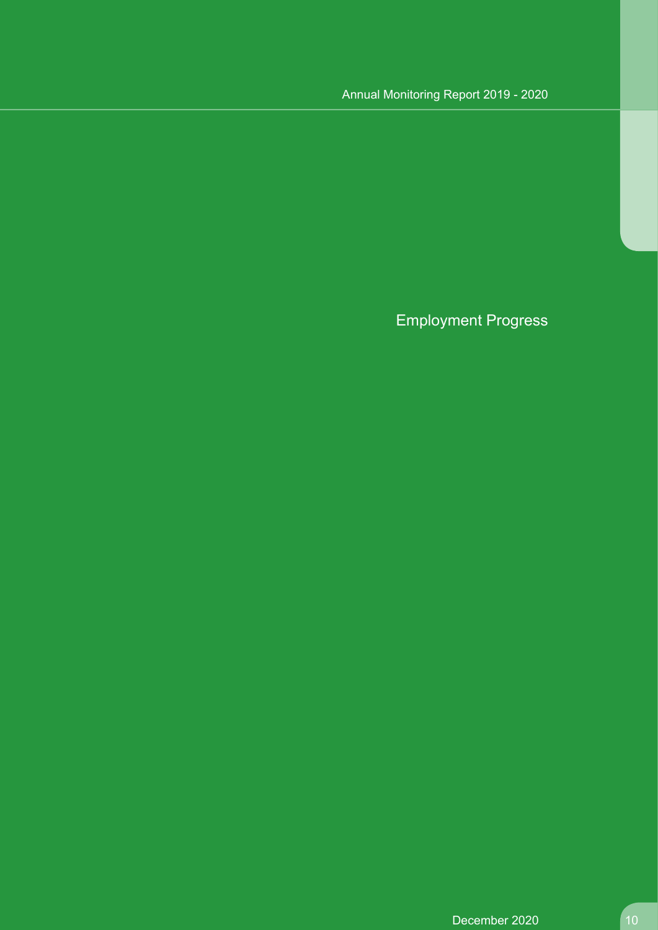Employment Progress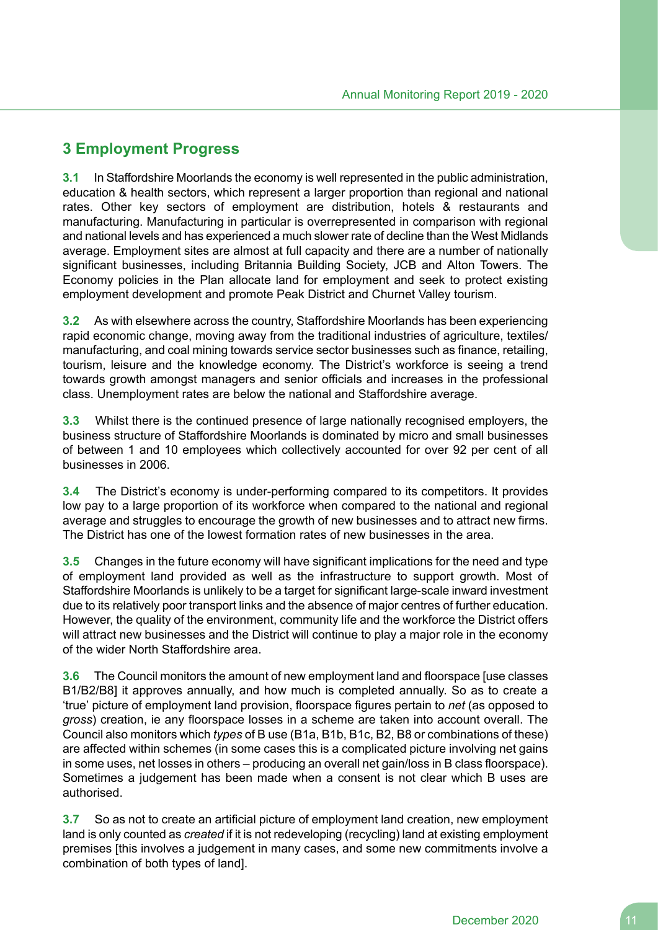# **3 Employment Progress**

**3.1** In Staffordshire Moorlands the economy is well represented in the public administration, education & health sectors, which represent a larger proportion than regional and national rates. Other key sectors of employment are distribution, hotels & restaurants and manufacturing. Manufacturing in particular is overrepresented in comparison with regional and national levels and has experienced a much slower rate of decline than the West Midlands average. Employment sites are almost at full capacity and there are a number of nationally significant businesses, including Britannia Building Society, JCB and Alton Towers. The Economy policies in the Plan allocate land for employment and seek to protect existing employment development and promote Peak District and Churnet Valley tourism.

**3.2** As with elsewhere across the country, Staffordshire Moorlands has been experiencing rapid economic change, moving away from the traditional industries of agriculture, textiles/ manufacturing, and coal mining towards service sector businesses such as finance, retailing, tourism, leisure and the knowledge economy. The District's workforce is seeing a trend towards growth amongst managers and senior officials and increases in the professional class. Unemployment rates are below the national and Staffordshire average.

**3.3** Whilst there is the continued presence of large nationally recognised employers, the business structure of Staffordshire Moorlands is dominated by micro and small businesses of between 1 and 10 employees which collectively accounted for over 92 per cent of all businesses in 2006.

**3.4** The District's economy is under-performing compared to its competitors. It provides low pay to a large proportion of its workforce when compared to the national and regional average and struggles to encourage the growth of new businesses and to attract new firms. The District has one of the lowest formation rates of new businesses in the area.

**3.5** Changes in the future economy will have significant implications for the need and type of employment land provided as well as the infrastructure to support growth. Most of Staffordshire Moorlands is unlikely to be a target for significant large-scale inward investment due to its relatively poor transport links and the absence of major centres of further education. However, the quality of the environment, community life and the workforce the District offers will attract new businesses and the District will continue to play a major role in the economy of the wider North Staffordshire area.

**3.6** The Council monitors the amount of new employment land and floorspace [use classes B1/B2/B8] it approves annually, and how much is completed annually. So as to create a 'true' picture of employment land provision, floorspace figures pertain to *net* (as opposed to *gross*) creation, ie any floorspace losses in a scheme are taken into account overall. The Council also monitors which *types* of B use (B1a, B1b, B1c, B2, B8 or combinations of these) are affected within schemes (in some cases this is a complicated picture involving net gains in some uses, net losses in others – producing an overall net gain/loss in B class floorspace). Sometimes a judgement has been made when a consent is not clear which B uses are authorised.

**3.7** So as not to create an artificial picture of employment land creation, new employment land is only counted as *created* if it is not redeveloping (recycling) land at existing employment premises [this involves a judgement in many cases, and some new commitments involve a combination of both types of land].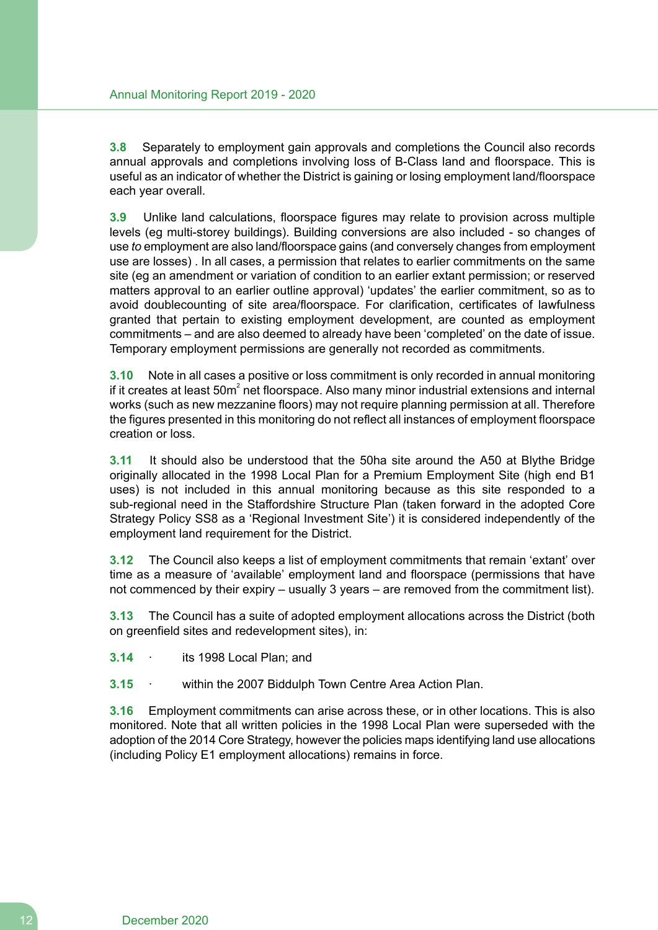**3.8** Separately to employment gain approvals and completions the Council also records annual approvals and completions involving loss of B-Class land and floorspace. This is useful as an indicator of whether the District is gaining or losing employment land/floorspace each year overall.

**3.9** Unlike land calculations, floorspace figures may relate to provision across multiple levels (eg multi-storey buildings). Building conversions are also included - so changes of use *to* employment are also land/floorspace gains (and conversely changes from employment use are losses) . In all cases, a permission that relates to earlier commitments on the same site (eg an amendment or variation of condition to an earlier extant permission; or reserved matters approval to an earlier outline approval) 'updates' the earlier commitment, so as to avoid doublecounting of site area/floorspace. For clarification, certificates of lawfulness granted that pertain to existing employment development, are counted as employment commitments – and are also deemed to already have been 'completed' on the date of issue. Temporary employment permissions are generally not recorded as commitments.

**3.10** Note in all cases a positive or loss commitment is only recorded in annual monitoring if it creates at least 50m<sup>2</sup> net floorspace. Also many minor industrial extensions and internal works (such as new mezzanine floors) may not require planning permission at all. Therefore the figures presented in this monitoring do not reflect all instances of employment floorspace creation or loss.

**3.11** It should also be understood that the 50ha site around the A50 at Blythe Bridge originally allocated in the 1998 Local Plan for a Premium Employment Site (high end B1 uses) is not included in this annual monitoring because as this site responded to a sub-regional need in the Staffordshire Structure Plan (taken forward in the adopted Core Strategy Policy SS8 as a 'Regional Investment Site') it is considered independently of the employment land requirement for the District.

**3.12** The Council also keeps a list of employment commitments that remain 'extant' over time as a measure of 'available' employment land and floorspace (permissions that have not commenced by their expiry – usually 3 years – are removed from the commitment list).

**3.13** The Council has a suite of adopted employment allocations across the District (both on greenfield sites and redevelopment sites), in:

**3.14** · its 1998 Local Plan; and

**3.15** · within the 2007 Biddulph Town Centre Area Action Plan.

**3.16** Employment commitments can arise across these, or in other locations. This is also monitored. Note that all written policies in the 1998 Local Plan were superseded with the adoption of the 2014 Core Strategy, however the policies maps identifying land use allocations (including Policy E1 employment allocations) remains in force.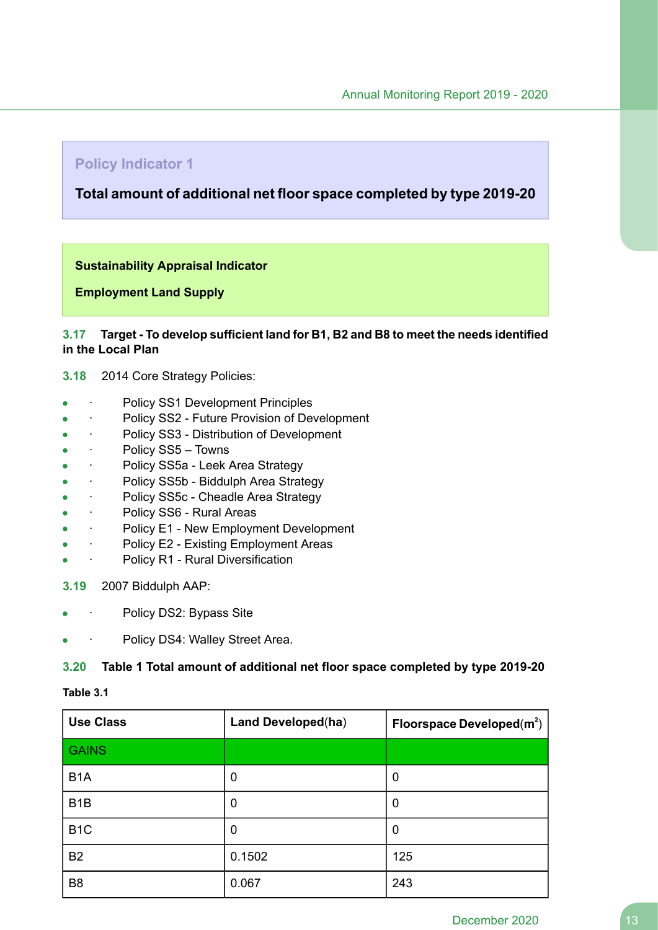# **Policy Indicator 1**

# **Total amount of additional net floor space completed by type 2019-20**

#### **Sustainability Appraisal Indicator**

**Employment Land Supply**

#### **3.17 Target - To develop sufficient land for B1, B2 and B8 to meet the needs identified in the Local Plan**

#### **3.18** 2014 Core Strategy Policies:

- Policy SS1 Development Principles
- · Policy SS2 Future Provision of Development
- · Policy SS3 Distribution of Development
- · Policy SS5 Towns  $\bullet$
- · Policy SS5a Leek Area Strategy  $\bullet$
- · Policy SS5b Biddulph Area Strategy  $\blacksquare$
- Policy SS5c Cheadle Area Strategy
- · Policy SS6 Rural Areas
- · Policy E1 New Employment Development  $\bullet$
- Policy E2 Existing Employment Areas
- Policy R1 Rural Diversification

#### **3.19** 2007 Biddulph AAP:

- Policy DS2: Bypass Site
- Policy DS4: Walley Street Area.

#### **3.20 Table 1 Total amount of additional net floor space completed by type 2019-20**

#### **Table 3.1**

| <b>Use Class</b> | <b>Land Developed(ha)</b> | Floorspace Developed $(m^2)$ |
|------------------|---------------------------|------------------------------|
| <b>GAINS</b>     |                           |                              |
| B <sub>1</sub> A | 0                         | 0                            |
| B <sub>1</sub> B | 0                         | 0                            |
| B <sub>1</sub> C | 0                         | 0                            |
| <b>B2</b>        | 0.1502                    | 125                          |
| B <sub>8</sub>   | 0.067                     | 243                          |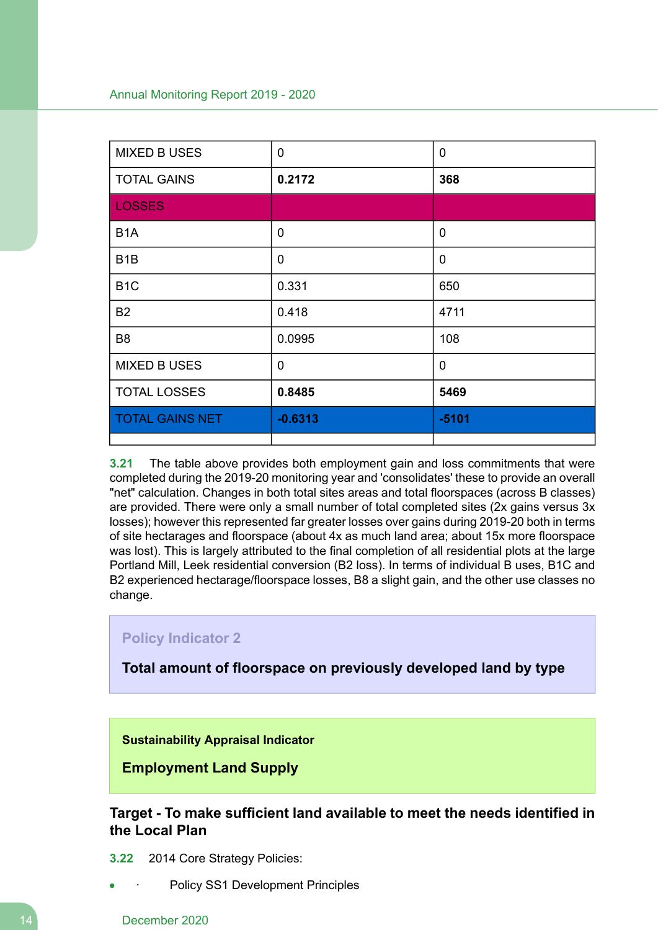| <b>MIXED B USES</b>    | 0           | $\mathbf 0$    |
|------------------------|-------------|----------------|
| <b>TOTAL GAINS</b>     | 0.2172      | 368            |
| <b>LOSSES</b>          |             |                |
| B <sub>1</sub> A       | $\mathbf 0$ | $\overline{0}$ |
| B <sub>1</sub> B       | 0           | $\mathbf 0$    |
| B <sub>1</sub> C       | 0.331       | 650            |
| <b>B2</b>              | 0.418       | 4711           |
| B <sub>8</sub>         | 0.0995      | 108            |
| <b>MIXED B USES</b>    | $\mathbf 0$ | $\mathbf 0$    |
| <b>TOTAL LOSSES</b>    | 0.8485      | 5469           |
| <b>TOTAL GAINS NET</b> | $-0.6313$   | $-5101$        |
|                        |             |                |

**3.21** The table above provides both employment gain and loss commitments that were completed during the 2019-20 monitoring year and 'consolidates' these to provide an overall "net" calculation. Changes in both total sites areas and total floorspaces (across B classes) are provided. There were only a small number of total completed sites (2x gains versus 3x losses); however this represented far greater losses over gains during 2019-20 both in terms of site hectarages and floorspace (about 4x as much land area; about 15x more floorspace was lost). This is largely attributed to the final completion of all residential plots at the large Portland Mill, Leek residential conversion (B2 loss). In terms of individual B uses, B1C and B2 experienced hectarage/floorspace losses, B8 a slight gain, and the other use classes no change.

# **Policy Indicator 2**

**Total amount of floorspace on previously developed land by type**

**Sustainability Appraisal Indicator**

**Employment Land Supply**

**Target - To make sufficient land available to meet the needs identified in the Local Plan**

- **3.22** 2014 Core Strategy Policies:
	- Policy SS1 Development Principles

#### 14 December 2020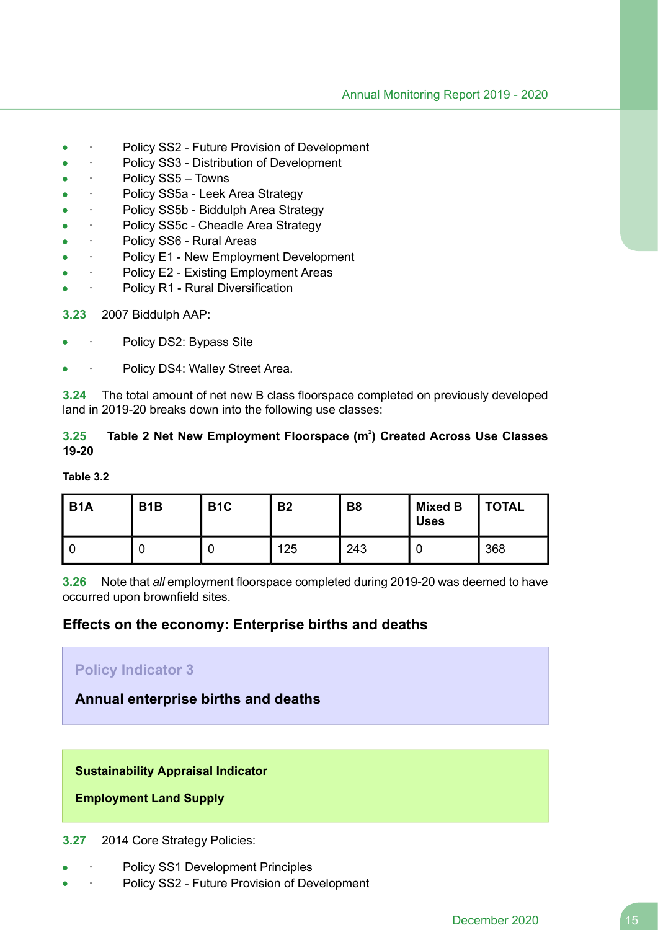- Policy SS2 Future Provision of Development
- Policy SS3 Distribution of Development
- Policy SS5 Towns
- · Policy SS5a Leek Area Strategy  $\bullet$
- Policy SS5b Biddulph Area Strategy
- Policy SS5c Cheadle Area Strategy
- Policy SS6 Rural Areas
- · Policy E1 New Employment Development
- Policy E2 Existing Employment Areas
- Policy R1 Rural Diversification
- **3.23** 2007 Biddulph AAP:
- Policy DS2: Bypass Site
- Policy DS4: Walley Street Area.

**3.24** The total amount of net new B class floorspace completed on previously developed land in 2019-20 breaks down into the following use classes:

# **3.25 Table 2 Net New Employment Floorspace (m<sup>2</sup> ) Created Across Use Classes 19-20**

#### **Table 3.2**

| <b>B1A</b> | B <sub>1</sub> B | B <sub>1</sub> C | <b>B2</b> | <b>B8</b> | <b>Mixed B</b><br><b>Uses</b> | <b>TOTAL</b> |
|------------|------------------|------------------|-----------|-----------|-------------------------------|--------------|
|            |                  |                  | 125       | 243       |                               | 368          |

**3.26** Note that *all* employment floorspace completed during 2019-20 was deemed to have occurred upon brownfield sites.

# **Effects on the economy: Enterprise births and deaths**

| <b>Policy Indicator 3</b>           |
|-------------------------------------|
| Annual enterprise births and deaths |
|                                     |
|                                     |

# **Sustainability Appraisal Indicator**

**Employment Land Supply**

#### **3.27** 2014 Core Strategy Policies:

- Policy SS1 Development Principles
- Policy SS2 Future Provision of Development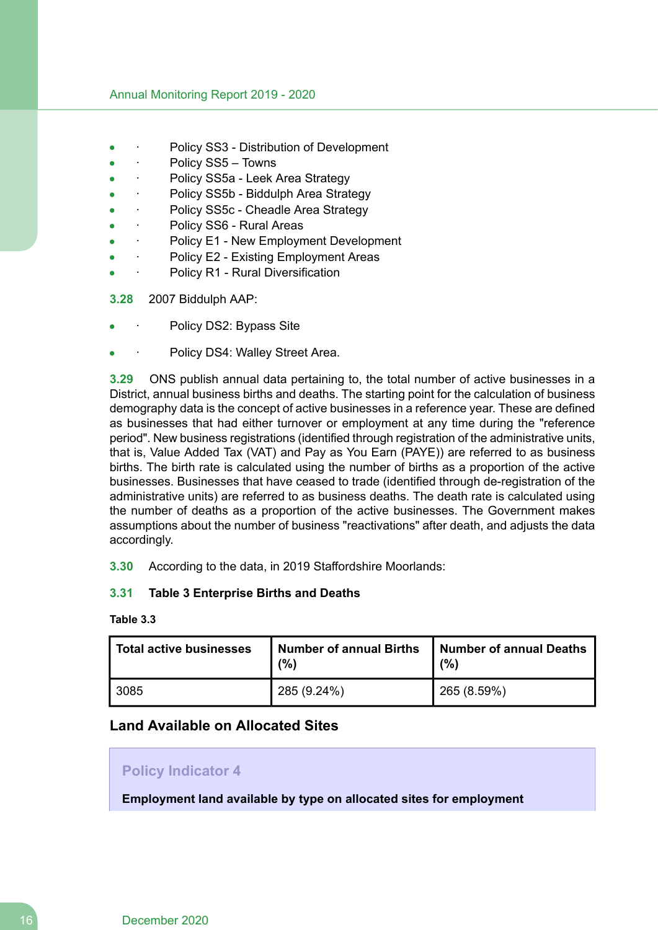- Policy SS3 Distribution of Development
- Policy SS5 Towns
- Policy SS5a Leek Area Strategy
- Policy SS5b Biddulph Area Strategy
- Policy SS5c Cheadle Area Strategy
- Policy SS6 Rural Areas
- Policy E1 New Employment Development
- · Policy E2 Existing Employment Areas
- Policy R1 Rural Diversification
- **3.28** 2007 Biddulph AAP:
- Policy DS2: Bypass Site
- Policy DS4: Walley Street Area.

**3.29** ONS publish annual data pertaining to, the total number of active businesses in a District, annual business births and deaths. The starting point for the calculation of business demography data is the concept of active businesses in a reference year. These are defined as businesses that had either turnover or employment at any time during the "reference period". New business registrations (identified through registration of the administrative units, that is, Value Added Tax (VAT) and Pay as You Earn (PAYE)) are referred to as business births. The birth rate is calculated using the number of births as a proportion of the active businesses. Businesses that have ceased to trade (identified through de-registration of the administrative units) are referred to as business deaths. The death rate is calculated using the number of deaths as a proportion of the active businesses. The Government makes assumptions about the number of business "reactivations" after death, and adjusts the data accordingly.

**3.30** According to the data, in 2019 Staffordshire Moorlands:

## **3.31 Table 3 Enterprise Births and Deaths**

#### **Table 3.3**

| Total active businesses | Number of annual Births<br>(%) | Number of annual Deaths<br>(% |  |
|-------------------------|--------------------------------|-------------------------------|--|
| 3085                    | $'$ 285 (9.24%)                | 265 (8.59%)                   |  |

# **Land Available on Allocated Sites**

## **Policy Indicator 4**

**Employment land available by type on allocated sites for employment**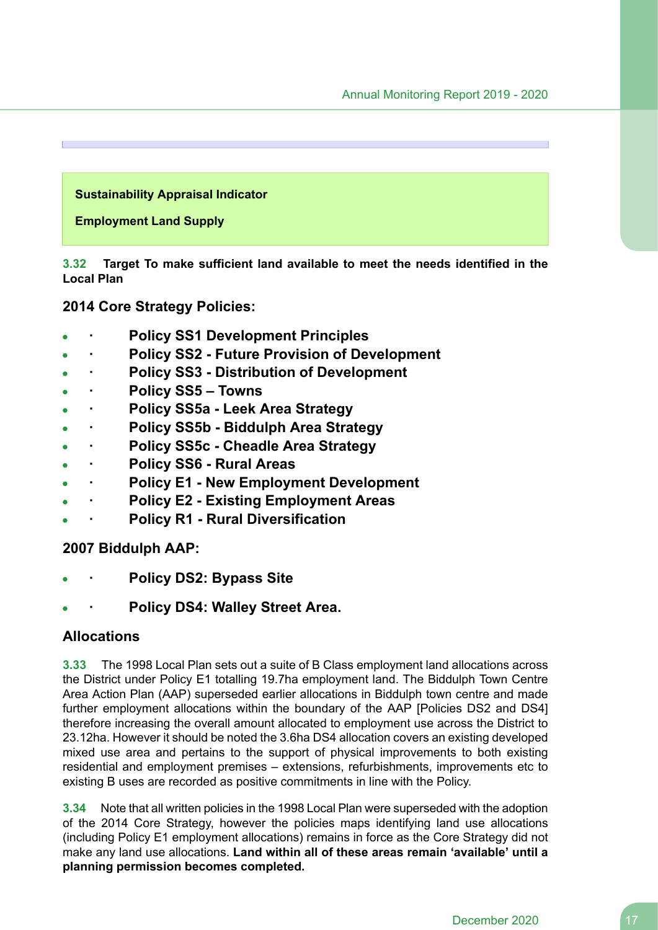#### **Sustainability Appraisal Indicator**

#### **Employment Land Supply**

**3.32 Target To make sufficient land available to meet the needs identified in the Local Plan**

**2014 Core Strategy Policies:**

- **· Policy SS1 Development Principles**
- **· Policy SS2 - Future Provision of Development**
- **· Policy SS3 - Distribution of Development**
- **· Policy SS5 – Towns**
- **· Policy SS5a - Leek Area Strategy**
- **· Policy SS5b - Biddulph Area Strategy**  $\bullet$
- **· Policy SS5c - Cheadle Area Strategy**
- **· Policy SS6 - Rural Areas**
- **· Policy E1 - New Employment Development**
- **· Policy E2 - Existing Employment Areas**
- **· Policy R1 - Rural Diversification**

## **2007 Biddulph AAP:**

- **· Policy DS2: Bypass Site**
- **· Policy DS4: Walley Street Area.**

# **Allocations**

**3.33** The 1998 Local Plan sets out a suite of B Class employment land allocations across the District under Policy E1 totalling 19.7ha employment land. The Biddulph Town Centre Area Action Plan (AAP) superseded earlier allocations in Biddulph town centre and made further employment allocations within the boundary of the AAP [Policies DS2 and DS4] therefore increasing the overall amount allocated to employment use across the District to 23.12ha. However it should be noted the 3.6ha DS4 allocation covers an existing developed mixed use area and pertains to the support of physical improvements to both existing residential and employment premises – extensions, refurbishments, improvements etc to existing B uses are recorded as positive commitments in line with the Policy.

**3.34** Note that all written policies in the 1998 Local Plan were superseded with the adoption of the 2014 Core Strategy, however the policies maps identifying land use allocations (including Policy E1 employment allocations) remains in force as the Core Strategy did not make any land use allocations. **Land within all of these areas remain 'available' until a planning permission becomes completed.**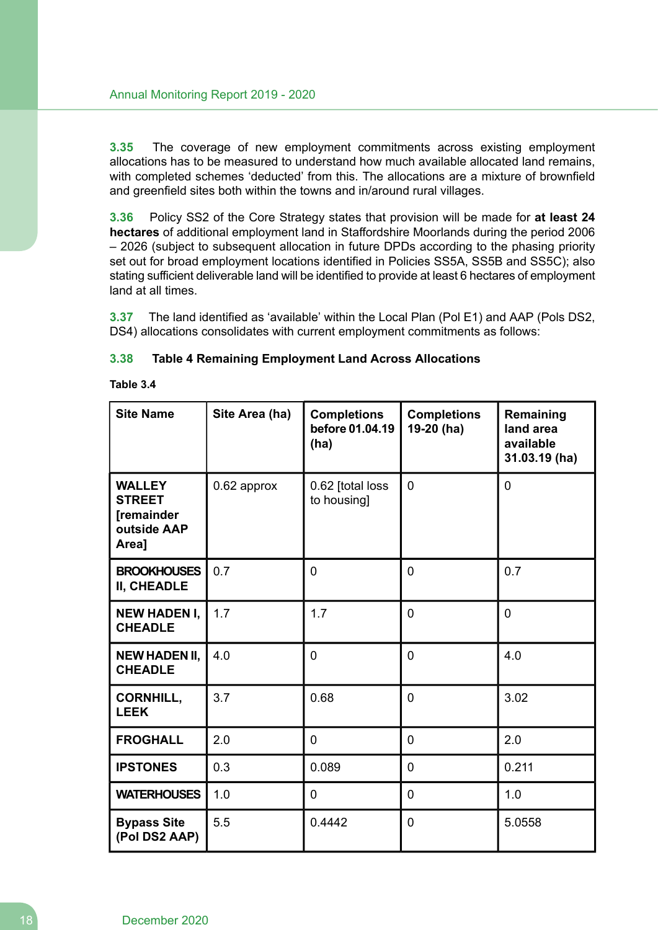**3.35** The coverage of new employment commitments across existing employment allocations has to be measured to understand how much available allocated land remains, with completed schemes 'deducted' from this. The allocations are a mixture of brownfield and greenfield sites both within the towns and in/around rural villages.

**3.36** Policy SS2 of the Core Strategy states that provision will be made for **at least 24 hectares** of additional employment land in Staffordshire Moorlands during the period 2006 – 2026 (subject to subsequent allocation in future DPDs according to the phasing priority set out for broad employment locations identified in Policies SS5A, SS5B and SS5C); also stating sufficient deliverable land will be identified to provide at least 6 hectares of employment land at all times.

**3.37** The land identified as 'available' within the Local Plan (Pol E1) and AAP (Pols DS2, DS4) allocations consolidates with current employment commitments as follows:

| 3.38 | <b>Table 4 Remaining Employment Land Across Allocations</b> |  |  |  |
|------|-------------------------------------------------------------|--|--|--|
|------|-------------------------------------------------------------|--|--|--|

| Table 3.4 |  |
|-----------|--|
|-----------|--|

| <b>Site Name</b>                                                            | Site Area (ha)<br><b>Completions</b><br><b>Completions</b><br>before 01.04.19<br>19-20 (ha)<br>(ha) |        | Remaining<br>land area<br>available<br>31.03.19 (ha) |                |
|-----------------------------------------------------------------------------|-----------------------------------------------------------------------------------------------------|--------|------------------------------------------------------|----------------|
| <b>WALLEY</b><br><b>STREET</b><br><b>[remainder</b><br>outside AAP<br>Area] | $\overline{0}$<br>0.62 [total loss<br>0.62 approx<br>to housing]                                    |        |                                                      | 0              |
| <b>BROOKHOUSES</b><br>II, CHEADLE                                           | 0.7                                                                                                 | 0      | 0                                                    | 0.7            |
| <b>NEW HADEN I,</b><br><b>CHEADLE</b>                                       | 1.7                                                                                                 | 1.7    | 0                                                    | $\overline{0}$ |
| <b>NEW HADEN II,</b><br><b>CHEADLE</b>                                      | 4.0                                                                                                 | 0      | 0                                                    | 4.0            |
| <b>CORNHILL,</b><br><b>LEEK</b>                                             | 3.7                                                                                                 | 0.68   | 0                                                    | 3.02           |
| <b>FROGHALL</b>                                                             | 2.0                                                                                                 | 0      | $\Omega$                                             | 2.0            |
| <b>IPSTONES</b>                                                             | 0.3                                                                                                 | 0.089  | 0                                                    | 0.211          |
| <b>WATERHOUSES</b>                                                          | 1.0                                                                                                 | 0      | 0                                                    | 1.0            |
| <b>Bypass Site</b><br>(Pol DS2 AAP)                                         | 5.5                                                                                                 | 0.4442 | 0                                                    | 5.0558         |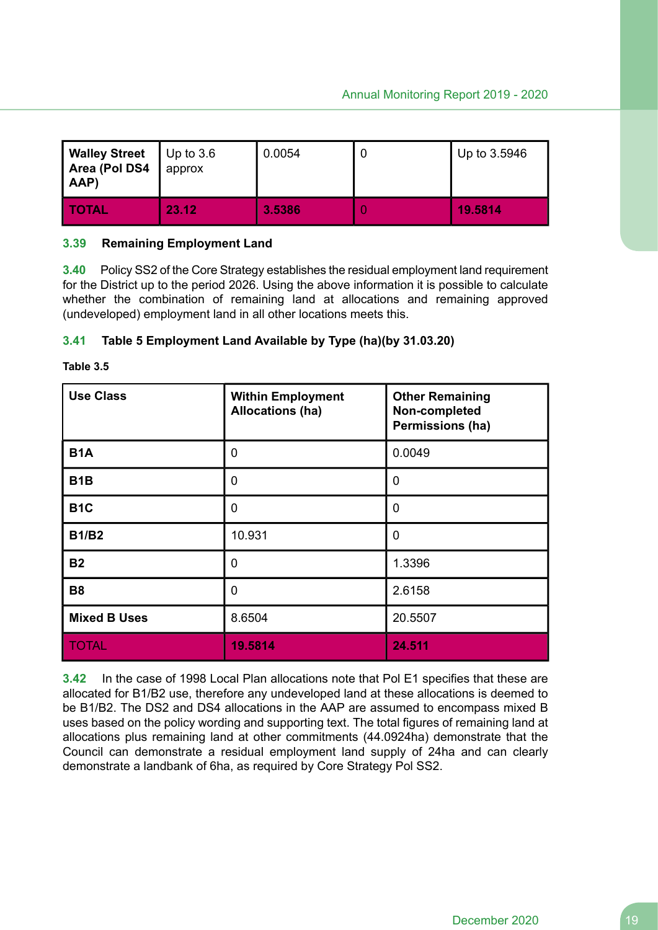| <b>Walley Street</b><br>Area (Pol DS4<br>AAP) | Up to $3.6$<br>approx | 0.0054 | U | Up to 3.5946 |
|-----------------------------------------------|-----------------------|--------|---|--------------|
| <b>TOTAL</b>                                  | 23.12                 | 3.5386 |   | 19.5814      |

#### **3.39 Remaining Employment Land**

**3.40** Policy SS2 of the Core Strategy establishes the residual employment land requirement for the District up to the period 2026. Using the above information it is possible to calculate whether the combination of remaining land at allocations and remaining approved (undeveloped) employment land in all other locations meets this.

#### **3.41 Table 5 Employment Land Available by Type (ha)(by 31.03.20)**

| Table |  |
|-------|--|
|-------|--|

| <b>Use Class</b>    | <b>Within Employment</b><br><b>Allocations (ha)</b> | <b>Other Remaining</b><br>Non-completed<br>Permissions (ha) |  |  |
|---------------------|-----------------------------------------------------|-------------------------------------------------------------|--|--|
| <b>B1A</b>          | $\mathbf 0$                                         | 0.0049                                                      |  |  |
| B <sub>1</sub> B    | $\mathbf 0$                                         | 0                                                           |  |  |
| B <sub>1</sub> C    | $\mathbf 0$                                         | 0                                                           |  |  |
| <b>B1/B2</b>        | 10.931                                              | 0                                                           |  |  |
| <b>B2</b>           | $\mathbf 0$                                         | 1.3396                                                      |  |  |
| <b>B8</b>           | $\mathbf 0$                                         | 2.6158                                                      |  |  |
| <b>Mixed B Uses</b> | 8.6504                                              | 20.5507                                                     |  |  |
| <b>TOTAL</b>        | 19.5814                                             | 24.511                                                      |  |  |

**3.42** In the case of 1998 Local Plan allocations note that Pol E1 specifies that these are allocated for B1/B2 use, therefore any undeveloped land at these allocations is deemed to be B1/B2. The DS2 and DS4 allocations in the AAP are assumed to encompass mixed B uses based on the policy wording and supporting text. The total figures of remaining land at allocations plus remaining land at other commitments (44.0924ha) demonstrate that the Council can demonstrate a residual employment land supply of 24ha and can clearly demonstrate a landbank of 6ha, as required by Core Strategy Pol SS2.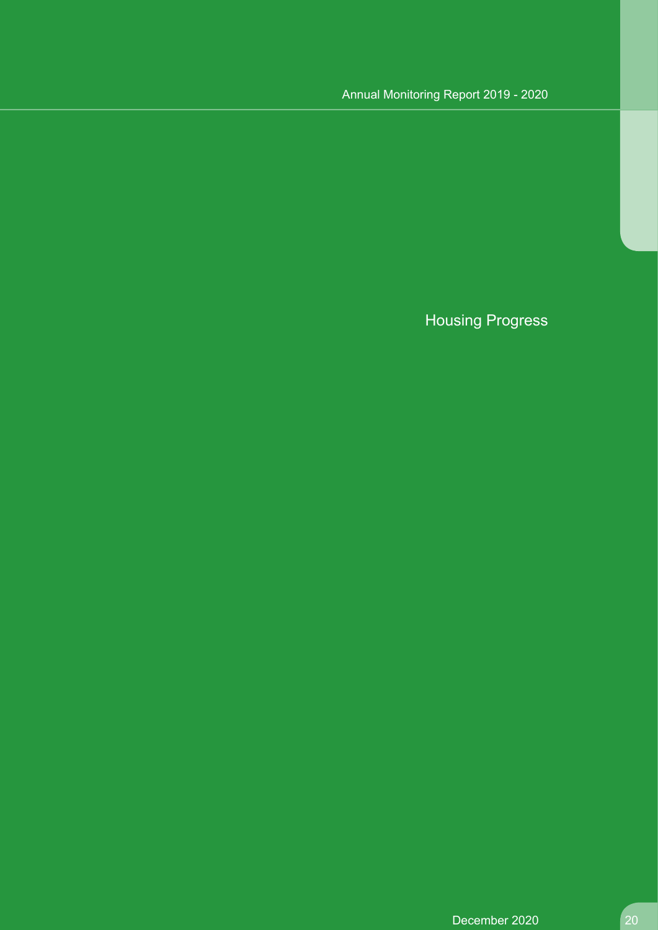# Housing Progress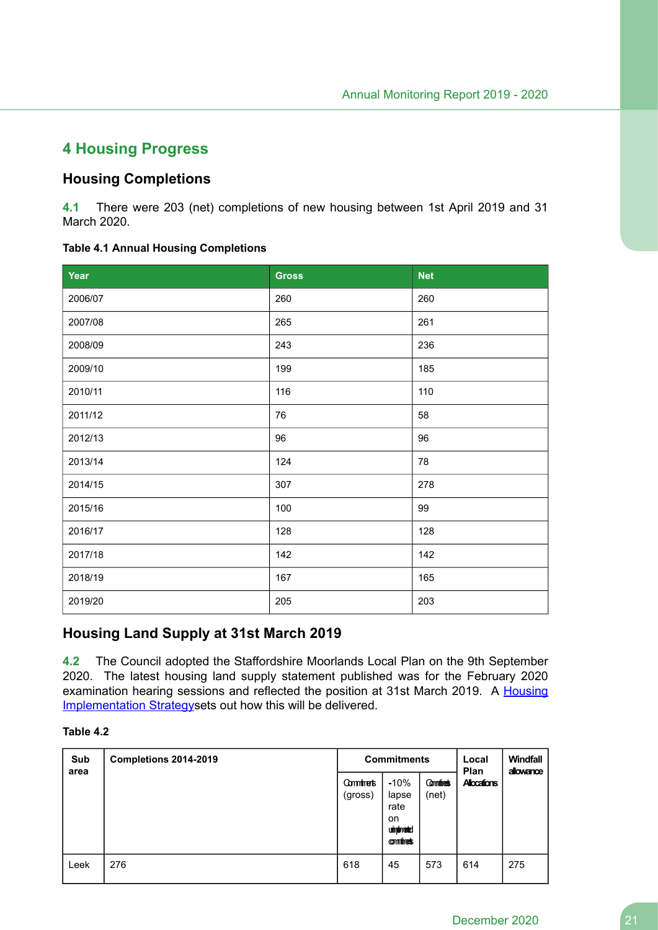# **4 Housing Progress**

# **Housing Completions**

**4.1** There were 203 (net) completions of new housing between 1st April 2019 and 31 March 2020.

#### **Table 4.1 Annual Housing Completions**

| Year    | <b>Gross</b> | <b>Net</b> |
|---------|--------------|------------|
| 2006/07 | 260          | 260        |
| 2007/08 | 265          | 261        |
| 2008/09 | 243          | 236        |
| 2009/10 | 199          | 185        |
| 2010/11 | 116          | 110        |
| 2011/12 | 76           | 58         |
| 2012/13 | 96           | 96         |
| 2013/14 | 124          | 78         |
| 2014/15 | 307          | 278        |
| 2015/16 | 100          | 99         |
| 2016/17 | 128          | 128        |
| 2017/18 | 142          | 142        |
| 2018/19 | 167          | 165        |
| 2019/20 | 205          | 203        |

# **Housing Land Supply at 31st March 2019**

**4.2** The Council adopted the Staffordshire Moorlands Local Plan on the 9th September 2020. The latest housing land supply statement published was for the February 2020 examination hearing sessions and reflected the position at 31st March 2019. A Housing Implementation Strategysets out how this will be delivered.

#### **Table 4.2**

| Sub<br>area | Completions 2014-2019 | <b>Commitments</b>        |                                                                       |                          | Local<br>Plan      | <b>Windfall</b><br>allowance |
|-------------|-----------------------|---------------------------|-----------------------------------------------------------------------|--------------------------|--------------------|------------------------------|
|             |                       | <b>Commete</b><br>(gross) | $-10%$<br>lapse<br>rate<br>on.<br><b>umpereed:</b><br><b>omminest</b> | <b>Commines</b><br>(net) | <b>Allocations</b> |                              |
| Leek        | 276                   | 618                       | 45                                                                    | 573                      | 614                | 275                          |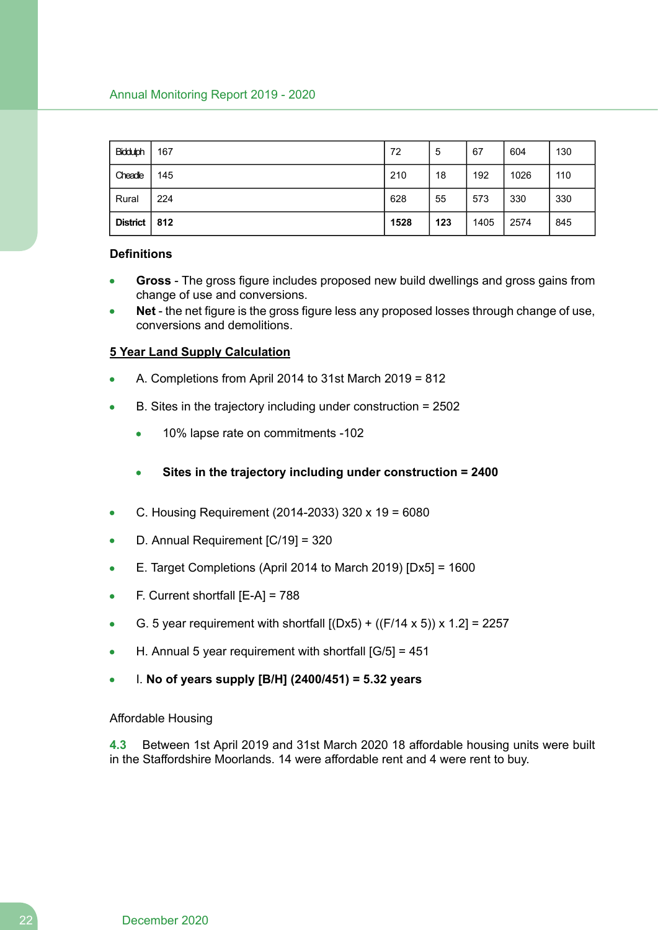| Biddulph | 167 | 72   | 5   | 67   | 604  | 130 |
|----------|-----|------|-----|------|------|-----|
| Cheadle  | 145 | 210  | 18  | 192  | 1026 | 110 |
| Rural    | 224 | 628  | 55  | 573  | 330  | 330 |
| District | 812 | 1528 | 123 | 1405 | 2574 | 845 |

#### **Definitions**

- **Gross** The gross figure includes proposed new build dwellings and gross gains from change of use and conversions.
- **Net** the net figure is the gross figure less any proposed losses through change of use, conversions and demolitions.

#### **5 Year Land Supply Calculation**

- A. Completions from April 2014 to 31st March 2019 = 812
- B. Sites in the trajectory including under construction = 2502  $\bullet$ 
	- $\bullet$ 10% lapse rate on commitments -102
	- **Sites in the trajectory including under construction = 2400**  $\bullet$
- C. Housing Requirement (2014-2033) 320 x 19 = 6080  $\bullet$
- D. Annual Requirement [C/19] = 320
- E. Target Completions (April 2014 to March 2019) [Dx5] = 1600
- F. Current shortfall [E-A] = 788  $\bullet$
- G. 5 year requirement with shortfall  $[(Dx5) + ((F/14 \times 5)) \times 1.2] = 2257$  $\bullet$
- H. Annual 5 year requirement with shortfall [G/5] = 451  $\bullet$
- I. **No of years supply [B/H] (2400/451) = 5.32 years**

#### Affordable Housing

**4.3** Between 1st April 2019 and 31st March 2020 18 affordable housing units were built in the Staffordshire Moorlands. 14 were affordable rent and 4 were rent to buy.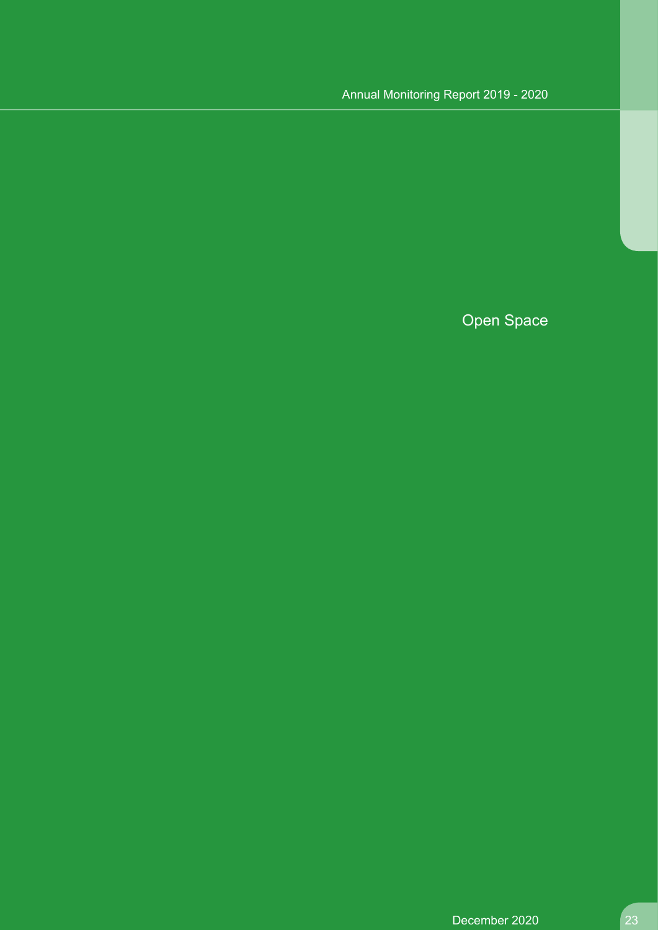Open Space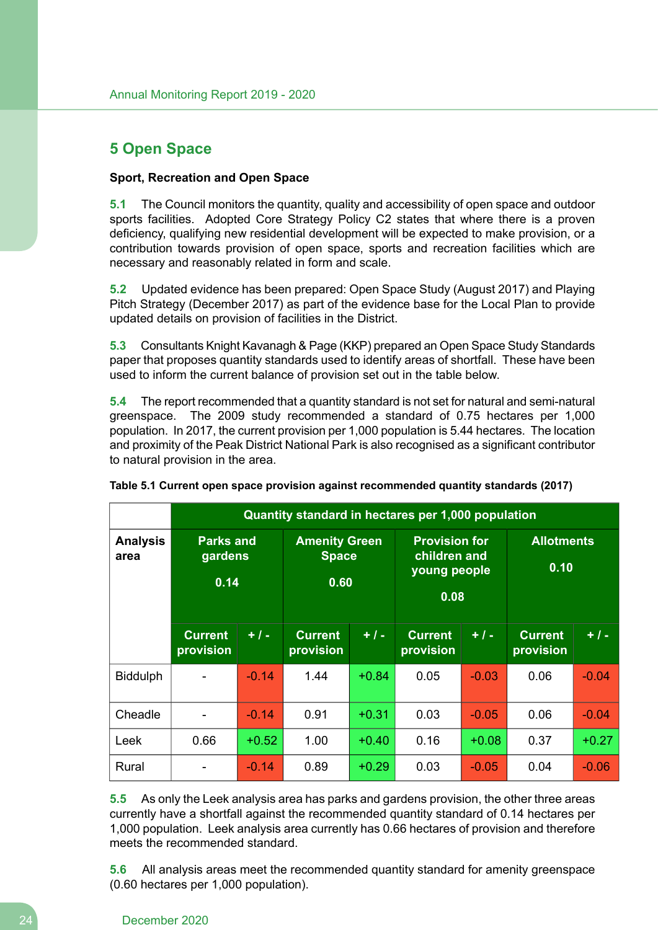# **5 Open Space**

## **Sport, Recreation and Open Space**

**5.1** The Council monitors the quantity, quality and accessibility of open space and outdoor sports facilities. Adopted Core Strategy Policy C2 states that where there is a proven deficiency, qualifying new residential development will be expected to make provision, or a contribution towards provision of open space, sports and recreation facilities which are necessary and reasonably related in form and scale.

**5.2** Updated evidence has been prepared: Open Space Study (August 2017) and Playing Pitch Strategy (December 2017) as part of the evidence base for the Local Plan to provide updated details on provision of facilities in the District.

**5.3** Consultants Knight Kavanagh & Page (KKP) prepared an Open Space Study Standards paper that proposes quantity standards used to identify areas of shortfall. These have been used to inform the current balance of provision set out in the table below.

**5.4** The report recommended that a quantity standard is not set for natural and semi-natural greenspace. The 2009 study recommended a standard of 0.75 hectares per 1,000 population. In 2017, the current provision per 1,000 population is 5.44 hectares. The location and proximity of the Peak District National Park is also recognised as a significant contributor to natural provision in the area.

|                         | Quantity standard in hectares per 1,000 population |         |                                              |         |                                                              |         |                             |         |
|-------------------------|----------------------------------------------------|---------|----------------------------------------------|---------|--------------------------------------------------------------|---------|-----------------------------|---------|
| <b>Analysis</b><br>area | <b>Parks and</b><br>gardens<br>0.14                |         | <b>Amenity Green</b><br><b>Space</b><br>0.60 |         | <b>Provision for</b><br>children and<br>young people<br>0.08 |         | <b>Allotments</b><br>0.10   |         |
|                         | <b>Current</b><br>provision                        | $+1-$   | <b>Current</b><br>provision                  | $+1-$   | <b>Current</b><br>provision                                  | $+1-$   | <b>Current</b><br>provision | $+1-$   |
| <b>Biddulph</b>         |                                                    | $-0.14$ | 1.44                                         | $+0.84$ | 0.05                                                         | $-0.03$ | 0.06                        | $-0.04$ |
| Cheadle                 |                                                    | $-0.14$ | 0.91                                         | $+0.31$ | 0.03                                                         | $-0.05$ | 0.06                        | $-0.04$ |
| Leek                    | 0.66                                               | $+0.52$ | 1.00                                         | $+0.40$ | 0.16                                                         | $+0.08$ | 0.37                        | $+0.27$ |
| Rural                   |                                                    | $-0.14$ | 0.89                                         | $+0.29$ | 0.03                                                         | $-0.05$ | 0.04                        | $-0.06$ |

|  | Table 5.1 Current open space provision against recommended quantity standards (2017) |  |  |  |
|--|--------------------------------------------------------------------------------------|--|--|--|
|  |                                                                                      |  |  |  |

**5.5** As only the Leek analysis area has parks and gardens provision, the other three areas currently have a shortfall against the recommended quantity standard of 0.14 hectares per 1,000 population. Leek analysis area currently has 0.66 hectares of provision and therefore meets the recommended standard.

**5.6** All analysis areas meet the recommended quantity standard for amenity greenspace (0.60 hectares per 1,000 population).

#### 24 December 2020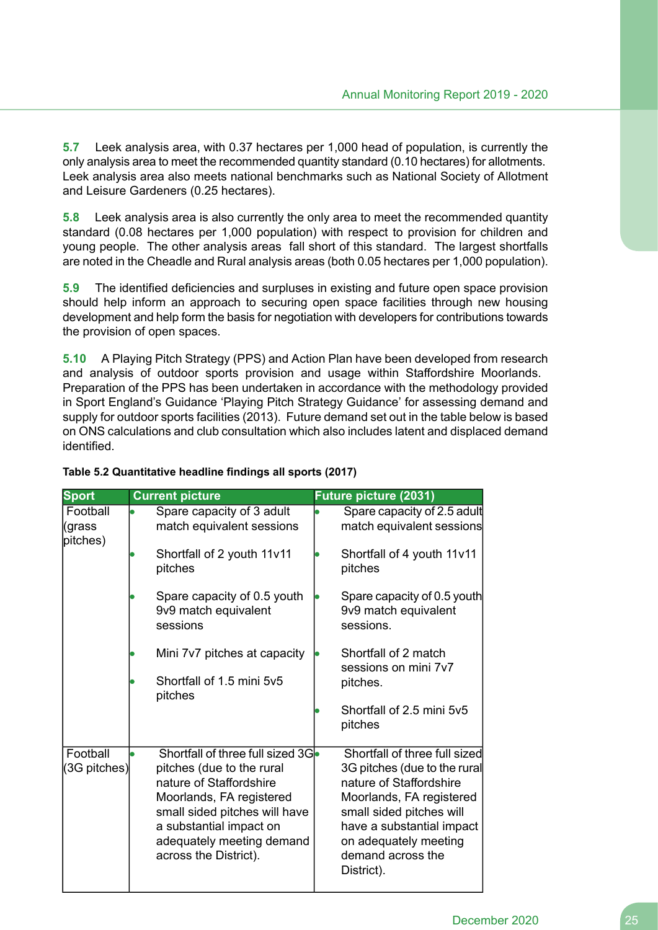**5.7** Leek analysis area, with 0.37 hectares per 1,000 head of population, is currently the only analysis area to meet the recommended quantity standard (0.10 hectares) for allotments. Leek analysis area also meets national benchmarks such as National Society of Allotment and Leisure Gardeners (0.25 hectares).

**5.8** Leek analysis area is also currently the only area to meet the recommended quantity standard (0.08 hectares per 1,000 population) with respect to provision for children and young people. The other analysis areas fall short of this standard. The largest shortfalls are noted in the Cheadle and Rural analysis areas (both 0.05 hectares per 1,000 population).

**5.9** The identified deficiencies and surpluses in existing and future open space provision should help inform an approach to securing open space facilities through new housing development and help form the basis for negotiation with developers for contributions towards the provision of open spaces.

**5.10** A Playing Pitch Strategy (PPS) and Action Plan have been developed from research and analysis of outdoor sports provision and usage within Staffordshire Moorlands. Preparation of the PPS has been undertaken in accordance with the methodology provided in Sport England's Guidance 'Playing Pitch Strategy Guidance' for assessing demand and supply for outdoor sports facilities (2013). Future demand set out in the table below is based on ONS calculations and club consultation which also includes latent and displaced demand identified.

| <b>Sport</b>                   | <b>Current picture</b>                                                                                                                                                                                                                 | <b>Future picture (2031)</b>                                                                                                                                                                                                              |
|--------------------------------|----------------------------------------------------------------------------------------------------------------------------------------------------------------------------------------------------------------------------------------|-------------------------------------------------------------------------------------------------------------------------------------------------------------------------------------------------------------------------------------------|
| Football<br>(grass<br>pitches) | Spare capacity of 3 adult<br>match equivalent sessions                                                                                                                                                                                 | Spare capacity of 2.5 adult<br>match equivalent sessions                                                                                                                                                                                  |
|                                | Shortfall of 2 youth 11v11<br>pitches                                                                                                                                                                                                  | Shortfall of 4 youth 11v11<br>pitches                                                                                                                                                                                                     |
|                                | Spare capacity of 0.5 youth<br>9v9 match equivalent<br>sessions                                                                                                                                                                        | Spare capacity of 0.5 youth<br>9v9 match equivalent<br>sessions.                                                                                                                                                                          |
|                                | Mini 7v7 pitches at capacity                                                                                                                                                                                                           | Shortfall of 2 match<br>sessions on mini 7y7                                                                                                                                                                                              |
|                                | Shortfall of 1.5 mini 5y5<br>pitches                                                                                                                                                                                                   | pitches.                                                                                                                                                                                                                                  |
|                                |                                                                                                                                                                                                                                        | Shortfall of 2.5 mini 5v5<br>pitches                                                                                                                                                                                                      |
| Football<br>(3G pitches)       | Shortfall of three full sized 3G<br>pitches (due to the rural<br>nature of Staffordshire<br>Moorlands, FA registered<br>small sided pitches will have<br>a substantial impact on<br>adequately meeting demand<br>across the District). | Shortfall of three full sized<br>3G pitches (due to the rural<br>nature of Staffordshire<br>Moorlands, FA registered<br>small sided pitches will<br>have a substantial impact<br>on adequately meeting<br>demand across the<br>District). |

## **Table 5.2 Quantitative headline findings all sports (2017)**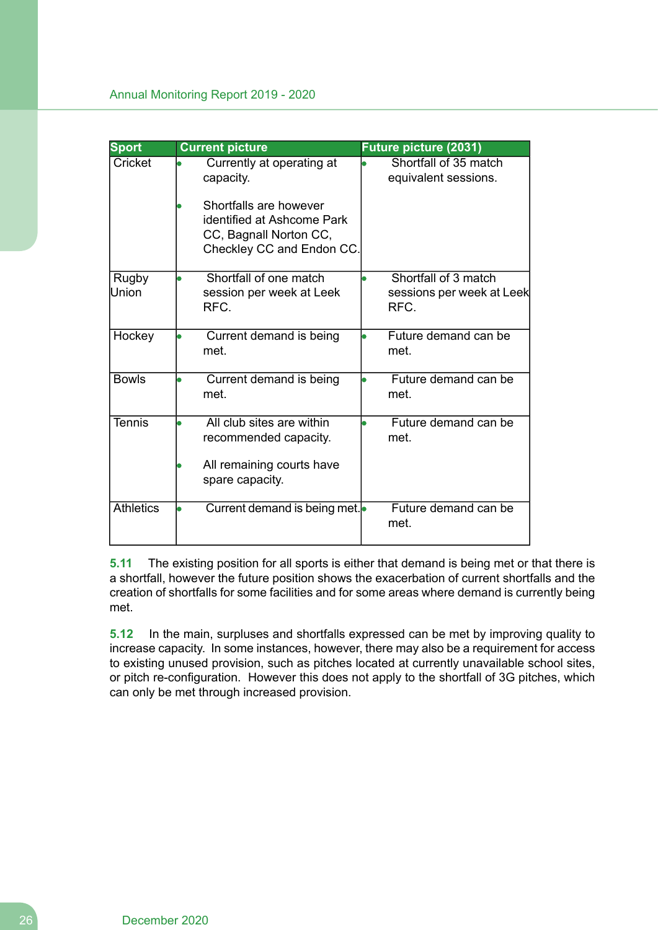| <b>Sport</b>          | <b>Current picture</b>                                                                                      | Future picture (2031)                                     |
|-----------------------|-------------------------------------------------------------------------------------------------------------|-----------------------------------------------------------|
| Cricket               | Currently at operating at<br>capacity.                                                                      | Shortfall of 35 match<br>equivalent sessions.             |
|                       | Shortfalls are however<br>identified at Ashcome Park<br>CC, Bagnall Norton CC,<br>Checkley CC and Endon CC. |                                                           |
| <b>Rugby</b><br>Union | Shortfall of one match<br>session per week at Leek<br>RFC.                                                  | Shortfall of 3 match<br>sessions per week at Leek<br>RFC. |
| Hockey                | Current demand is being<br>met                                                                              | Future demand can be<br>met.                              |
| <b>Bowls</b>          | Current demand is being<br>met.                                                                             | Future demand can be<br>met.                              |
| Tennis                | All club sites are within<br>recommended capacity.<br>All remaining courts have<br>spare capacity.          | Future demand can be<br>met.                              |
| <b>Athletics</b>      | Current demand is being met.                                                                                | Future demand can be<br>met.                              |

**5.11** The existing position for all sports is either that demand is being met or that there is a shortfall, however the future position shows the exacerbation of current shortfalls and the creation of shortfalls for some facilities and for some areas where demand is currently being met.

**5.12** In the main, surpluses and shortfalls expressed can be met by improving quality to increase capacity. In some instances, however, there may also be a requirement for access to existing unused provision, such as pitches located at currently unavailable school sites, or pitch re-configuration. However this does not apply to the shortfall of 3G pitches, which can only be met through increased provision.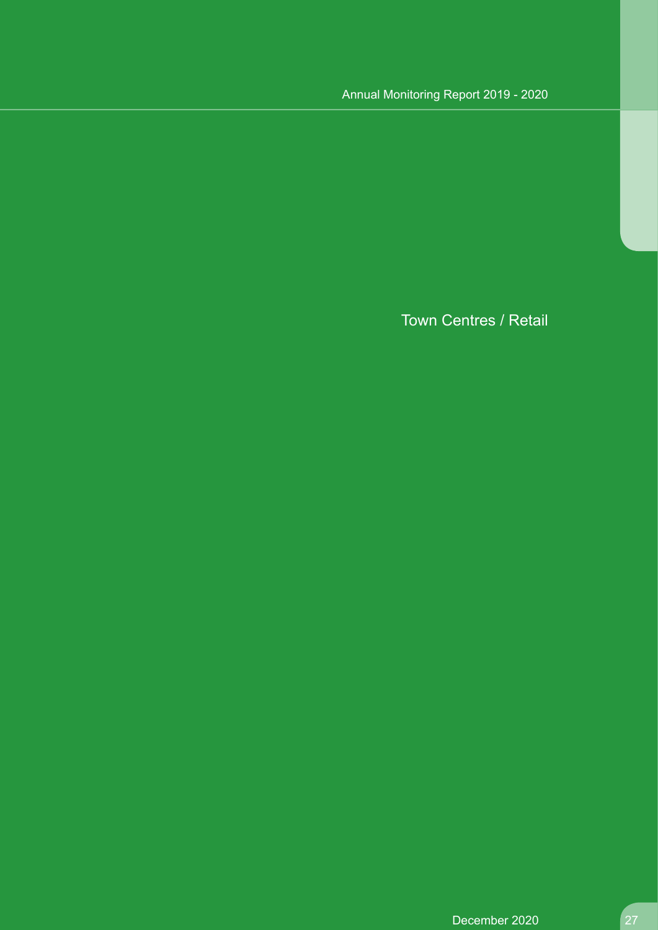Town Centres / Retail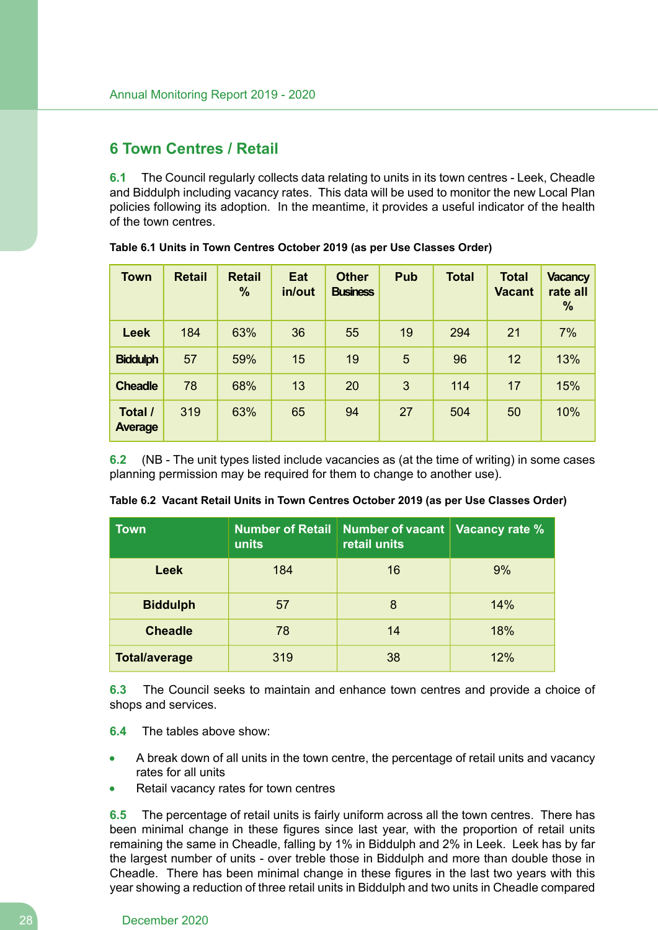# **6 Town Centres / Retail**

**6.1** The Council regularly collects data relating to units in its town centres - Leek, Cheadle and Biddulph including vacancy rates. This data will be used to monitor the new Local Plan policies following its adoption. In the meantime, it provides a useful indicator of the health of the town centres.

| <b>Town</b>               | <b>Retail</b> | <b>Retail</b><br>$\frac{0}{0}$ | Eat<br>in/out | <b>Other</b><br><b>Business</b> | Pub             | <b>Total</b> | <b>Total</b><br><b>Vacant</b> | <b>Vacancy</b><br>rate all<br>$\frac{0}{0}$ |
|---------------------------|---------------|--------------------------------|---------------|---------------------------------|-----------------|--------------|-------------------------------|---------------------------------------------|
| <b>Leek</b>               | 184           | 63%                            | 36            | 55                              | 19              | 294          | 21                            | 7%                                          |
| <b>Biddulph</b>           | 57            | 59%                            | 15            | 19                              | $5\phantom{.0}$ | 96           | $12 \overline{ }$             | 13%                                         |
| <b>Cheadle</b>            | 78            | 68%                            | 13            | 20                              | 3               | 114          | 17                            | 15%                                         |
| Total /<br><b>Average</b> | 319           | 63%                            | 65            | 94                              | 27              | 504          | 50                            | 10%                                         |

**Table 6.1 Units in Town Centres October 2019 (as per Use Classes Order)**

**6.2** (NB - The unit types listed include vacancies as (at the time of writing) in some cases planning permission may be required for them to change to another use).

| <b>Town</b>          | <b>Number of Retail</b><br>units | Number of vacant<br>retail units | <b>Vacancy rate %</b> |
|----------------------|----------------------------------|----------------------------------|-----------------------|
| <b>Leek</b>          | 184                              | 16                               | 9%                    |
| <b>Biddulph</b>      | 57                               | 8                                | 14%                   |
| <b>Cheadle</b>       | 78                               | 14                               | 18%                   |
| <b>Total/average</b> | 319                              | 38                               | 12%                   |

|  |  |  |  |  |  | Table 6.2 Vacant Retail Units in Town Centres October 2019 (as per Use Classes Order) |
|--|--|--|--|--|--|---------------------------------------------------------------------------------------|
|--|--|--|--|--|--|---------------------------------------------------------------------------------------|

**6.3** The Council seeks to maintain and enhance town centres and provide a choice of shops and services.

- **6.4** The tables above show:
- A break down of all units in the town centre, the percentage of retail units and vacancy rates for all units
- Retail vacancy rates for town centres

**6.5** The percentage of retail units is fairly uniform across all the town centres. There has been minimal change in these figures since last year, with the proportion of retail units remaining the same in Cheadle, falling by 1% in Biddulph and 2% in Leek. Leek has by far the largest number of units - over treble those in Biddulph and more than double those in Cheadle. There has been minimal change in these figures in the last two years with this year showing a reduction of three retail units in Biddulph and two units in Cheadle compared

#### 28 December 2020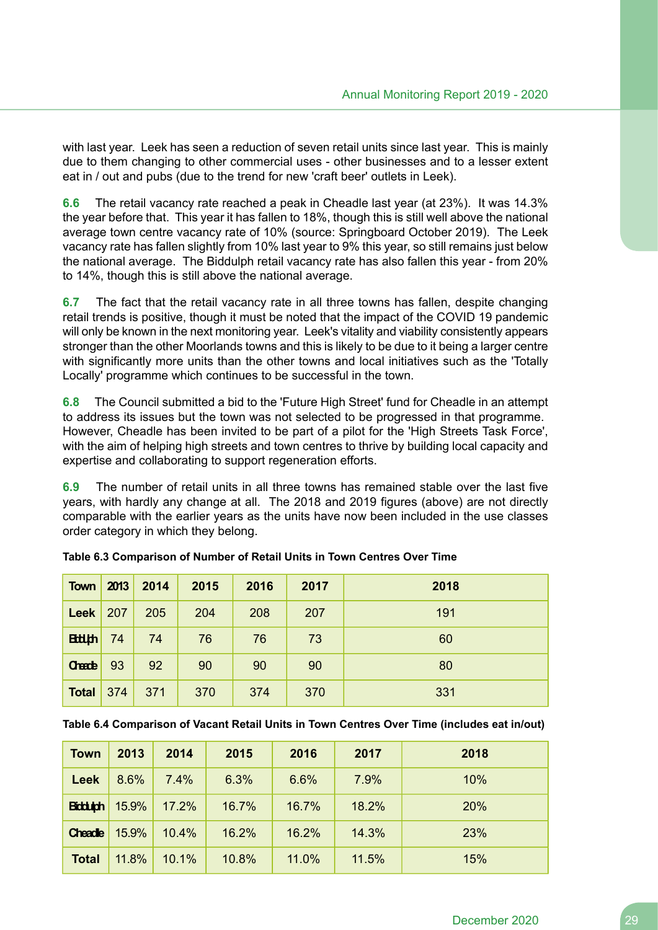with last year. Leek has seen a reduction of seven retail units since last year. This is mainly due to them changing to other commercial uses - other businesses and to a lesser extent eat in / out and pubs (due to the trend for new 'craft beer' outlets in Leek).

**6.6** The retail vacancy rate reached a peak in Cheadle last year (at 23%). It was 14.3% the year before that. This year it has fallen to 18%, though this is still well above the national average town centre vacancy rate of 10% (source: Springboard October 2019). The Leek vacancy rate has fallen slightly from 10% last year to 9% this year, so still remains just below the national average. The Biddulph retail vacancy rate has also fallen this year - from 20% to 14%, though this is still above the national average.

**6.7** The fact that the retail vacancy rate in all three towns has fallen, despite changing retail trends is positive, though it must be noted that the impact of the COVID 19 pandemic will only be known in the next monitoring year. Leek's vitality and viability consistently appears stronger than the other Moorlands towns and this is likely to be due to it being a larger centre with significantly more units than the other towns and local initiatives such as the 'Totally Locally' programme which continues to be successful in the town.

**6.8** The Council submitted a bid to the 'Future High Street' fund for Cheadle in an attempt to address its issues but the town was not selected to be progressed in that programme. However, Cheadle has been invited to be part of a pilot for the 'High Streets Task Force', with the aim of helping high streets and town centres to thrive by building local capacity and expertise and collaborating to support regeneration efforts.

**6.9** The number of retail units in all three towns has remained stable over the last five years, with hardly any change at all. The 2018 and 2019 figures (above) are not directly comparable with the earlier years as the units have now been included in the use classes order category in which they belong.

| <b>Town</b>   | 2013 | 2014 | 2015 | 2016 | 2017 | 2018 |
|---------------|------|------|------|------|------|------|
| <b>Leek</b>   | 207  | 205  | 204  | 208  | 207  | 191  |
| <b>Ettiph</b> | 74   | 74   | 76   | 76   | 73   | 60   |
| Check         | 93   | 92   | 90   | 90   | 90   | 80   |
| <b>Total</b>  | 374  | 371  | 370  | 374  | 370  | 331  |

| Table 6.3 Comparison of Number of Retail Units in Town Centres Over Time |  |  |
|--------------------------------------------------------------------------|--|--|
|--------------------------------------------------------------------------|--|--|

**Table 6.4 Comparison of Vacant Retail Units in Town Centres Over Time (includes eat in/out)**

| <b>Town</b>    | 2013  | 2014  | 2015  | 2016  | 2017  | 2018 |
|----------------|-------|-------|-------|-------|-------|------|
| <b>Leek</b>    | 8.6%  | 7.4%  | 6.3%  | 6.6%  | 7.9%  | 10%  |
| <b>Bidduph</b> | 15.9% | 17.2% | 16.7% | 16.7% | 18.2% | 20%  |
| Cheade         | 15.9% | 10.4% | 16.2% | 16.2% | 14.3% | 23%  |
| <b>Total</b>   | 11.8% | 10.1% | 10.8% | 11.0% | 11.5% | 15%  |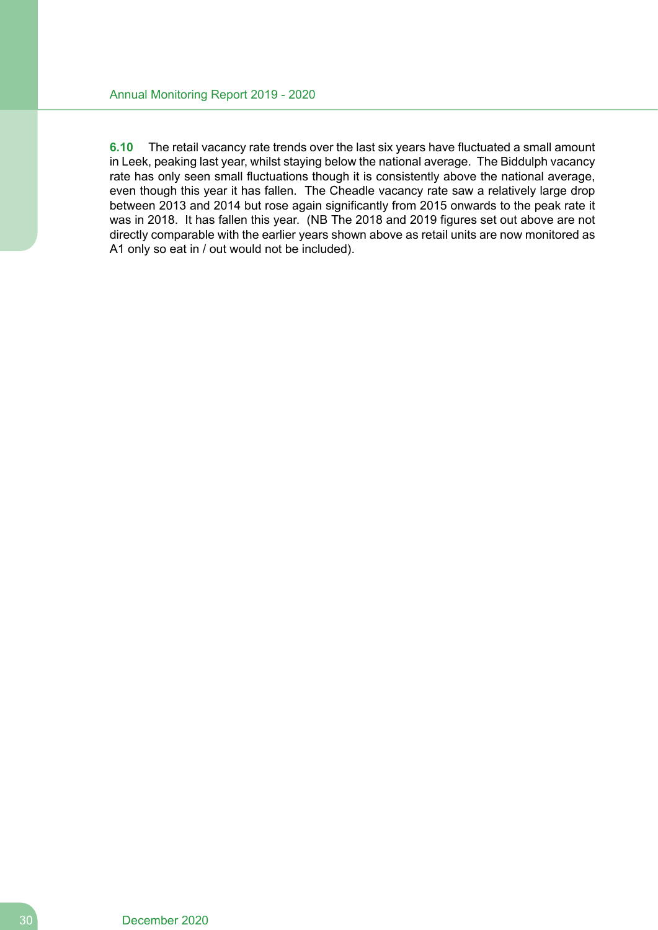**6.10** The retail vacancy rate trends over the last six years have fluctuated a small amount in Leek, peaking last year, whilst staying below the national average. The Biddulph vacancy rate has only seen small fluctuations though it is consistently above the national average, even though this year it has fallen. The Cheadle vacancy rate saw a relatively large drop between 2013 and 2014 but rose again significantly from 2015 onwards to the peak rate it was in 2018. It has fallen this year. (NB The 2018 and 2019 figures set out above are not directly comparable with the earlier years shown above as retail units are now monitored as A1 only so eat in / out would not be included).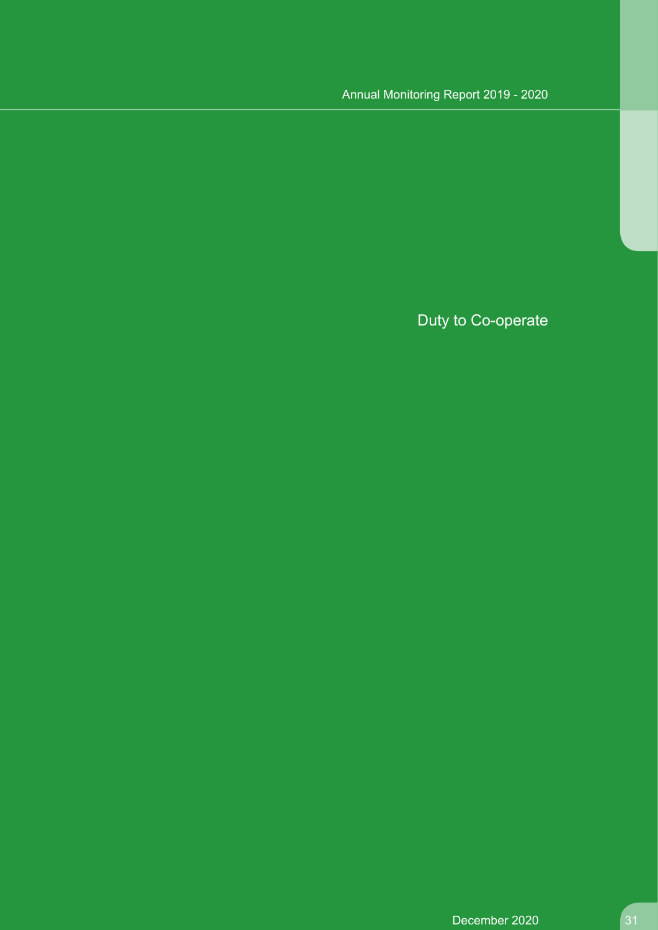Duty to Co-operate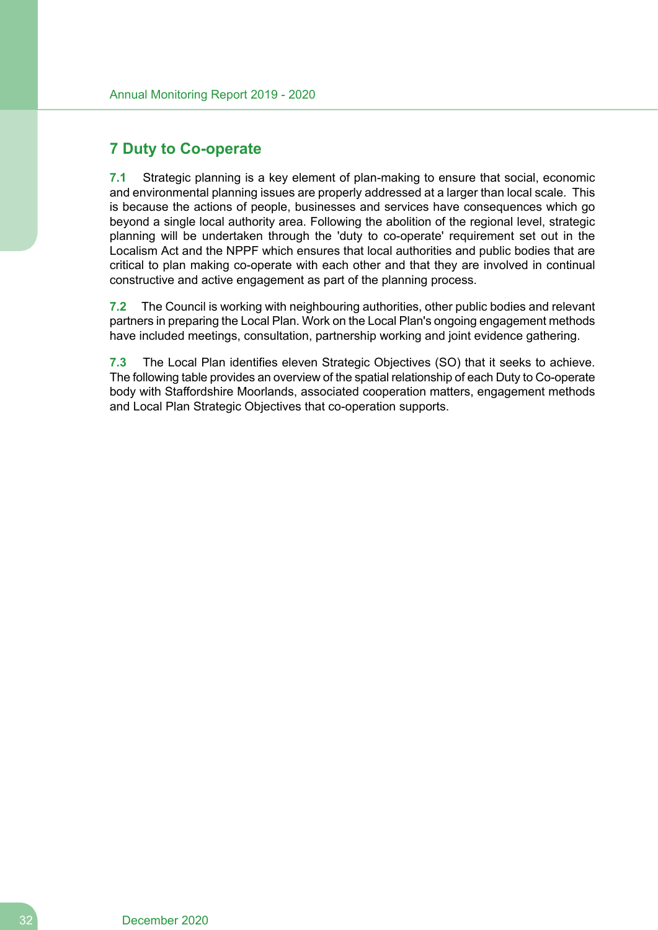# **7 Duty to Co-operate**

**7.1** Strategic planning is a key element of plan-making to ensure that social, economic and environmental planning issues are properly addressed at a larger than local scale. This is because the actions of people, businesses and services have consequences which go beyond a single local authority area. Following the abolition of the regional level, strategic planning will be undertaken through the 'duty to co-operate' requirement set out in the Localism Act and the NPPF which ensures that local authorities and public bodies that are critical to plan making co-operate with each other and that they are involved in continual constructive and active engagement as part of the planning process.

**7.2** The Council is working with neighbouring authorities, other public bodies and relevant partners in preparing the Local Plan. Work on the Local Plan's ongoing engagement methods have included meetings, consultation, partnership working and joint evidence gathering.

**7.3** The Local Plan identifies eleven Strategic Objectives (SO) that it seeks to achieve. The following table provides an overview of the spatial relationship of each Duty to Co-operate body with Staffordshire Moorlands, associated cooperation matters, engagement methods and Local Plan Strategic Objectives that co-operation supports.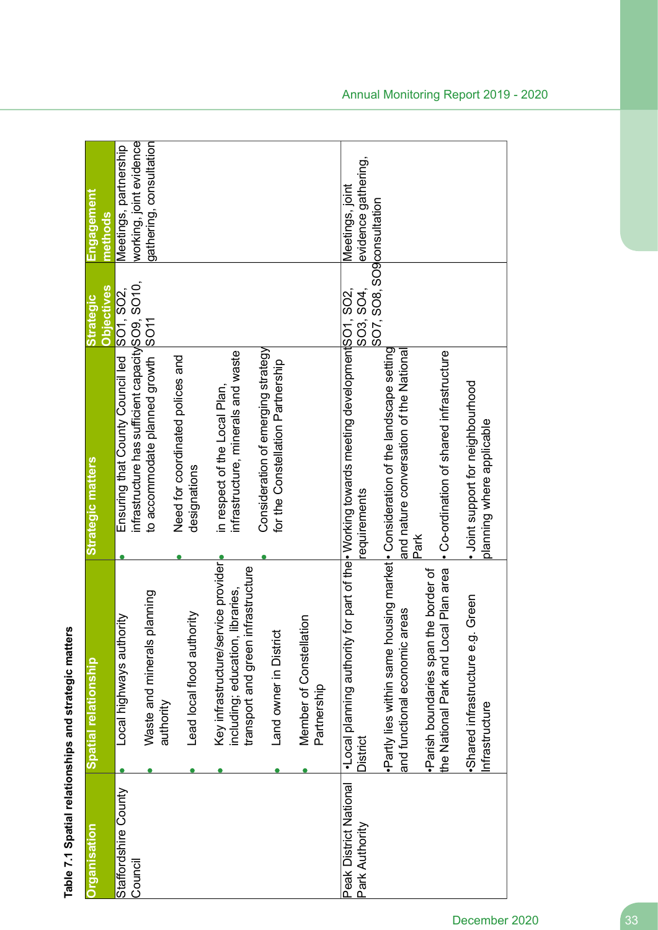| <u><b>Organisation</b></u>               | Spatial relationship                                                                                          | <b>Strategic matters</b>                                                                                                    | <b>Objectives</b><br><b>Strategic</b> | Engagement<br>methods                            |
|------------------------------------------|---------------------------------------------------------------------------------------------------------------|-----------------------------------------------------------------------------------------------------------------------------|---------------------------------------|--------------------------------------------------|
| Staffordshire County<br>Council          | Local highways authority                                                                                      | infrastructure has sufficient capacity SO9, SO10,<br>Ensuring that County Council led SO1, SO2,                             |                                       | working, joint evidence<br>Meetings, partnership |
|                                          | planning<br>Waste and minerals<br>authority                                                                   | to accommodate planned growth SO11                                                                                          |                                       | gathering, consultation                          |
|                                          | Lead local flood authority                                                                                    | Need for coordinated polices and<br>designations                                                                            |                                       |                                                  |
|                                          | Key infrastructure/service provider<br>transport and green infrastructure<br>including; education, libraries, | infrastructure, minerals and waste<br>in respect of the Local Plan,                                                         |                                       |                                                  |
|                                          | Land owner in District                                                                                        | Consideration of emerging strategy<br>for the Constellation Partnership                                                     |                                       |                                                  |
|                                          | Member of Constellation<br>Partnership                                                                        |                                                                                                                             |                                       |                                                  |
| Peak District National<br>Park Authority | •Local planning authority<br>District                                                                         | for part of the<br> • Working towards meeting development SO1, SO2,<br>requirements                                         | SO3, SO4,                             | evidence gathering,<br>Meetings, joint           |
|                                          | and functional economic areas                                                                                 | ·Partly lies within same housing market • Consideration of the landscape setting<br>and nature conversation of the National | SO7, SO8, SO9consultation             |                                                  |
|                                          | the National Park and Local Plan area<br>Parish boundaries span the border of                                 | • Co-ordination of shared infrastructure<br>Park                                                                            |                                       |                                                  |
|                                          | Green<br>Shared infrastructure e.g.<br>Infrastructure                                                         | · Joint support for neighbourhood<br>planning where applicable                                                              |                                       |                                                  |

# Table 7.1 Spatial relationships and strategic matters **Table 7.1 Spatial relationships and strategic matters**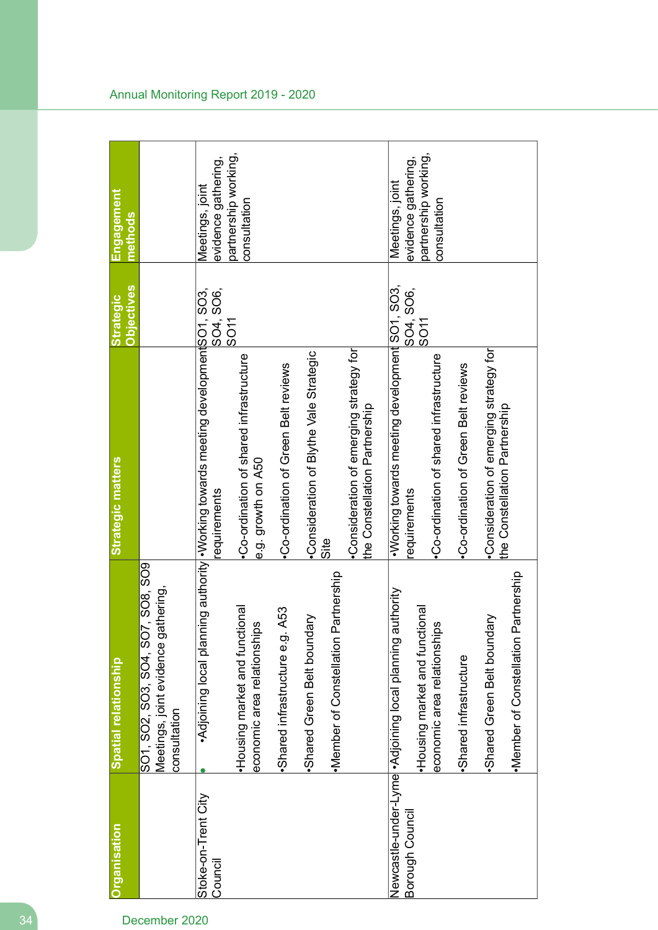| Organisation                   | Spatial relationship                                                                     | Strategic matters                                                                              | <b>Objectives</b><br><b>Strategic</b> | Engagement<br>methods                  |
|--------------------------------|------------------------------------------------------------------------------------------|------------------------------------------------------------------------------------------------|---------------------------------------|----------------------------------------|
|                                | SO1, SO2, SO3, SO4, SO7, SO8, SO9<br>Meetings, joint evidence gathering,<br>consultation |                                                                                                |                                       |                                        |
| Stoke-on-Trent City<br>Council |                                                                                          | •Adjoining local planning authority • Vorking towards meeting development SO3,<br>requirements | SO4, SO6,                             | evidence gathering,<br>Meetings, joint |
|                                | ional<br>ഗ<br>Housing market and functi<br>economic area relationship                    | •Co-ordination of shared infrastructure<br>e.g. growth on A50                                  | SO <sub>11</sub>                      | partnership working,<br>consultation   |
|                                | A53<br>Shared infrastructure e.g.                                                        | •Co-ordination of Green Belt reviews                                                           |                                       |                                        |
|                                | Shared Green Belt boundary                                                               | Consideration of Blythe Vale Strategic                                                         |                                       |                                        |
|                                | ·Member of Constellation Partnership                                                     | Site                                                                                           |                                       |                                        |
|                                |                                                                                          | Consideration of emerging strategy for<br>the Constellation Partnership                        |                                       |                                        |
| Borough Council                | Newcastle-under-Lyme  • Adjoining local planning authority                               | •Working towards meeting development SO1, SO3,<br>requirements                                 | SO4, SO6,                             | evidence gathering,<br>Meetings, joint |
|                                | ional<br>ഗ<br>Housing market and functi-<br>economic area relationship                   | •Co-ordination of shared infrastructure                                                        | ISO <sub>11</sub>                     | partnership working,<br>consultation   |
|                                | ·Shared infrastructure                                                                   | Co-ordination of Green Belt reviews                                                            |                                       |                                        |
|                                | Shared Green Belt boundary                                                               | •Consideration of emerging strategy for<br>the Constellation Partnership                       |                                       |                                        |
|                                | ·Member of Constellation Partnership                                                     |                                                                                                |                                       |                                        |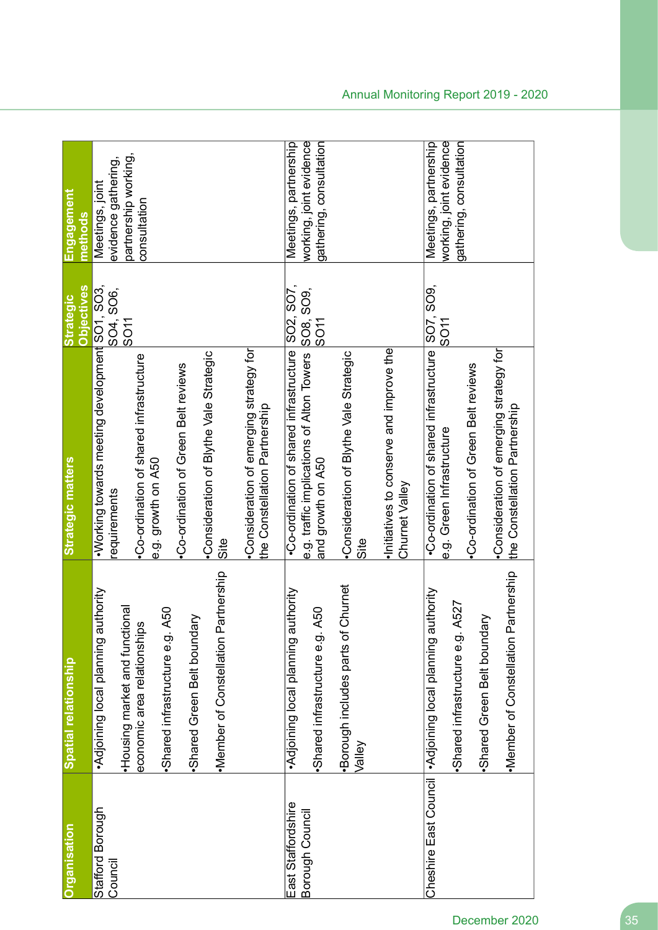| Organisation                          | Spatial relationship                                                                                                                                                                                                      | Strategic matters                                                                                                                                                                                                                                                                                                   | Objectives<br><b>Strategic</b> | Engagement<br>nethods                                                          |
|---------------------------------------|---------------------------------------------------------------------------------------------------------------------------------------------------------------------------------------------------------------------------|---------------------------------------------------------------------------------------------------------------------------------------------------------------------------------------------------------------------------------------------------------------------------------------------------------------------|--------------------------------|--------------------------------------------------------------------------------|
| Stafford Borough<br>Council           | Partnership<br>Adjoining local planning authority<br>Housing market and functional<br>A50<br>ЯŊ<br>N<br>economic area relationship<br>·Member of Constellation F<br>Shared infrastructure e.g.<br>Shared Green Belt bound | • Working towards meeting development SO1, SO3,<br>Consideration of emerging strategy for<br>Consideration of Blythe Vale Strategic<br>•Co-ordination of shared infrastructure<br>•Co-ordination of Green Belt reviews<br>the Constellation Partnership<br>e.g. growth on A50<br>requirements<br>$rac{1}{\sqrt{2}}$ | SO4, SO6,<br>SO <sub>11</sub>  | partnership working,<br>evidence gathering,<br>Meetings, joint<br>consultation |
| East Staffordshire<br>Borough Council | Churnet<br>•Adjoining local planning authority<br>A50<br>·Borough includes parts of<br>Shared infrastructure e.g.<br>Valley                                                                                               | •Co-ordination of shared infrastructure SO2, SO7,<br>Initiatives to conserve and improve the<br>e.g. traffic implications of Alton Towers<br>Consideration of Blythe Vale Strategic<br>and growth on A50<br>Churnet Valley<br>Site                                                                                  | SO8, SO9,<br><b>IDOS</b>       | working, joint evidence<br>gathering, consultation<br>Meetings, partnership    |
|                                       | ·Member of Constellation Partnership<br>Cheshire East Council   ^Adjoining local planning authority<br>A527<br>Μ<br>Shared Green Belt bound<br>Shared infrastructure e.g.                                                 | •Co-ordination of shared infrastructure SO7, SO9,<br>•Consideration of emerging strategy for<br>•Co-ordination of Green Belt reviews<br>the Constellation Partnership<br>e.g. Green Infrastructure                                                                                                                  | SO <sub>11</sub>               | working, joint evidence<br>gathering, consultation<br>Meetings, partnership    |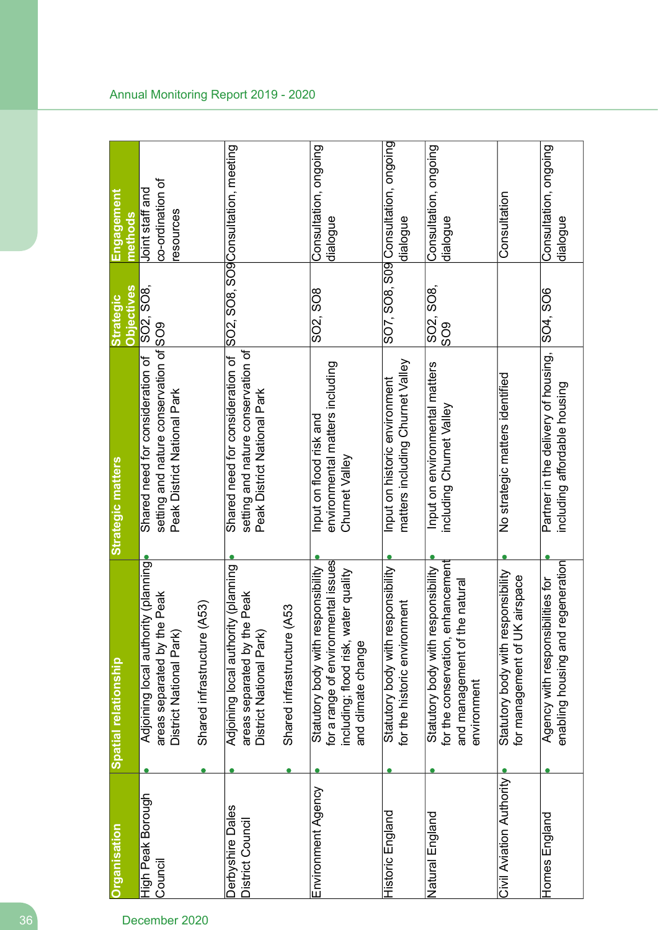| Organisation                         | Spatial relationship                                                                                                                    | Strategic matters                                                                                         | <b>Objectives</b><br><b>Strategic</b> | <u>Engagement</u><br>methods                     |
|--------------------------------------|-----------------------------------------------------------------------------------------------------------------------------------------|-----------------------------------------------------------------------------------------------------------|---------------------------------------|--------------------------------------------------|
| High Peak Borough<br>Council         | Adjoining local authority (planning<br>areas separated by the Peak<br>District National Park                                            | setting and nature conservation of SO9<br>Shared need for consideration of<br>Peak District National Park | SO2, SO8,                             | co-ordination of<br>Joint staff and<br>resources |
|                                      | (A53)<br>Shared infrastructure                                                                                                          |                                                                                                           |                                       |                                                  |
| Derbyshire Dales<br>District Council | Adjoining local authority (planning<br>areas separated by the Peak<br>District National Park                                            | setting and nature conservation of<br>Shared need for consideration of<br>Peak District National Park     |                                       | SO2, SO8, SO9Consultation, meeting               |
|                                      | (A53<br>Shared infrastructure                                                                                                           |                                                                                                           |                                       |                                                  |
| Environment Agency                   | for a range of environmental issues<br>Statutory body with responsibility<br>including; flood risk, water quality<br>and climate change | environmental matters including<br>Input on flood risk and<br>Churnet Valley                              | SO2, SO8                              | Consultation, ongoing<br>dialogue                |
| Historic England                     | Statutory body with responsibility<br>for the historic environment                                                                      | matters including Churnet Valley<br>Input on historic environment                                         |                                       | SO7, SO8, S09 Consultation, ongoing<br>dialogue  |
| Natural England                      | enhancement<br>responsibility<br>the natural<br>Statutory body with a<br>and management of<br>for the conservation,<br>environment      | Input on environmental matters<br>including Churnet Valley                                                | SO2, SO8,<br>809                      | Consultation, ongoing<br>dialogue                |
| Civil Aviation Authority             | Statutory body with responsibility<br>for management of UK airspace                                                                     | No strategic matters identified                                                                           |                                       | Consultation                                     |
| Homes England                        | regeneration<br>Agency with responsibilities for<br>enabling housing and                                                                | Partner in the delivery of housing,<br>including affordable housing                                       | SO4, SO6                              | Consultation, ongoing<br>dialogue                |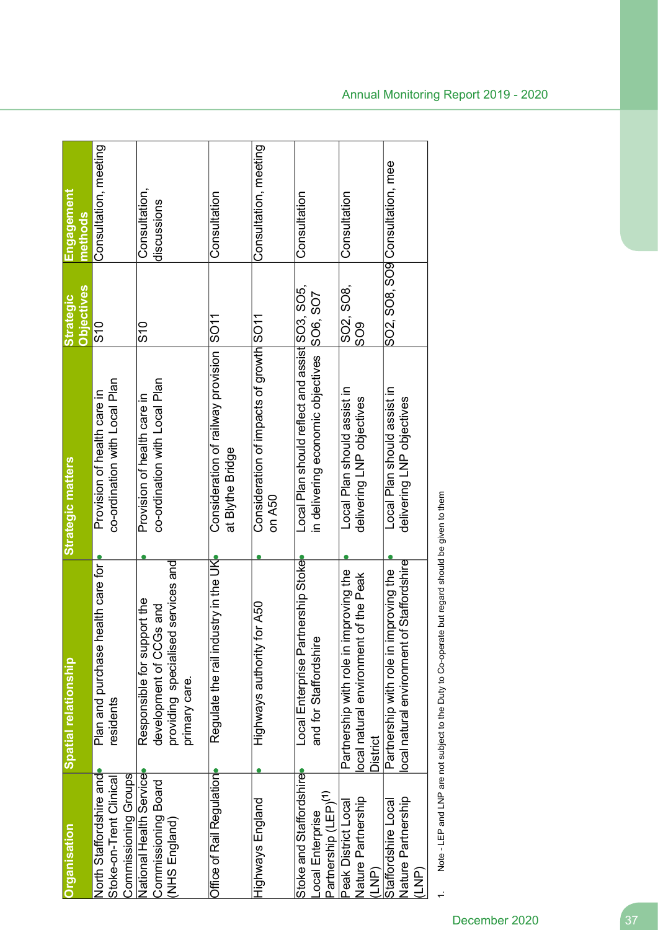| <b>Organisation</b>                                                             | Spatial relationship                                                                                          | Strategic matters                                                                   | <b>Objectives</b><br><b>Strategic</b> | Engagement<br>methods           |
|---------------------------------------------------------------------------------|---------------------------------------------------------------------------------------------------------------|-------------------------------------------------------------------------------------|---------------------------------------|---------------------------------|
| Commissioning Groups<br>North Staffordshire and<br>Stoke-on-Trent Clinical      | realth care for<br>Plan and purchase<br>residents                                                             | co-ordination with Local Plan<br>Provision of health care in                        | $\frac{6}{5}$                         | Consultation, meeting           |
| National Health Service<br>Commissioning Board<br>(NHS England)                 | providing specialised services and<br>Responsible for support the<br>development of CCGs and<br>primary care. | co-ordination with Local Plan<br>Provision of health care in                        | $\frac{0}{2}$                         | Consultation,<br>discussions    |
| Office of Rail Regulation                                                       | Regulate the rail industry in the UK                                                                          | Consideration of railway provision SO11<br>at Blythe Bridge                         |                                       | Consultation                    |
| Highways England                                                                | for A50<br>Highways authority                                                                                 | Consideration of impacts of growth SO11<br>on A50                                   |                                       | Consultation, meeting           |
| Stoke and Staffordshire<br>Partnership (LEP) <sup>(1)</sup><br>-ocal Enterprise | Local Enterprise Partnership Stoke<br>and for Staffordshire                                                   | Local Plan should reflect and assist SO3, SO5,<br>in delivering economic objectives | SO6, SO7                              | Consultation                    |
| Nature Partnership<br>Peak District Local<br>(LNP)                              | mproving the<br>of the Peak<br>Partnership with role in ir<br>ocal natural environment<br>District            | Local Plan should assist in<br>delivering LNP objectives                            | SO2, SO8,<br>$\frac{8}{2}$            | Consultation                    |
| Nature Partnership<br>Staffordshire Local<br>(LNP)                              | of Staffordshire<br>mproving the<br>Partnership with role in i<br>ocal natural environment                    | Local Plan should assist in<br>delivering LNP objectives                            |                                       | SO2, SO8, SO9 Consultation, mee |
|                                                                                 |                                                                                                               |                                                                                     |                                       |                                 |

Note - LEP and LNP are not subject to the Duty to Co-operate but regard should be given to them 1. Note - LEP and LNP are not subject to the Duty to Co-operate but regard should be given to them

 $\ddot{ }$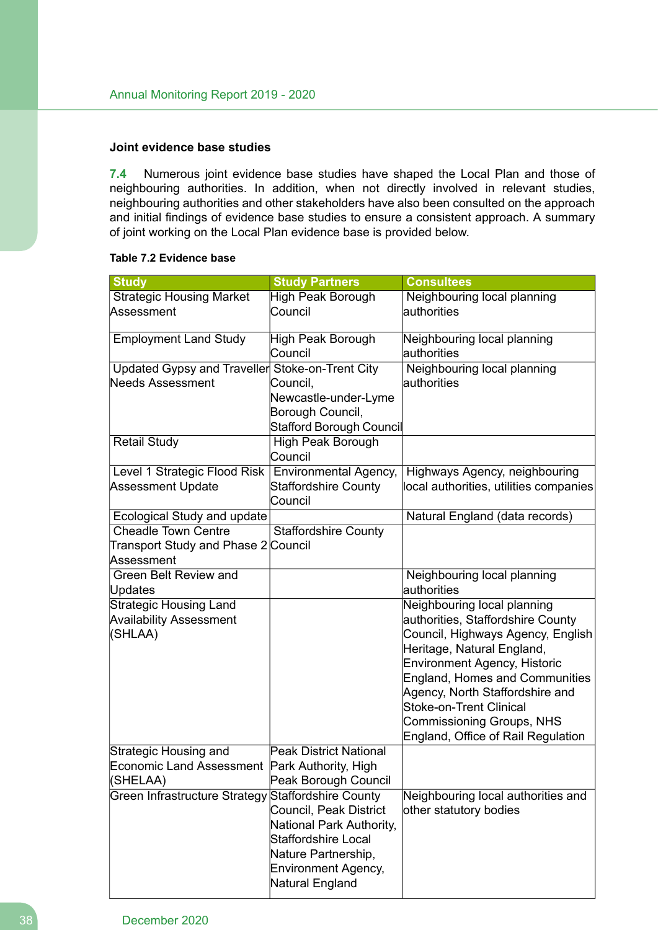### **Joint evidence base studies**

**7.4** Numerous joint evidence base studies have shaped the Local Plan and those of neighbouring authorities. In addition, when not directly involved in relevant studies, neighbouring authorities and other stakeholders have also been consulted on the approach and initial findings of evidence base studies to ensure a consistent approach. A summary of joint working on the Local Plan evidence base is provided below.

#### **Table 7.2 Evidence base**

| <b>Study</b>                                    | <b>Study Partners</b>                  | <b>Consultees</b>                                                            |
|-------------------------------------------------|----------------------------------------|------------------------------------------------------------------------------|
| <b>Strategic Housing Market</b>                 | <b>High Peak Borough</b>               | Neighbouring local planning                                                  |
| Assessment                                      | Council                                | authorities                                                                  |
| <b>Employment Land Study</b>                    | High Peak Borough                      | Neighbouring local planning                                                  |
|                                                 | Council                                | authorities                                                                  |
| Updated Gypsy and Traveller Stoke-on-Trent City |                                        | Neighbouring local planning                                                  |
| <b>Needs Assessment</b>                         | Council,                               | lauthorities                                                                 |
|                                                 | Newcastle-under-Lyme                   |                                                                              |
|                                                 | Borough Council,                       |                                                                              |
|                                                 | Stafford Borough Council               |                                                                              |
| <b>Retail Study</b>                             | High Peak Borough<br>Council           |                                                                              |
| Level 1 Strategic Flood Risk                    | <b>Environmental Agency,</b>           | Highways Agency, neighbouring                                                |
| <b>Assessment Update</b>                        | <b>Staffordshire County</b><br>Council | local authorities, utilities companies                                       |
| Ecological Study and update                     |                                        | Natural England (data records)                                               |
| <b>Cheadle Town Centre</b>                      | <b>Staffordshire County</b>            |                                                                              |
| Transport Study and Phase 2 Council             |                                        |                                                                              |
| Assessment                                      |                                        |                                                                              |
| <b>Green Belt Review and</b>                    |                                        | Neighbouring local planning                                                  |
| Updates                                         |                                        | authorities                                                                  |
| <b>Strategic Housing Land</b>                   |                                        | Neighbouring local planning                                                  |
| <b>Availability Assessment</b>                  |                                        | authorities, Staffordshire County                                            |
| (SHLAA)                                         |                                        | Council, Highways Agency, English                                            |
|                                                 |                                        | Heritage, Natural England,                                                   |
|                                                 |                                        | <b>Environment Agency, Historic</b><br><b>England, Homes and Communities</b> |
|                                                 |                                        | Agency, North Staffordshire and                                              |
|                                                 |                                        | Stoke-on-Trent Clinical                                                      |
|                                                 |                                        | Commissioning Groups, NHS                                                    |
|                                                 |                                        | England, Office of Rail Regulation                                           |
| Strategic Housing and                           | <b>Peak District National</b>          |                                                                              |
| Economic Land Assessment Park Authority, High   |                                        |                                                                              |
| (SHELAA)                                        | Peak Borough Council                   |                                                                              |
| Green Infrastructure Strategy                   | Staffordshire County                   | Neighbouring local authorities and                                           |
|                                                 | Council, Peak District                 | other statutory bodies                                                       |
|                                                 | National Park Authority,               |                                                                              |
|                                                 | <b>Staffordshire Local</b>             |                                                                              |
|                                                 | Nature Partnership,                    |                                                                              |
|                                                 | <b>Environment Agency,</b>             |                                                                              |
|                                                 | Natural England                        |                                                                              |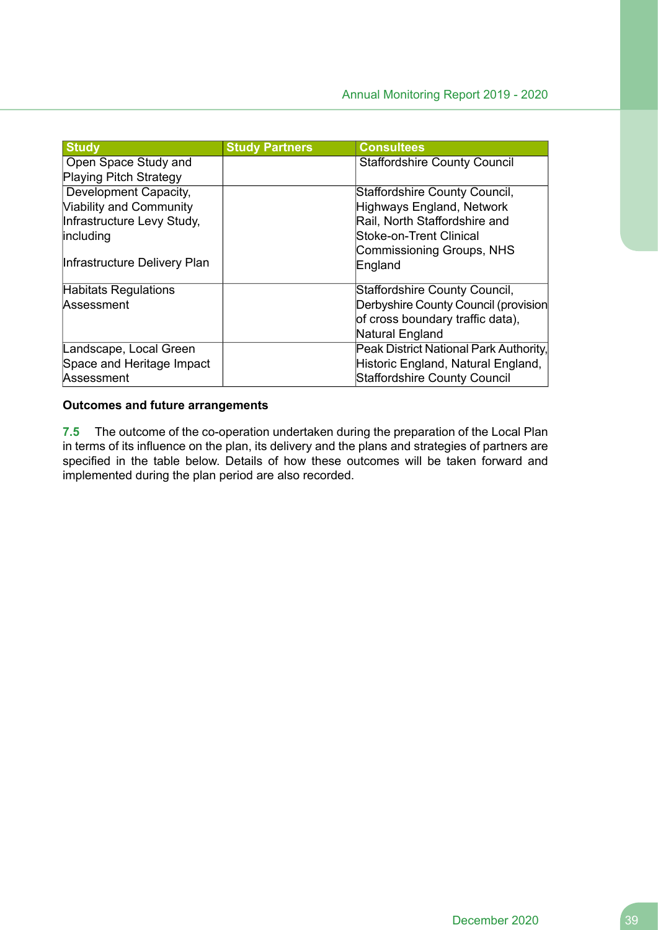| <b>Study</b>                   | <b>Study Partners</b> | <b>Consultees</b>                      |
|--------------------------------|-----------------------|----------------------------------------|
| Open Space Study and           |                       | <b>Staffordshire County Council</b>    |
| <b>Playing Pitch Strategy</b>  |                       |                                        |
| Development Capacity,          |                       | Staffordshire County Council,          |
| <b>Viability and Community</b> |                       | Highways England, Network              |
| Infrastructure Levy Study,     |                       | Rail, North Staffordshire and          |
| including                      |                       | Stoke-on-Trent Clinical                |
|                                |                       | Commissioning Groups, NHS              |
| Infrastructure Delivery Plan   |                       | England                                |
| Habitats Regulations           |                       | Staffordshire County Council,          |
| Assessment                     |                       | Derbyshire County Council (provision   |
|                                |                       | of cross boundary traffic data),       |
|                                |                       | Natural England                        |
| Landscape, Local Green         |                       | Peak District National Park Authority, |
| Space and Heritage Impact      |                       | Historic England, Natural England,     |
| Assessment                     |                       | Staffordshire County Council           |

### **Outcomes and future arrangements**

**7.5** The outcome of the co-operation undertaken during the preparation of the Local Plan in terms of its influence on the plan, its delivery and the plans and strategies of partners are specified in the table below. Details of how these outcomes will be taken forward and implemented during the plan period are also recorded.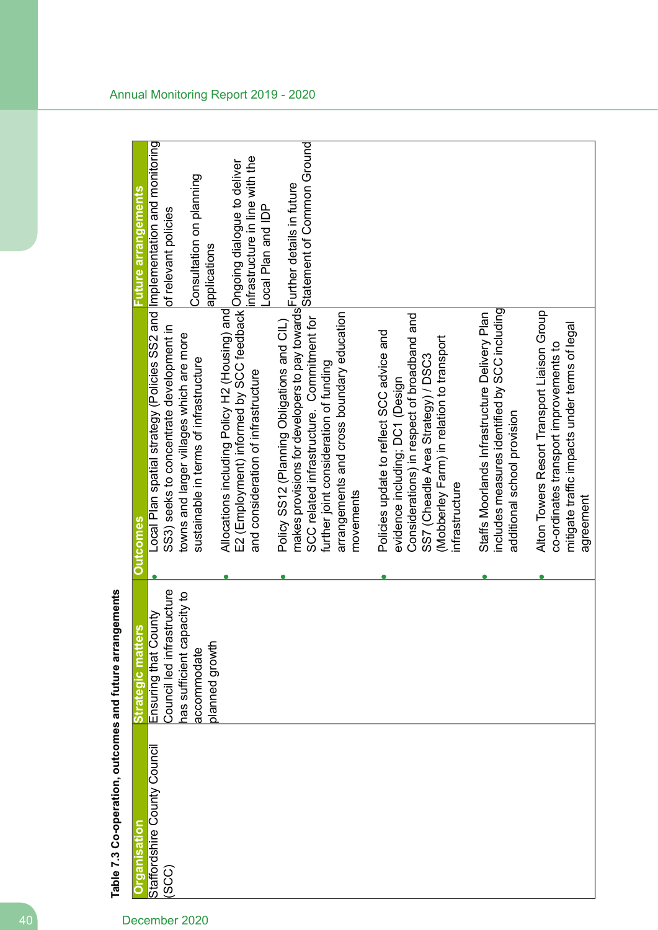| Organisation                          | 'n,<br>Strategic matter                                     | <b>Qutcomes</b>                                                                                                                                                                                                                  | Future arrangements                                   |
|---------------------------------------|-------------------------------------------------------------|----------------------------------------------------------------------------------------------------------------------------------------------------------------------------------------------------------------------------------|-------------------------------------------------------|
| Staffordshire County Council<br>(SCC) | Council led infrastructure<br>Ensuring that County          | Local Plan spatial strategy (Policies SS2 and  Implementation and monitoring<br>SS3) seeks to concentrate development in                                                                                                         | of relevant policies                                  |
|                                       | nas sufficient capacity to<br>planned growth<br>accommodate | towns and larger villages which are more<br>sustainable in terms of infrastructure                                                                                                                                               | Consultation on planning<br>applications              |
|                                       |                                                             | E2 (Employment) informed by SCC feedback Ongoing dialogue to deliver<br>Allocations including Policy H2 (Housing) and<br>and consideration of infrastructure                                                                     | infrastructure in line with the<br>Local Plan and IDP |
|                                       |                                                             | makes provisions for developers to pay towards <sup>I</sup> Further details in future<br>SCC related infrastructure. Commitment for<br>Policy SS12 (Planning Obligations and CIL)<br>further joint consideration of funding      | Statement of Common Ground                            |
|                                       |                                                             | arrangements and cross boundary education<br>movements                                                                                                                                                                           |                                                       |
|                                       |                                                             | Considerations) in respect of broadband and<br>Policies update to reflect SCC advice and<br>(Mobberley Farm) in relation to transport<br>SS7 (Cheadle Area Strategy) / DSC3<br>evidence including; DC1 (Design<br>infrastructure |                                                       |
|                                       |                                                             | includes measures identified by SCC including<br>Staffs Moorlands Infrastructure Delivery Plan<br>additional school provision                                                                                                    |                                                       |
|                                       |                                                             | Alton Towers Resort Transport Liaison Group<br>mitigate traffic impacts under terms of legal<br>co-ordinates transport improvements to<br>agreement                                                                              |                                                       |

Table 7.3 Co-operation, outcomes and future arrangements **Table 7.3 Co-operation, outcomes and future arrangements**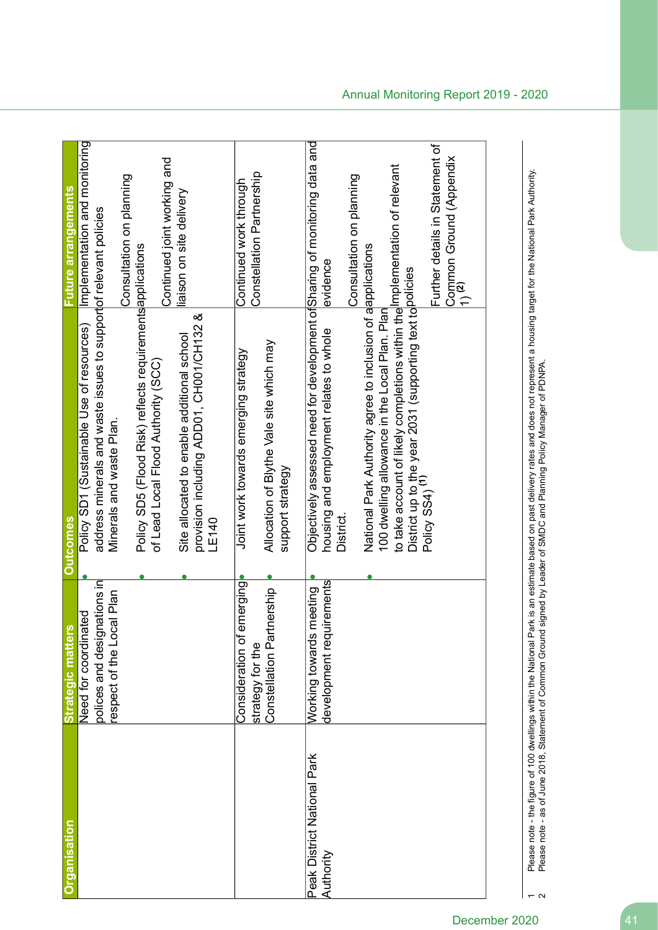| <b>Strategic matters</b><br><b>Drganisation</b>             |                                                                                  | <b>Outcomes</b>                                                                                                                                                                                                                                                                                                                                                                                                                              |                                                                                                                                             |
|-------------------------------------------------------------|----------------------------------------------------------------------------------|----------------------------------------------------------------------------------------------------------------------------------------------------------------------------------------------------------------------------------------------------------------------------------------------------------------------------------------------------------------------------------------------------------------------------------------------|---------------------------------------------------------------------------------------------------------------------------------------------|
|                                                             | polices and designations in<br>respect of the Local Plan<br>Need for coordinated | address minerals and waste issues to supportof relevant policies<br>Policy SD5 (Flood Risk) reflects requirements applications<br>య<br>Policy SD1 (Sustainable Use of resources)<br>provision including ADD01, CH001/CH132<br>Site allocated to enable additional school<br>of Lead Local Flood Authority (SCC)<br>Minerals and waste Plan.<br>LE140                                                                                         | Implementation and monitoring<br>Continued joint working and<br>Consultation on planning<br>Future arrangements<br>liaison on site delivery |
| Constellation Part<br>strategy for the                      | Consideration of emerging<br>nership                                             | Allocation of Blythe Vale site which may<br>Joint work towards emerging strategy<br>support strategy                                                                                                                                                                                                                                                                                                                                         | Constellation Partnership<br>Continued work through                                                                                         |
| Working towards<br>Peak District National Park<br>Authority | development requirements<br>neeting                                              | Objectively assessed need for development of Sharing of monitoring data and<br>to take account of likely completions within the Implementation of relevant<br>National Park Authority agree to inclusion of alapplications<br>District up to the year 2031 (supporting text to <mark>policies</mark><br>Policy SS4) <sup>(1)</sup><br>100 dwelling allowance in the Local Plan. Plan<br>housing and employment relates to whole<br>District. | Further details in Statement of<br>Common Ground (Appendix<br>1) <sup>(2)</sup><br>Consultation on planning<br>evidence                     |

Please note - the figure of 100 dwellings within the National Park is an estimate based on past delivery rates and does not represent a housing target for the National Park Authority.<br>Please note - as of June 2018, Stateme Please note - the figure of 100 dwellings within the National Park is an estimate based on past delivery rates and does not represent a housing target for the National Park Authority. Please note - as of June 2018, Statement of Common Ground signed by Leader of SMDC and Planning Policy Manager of PDNPA.

 $\overline{\phantom{a}}$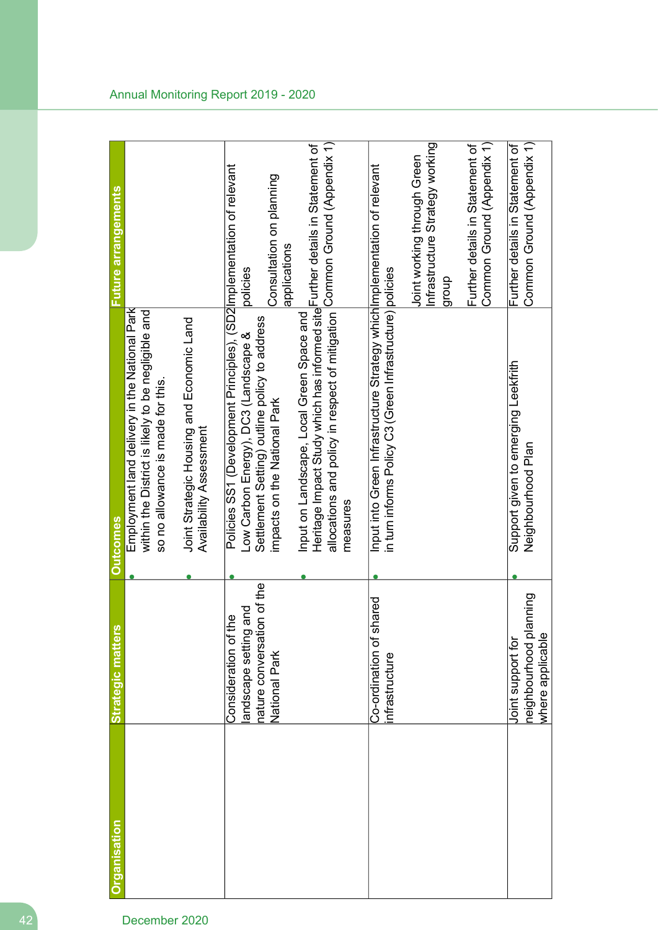| Strategic matter                                                                    | <b>Outcomes</b>                                                                         | <b>Future arrangements</b>                                                                                                                                                                                                                                                                                                                                                                                                                                       |
|-------------------------------------------------------------------------------------|-----------------------------------------------------------------------------------------|------------------------------------------------------------------------------------------------------------------------------------------------------------------------------------------------------------------------------------------------------------------------------------------------------------------------------------------------------------------------------------------------------------------------------------------------------------------|
|                                                                                     | within the District is likely to be negligible and<br>so no allowance is made for this. |                                                                                                                                                                                                                                                                                                                                                                                                                                                                  |
|                                                                                     | Joint Strategic Housing and Economic Land<br>Availability Assessment                    |                                                                                                                                                                                                                                                                                                                                                                                                                                                                  |
| nature conversation of the<br>and<br>e<br>A<br>andscape setting<br>Consideration of | Settlement Setting) outline policy to address<br>Low Carbon Energy), DC3 (Landscape &   | Consultation on planning<br>policies                                                                                                                                                                                                                                                                                                                                                                                                                             |
|                                                                                     | Input on Landscape, Local Green Space and<br>measures                                   | applications                                                                                                                                                                                                                                                                                                                                                                                                                                                     |
| Co-ordination of shared<br>nfrastructure                                            |                                                                                         |                                                                                                                                                                                                                                                                                                                                                                                                                                                                  |
|                                                                                     |                                                                                         | Infrastructure Strategy working<br>Joint working through Green<br>dnonb                                                                                                                                                                                                                                                                                                                                                                                          |
|                                                                                     |                                                                                         | Common Ground (Appendix 1)<br>Further details in Statement of                                                                                                                                                                                                                                                                                                                                                                                                    |
| lanning<br>where applicable<br>heighbourhood pl<br>Joint support for                | Support given to emerging Leekfrith<br>Neighbourhood Plan                               | Common Ground (Appendix 1)<br>Further details in Statement of                                                                                                                                                                                                                                                                                                                                                                                                    |
|                                                                                     | National Park                                                                           | allocations and policy in respect of mitigation Common Ground (Appendix 1)<br>Heritage Impact Study which has informed site Further details in Statement of<br>Policies SS1 (Development Principles), (SD2 Implementation of relevant<br>Input into Green Infrastructure Strategy which Implementation of relevant<br>in turn informs Policy C3 (Green Infrastructure) policies<br>Employment land delivery in the National Park<br>impacts on the National Park |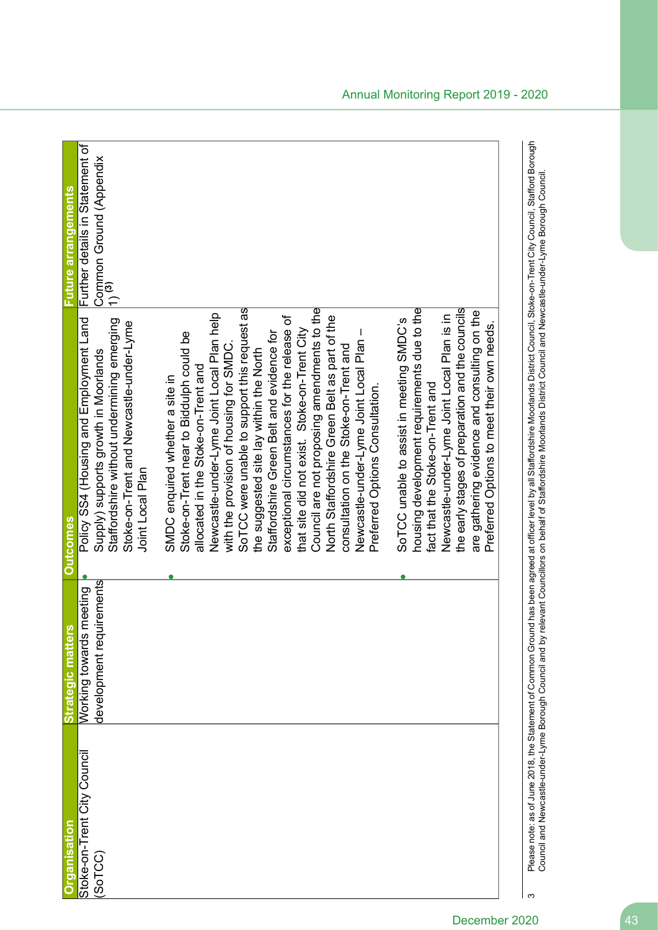| rganisation                                                      | <b>SO</b><br>Strategic matter                               | <b>Outcomes</b>                                                                                                                                                                                                                                             | Future arrangements                                                             |
|------------------------------------------------------------------|-------------------------------------------------------------|-------------------------------------------------------------------------------------------------------------------------------------------------------------------------------------------------------------------------------------------------------------|---------------------------------------------------------------------------------|
| Stoke-on-Trent City Council<br>(SoTCC)                           | uirements<br>meeting<br>Working towards<br>development requ | Policy SS4 (Housing and Employment Land<br>Staffordshire without undermining emerging<br>Stoke-on-Trent and Newcastle-under-Lyme<br>Supply) supports growth in Moorlands<br>Joint Local Plan                                                                | Further details in Statement of<br>Common Ground (Appendix<br>1) <sup>(3)</sup> |
|                                                                  |                                                             | SoTCC were unable to support this request as<br>Newcastle-under-Lyme Joint Local Plan help<br>Stoke-on-Trent near to Biddulph could be<br>with the provision of housing for SMDC.<br>allocated in the Stoke-on-Trent and<br>SMDC enquired whether a site in |                                                                                 |
|                                                                  |                                                             | exceptional circumstances for the release of<br>that site did not exist. Stoke-on-Trent City<br>Staffordshire Green Belt and evidence for<br>the suggested site lay within the North                                                                        |                                                                                 |
|                                                                  |                                                             | Council are not proposing amendments to the<br>North Staffordshire Green Belt as part of the<br>Newcastle-under-Lyme Joint Local Plan<br>consultation on the Stoke-on-Trent and                                                                             |                                                                                 |
|                                                                  |                                                             | Preferred Options Consultation.                                                                                                                                                                                                                             |                                                                                 |
|                                                                  |                                                             | housing development requirements due to the<br>SoTCC unable to assist in meeting SMDC's<br>fact that the Stoke-on-Trent and                                                                                                                                 |                                                                                 |
|                                                                  |                                                             | the early stages of preparation and the councils<br>are gathering evidence and consulting on the<br>Newcastle-under-Lyme Joint Local Plan is in<br>Preferred Options to meet their own needs.                                                               |                                                                                 |
| Please note: as of June 2018, the Statement of Common Grour<br>S |                                                             | nd has been agreed at officer level by all Staffordshire Moorlands District Council, Stoke-on-Trent City Council, Stafford Borough                                                                                                                          |                                                                                 |
| Council and Newcastle-under-Lyme Borough Council and by r        |                                                             | elevant Councillors on behalf of Staffordshire Moorlands District Council and Newcastle-under-Lyme Borough Council                                                                                                                                          |                                                                                 |

Council and Newcastle-under-Lyme Borough Council and a computer of Staffordshire On behalf Gotaffordshire On by relevant Council and New Borough Council and Newcastle-under-Lyme Borough Council.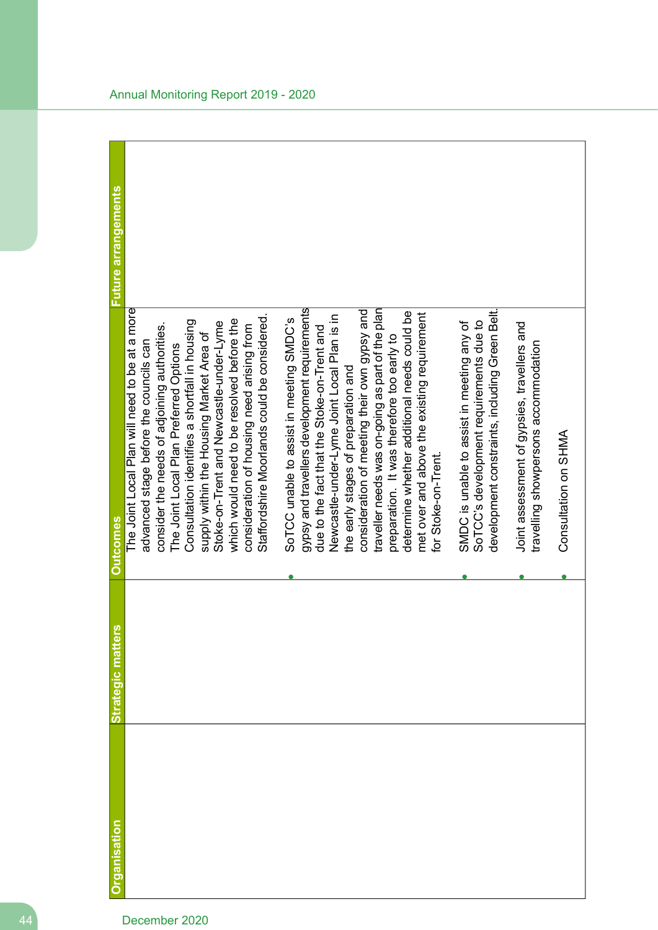| <b>Organisation</b> | <b>Strategic matters</b> | <b>Outcomes</b>                                                                                                                                                                                                                                                                                                                                                           | Future arrangements |
|---------------------|--------------------------|---------------------------------------------------------------------------------------------------------------------------------------------------------------------------------------------------------------------------------------------------------------------------------------------------------------------------------------------------------------------------|---------------------|
|                     |                          | The Joint Local Plan will need to be at a more<br>which would need to be resolved before the<br>Consultation identifies a shortfall in housing<br>Stoke-on-Trent and Newcastle-under-Lyme<br>consider the needs of adjoining authorities.<br>supply within the Housing Market Area of<br>advanced stage before the councils can<br>The Joint Local Plan Preferred Options |                     |
|                     |                          | Staffordshire Moorlands could be considered.<br>SoTCC unable to assist in meeting SMDC's<br>consideration of housing need arising from                                                                                                                                                                                                                                    |                     |
|                     |                          | gypsy and travellers development requirements<br>consideration of meeting their own gypsy and<br>Newcastle-under-Lyme Joint Local Plan is in<br>due to the fact that the Stoke-on-Trent and<br>the early stages of preparation and                                                                                                                                        |                     |
|                     |                          | traveller needs was on-going as part of the plan<br>determine whether additional needs could be<br>met over and above the existing requirement<br>preparation. It was therefore too early to<br>for Stoke-on-Trent.                                                                                                                                                       |                     |
|                     |                          | development constraints, including Green Belt.<br>SoTCC's development requirements due to<br>SMDC is unable to assist in meeting any of                                                                                                                                                                                                                                   |                     |
|                     |                          | Joint assessment of gypsies, travellers and<br>travelling showpersons accommodation                                                                                                                                                                                                                                                                                       |                     |
|                     |                          | Consultation on SHMA                                                                                                                                                                                                                                                                                                                                                      |                     |
|                     |                          |                                                                                                                                                                                                                                                                                                                                                                           |                     |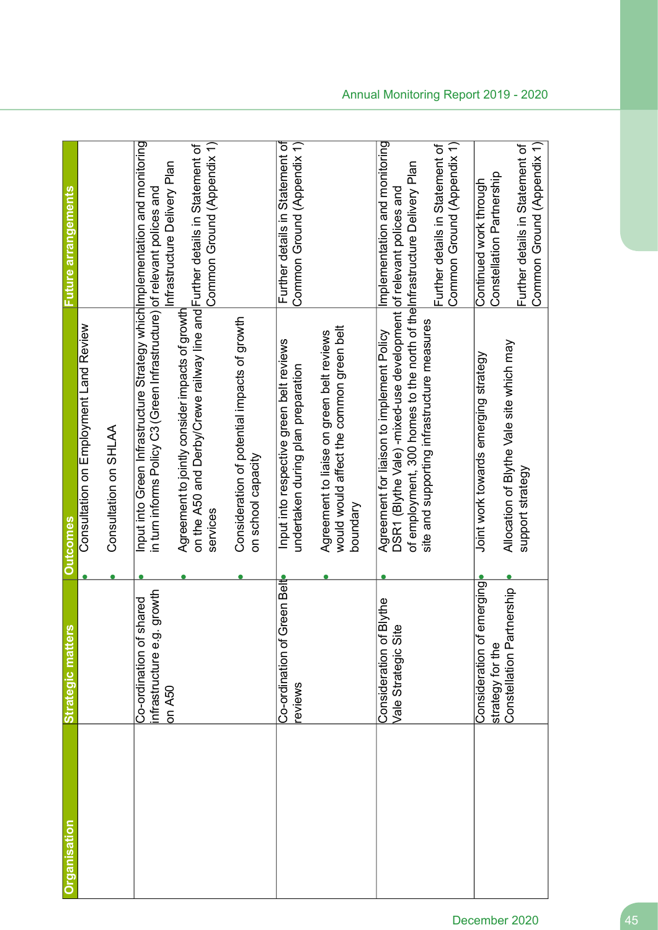| <b>Organisation</b> | <b>Strategic matters</b>                                          | <b>Outcomes</b>                                                                                                                                                                             | Future arrangements                                           |
|---------------------|-------------------------------------------------------------------|---------------------------------------------------------------------------------------------------------------------------------------------------------------------------------------------|---------------------------------------------------------------|
|                     |                                                                   | Consultation on Employment Land Review                                                                                                                                                      |                                                               |
|                     |                                                                   | Consultation on SHLAA                                                                                                                                                                       |                                                               |
|                     | growth<br>Co-ordination of shared<br>nfrastructure e.g.<br>on A50 | Input into Green Infrastructure Strategy which Implementation and monitoring<br>in turn informs Policy C3 (Green Infrastructure) of relevant polices and                                    | Infrastructure Delivery Plan                                  |
|                     |                                                                   | on the A50 and Derby/Crewe railway line and Further details in Statement of<br>Agreement to jointly consider impacts of growth<br>services                                                  | Common Ground (Appendix 1)                                    |
|                     |                                                                   | Consideration of potential impacts of growth<br>on school capacity                                                                                                                          |                                                               |
|                     | Co-ordination of Green Belt<br>eviews                             | Input into respective green belt reviews<br>undertaken during plan preparation                                                                                                              | Further details in Statement of<br>Common Ground (Appendix 1) |
|                     |                                                                   | would would affect the common green belt<br>Agreement to liaise on green belt reviews<br>boundary                                                                                           |                                                               |
|                     | <b>Blythe</b><br>Vale Strategic Sit<br>Consideration of           | of employment, 300 homes to the north of the Infrastructure Delivery Plan<br>DSR1 (Blythe Vale) -mixed-use development of relevant polices and<br>Agreement for liaison to implement Policy | Implementation and monitoring                                 |
|                     |                                                                   | site and supporting infrastructure measures                                                                                                                                                 | Common Ground (Appendix 1)<br>Further details in Statement of |
|                     | emerging<br>Consideration of<br>strategy for the                  | Joint work towards emerging strategy                                                                                                                                                        | Constellation Partnership<br>Continued work through           |
|                     | Constellation Partnership                                         | Allocation of Blythe Vale site which may<br>support strategy                                                                                                                                | Common Ground (Appendix 1)<br>Further details in Statement of |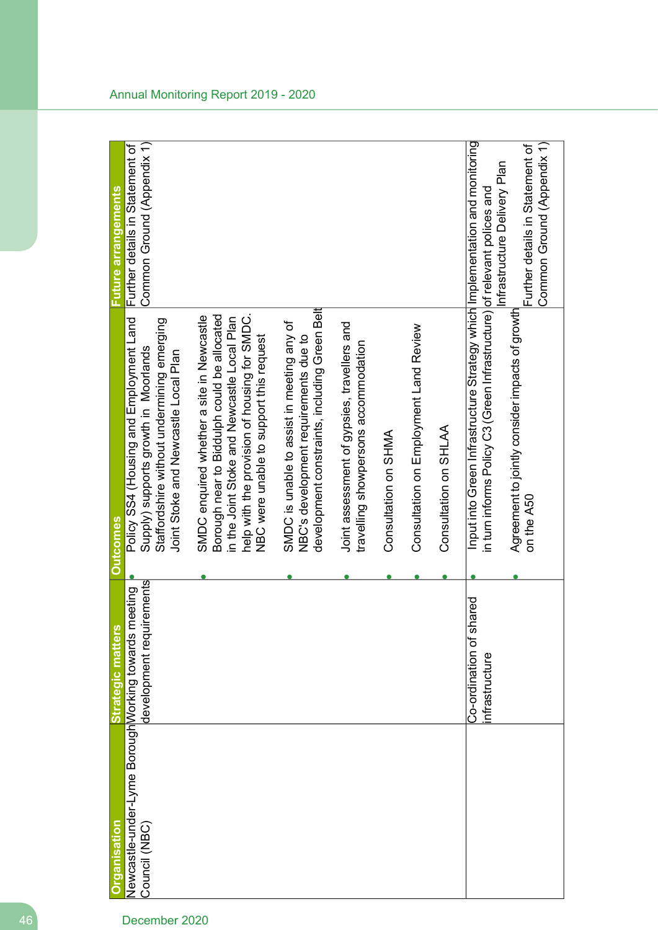| <b>Organisation</b>                                                  | <b>Strategic matters</b>                    | <b>Outcomes</b>                                                                                                                                                                                                                    | <b>Future arrangements</b>                                    |
|----------------------------------------------------------------------|---------------------------------------------|------------------------------------------------------------------------------------------------------------------------------------------------------------------------------------------------------------------------------------|---------------------------------------------------------------|
| Newcastle-under-Lyme BoroughWorking towards meeting<br>Council (NBC) | uirements<br>development req                | Policy S4 (Housing are being and Land<br>Staffordshire without undermining emerging<br>Supply) supports growth in Moorlands<br>Joint Stoke and Newcastle Local Plan                                                                | Common Ground (Appendix 1)<br>Further details in Statement of |
|                                                                      |                                             | help with the provision of housing for SMDC.<br>Borough near to Biddulph could be allocated<br>SMDC enquired whether a site in Newcastle<br>in the Joint Stoke and Newcastle Local Plan<br>NBC were unable to support this request |                                                               |
|                                                                      |                                             | development constraints, including Green Belt<br>SMDC is unable to assist in meeting any of<br>NBC's development requirements due to                                                                                               |                                                               |
|                                                                      |                                             | Joint assessment of gypsies, travellers and<br>travelling showpersons accommodation                                                                                                                                                |                                                               |
|                                                                      |                                             | Consultation on SHMA                                                                                                                                                                                                               |                                                               |
|                                                                      |                                             | Consultation on Employment Land Review                                                                                                                                                                                             |                                                               |
|                                                                      |                                             | Consultation on SHLAA                                                                                                                                                                                                              |                                                               |
|                                                                      | shared<br>Co-ordination of<br>nfrastructure | Input into Green Infrastructure Strategy which Implementation and monitoring<br>in turn informs Policy C3 (Green Infrastructure) of relevant polices and                                                                           | Infrastructure Delivery Plan                                  |
|                                                                      |                                             | Agreement to jointly consider impacts of growth<br>on the A50                                                                                                                                                                      | Common Ground (Appendix 1)<br>Further details in Statement of |

### Annual Monitoring Report 2019 - 2020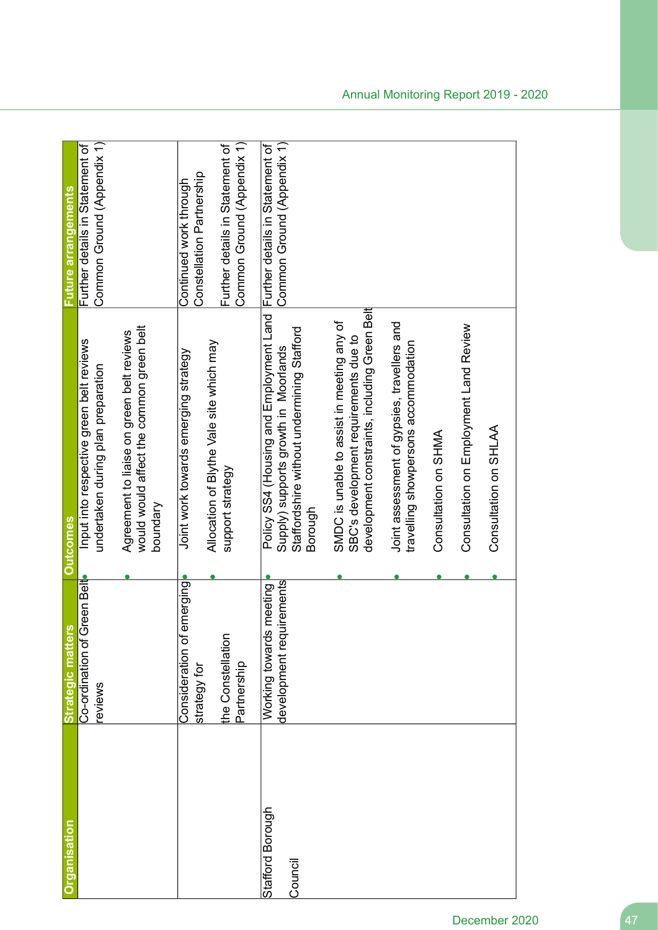| Organisation                | ίŅ,<br>Strategic matter                                                          | <b>Outcomes</b>                                                                                                                                                          | <b>Future arrangements</b>                                                                                           |
|-----------------------------|----------------------------------------------------------------------------------|--------------------------------------------------------------------------------------------------------------------------------------------------------------------------|----------------------------------------------------------------------------------------------------------------------|
|                             | Co-ordination of Green Belt<br>eviews                                            | Input into respective green belt reviews<br>undertaken during plan preparation                                                                                           | Common Ground (Appendix 1)<br>Further details in Statement of                                                        |
|                             |                                                                                  | would would affect the common green belt<br>Agreement to liaise on green belt reviews<br>boundary                                                                        |                                                                                                                      |
|                             | emerging<br>the Constellation<br>Consideration of<br>Partnership<br>strategy for | Allocation of Blythe Vale site which may<br>Joint work towards emerging strategy<br>support strategy                                                                     | Common Ground (Appendix 1)<br>Further details in Statement of<br>Constellation Partnership<br>Continued work through |
| Stafford Borough<br>Council | uirements<br>meeting<br>Working towards<br>development req                       | Policy SS4 (Housing and Employment Land Further details in Statement of<br>Staffordshire without undermining Stafford<br>Supply) supports growth in Moorlands<br>Borough | Common Ground (Appendix 1)                                                                                           |
|                             |                                                                                  | development constraints, including Green Belt<br>SMDC is unable to assist in meeting any of<br>SBC's development requirements due to                                     |                                                                                                                      |
|                             |                                                                                  | Joint assessment of gypsies, travellers and<br>travelling showpersons accommodation                                                                                      |                                                                                                                      |
|                             |                                                                                  | Consultation on SHMA                                                                                                                                                     |                                                                                                                      |
|                             |                                                                                  | Consultation on Employment Land Review                                                                                                                                   |                                                                                                                      |
|                             |                                                                                  | Consultation on SHLAA                                                                                                                                                    |                                                                                                                      |
|                             |                                                                                  |                                                                                                                                                                          |                                                                                                                      |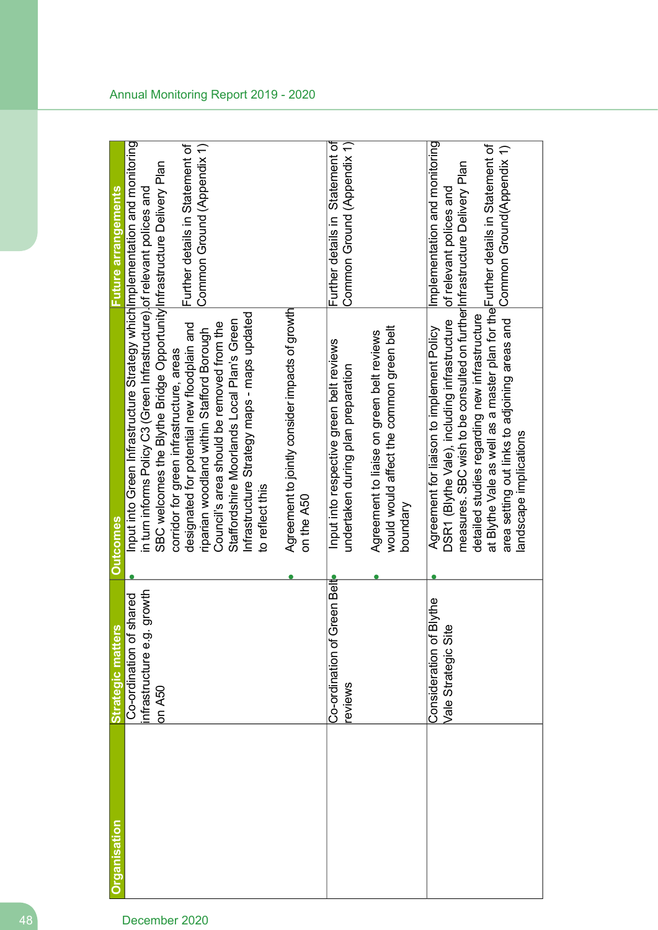| Organisation | Strategic matter                                                     | <b>Outcomes</b>                                                                                                                                                                                                                                                                                                                                                                                                                                                                                                                           | uture arrangements                                                                    |
|--------------|----------------------------------------------------------------------|-------------------------------------------------------------------------------------------------------------------------------------------------------------------------------------------------------------------------------------------------------------------------------------------------------------------------------------------------------------------------------------------------------------------------------------------------------------------------------------------------------------------------------------------|---------------------------------------------------------------------------------------|
|              | growth<br>shared<br>nfrastructure e.g.<br>Co-ordination of<br>on A50 | Input into Green Infrastructure Strategy which Implementation and monitoring<br>SBC welcomes the Blythe Bridge Opportunity Infrastructure Delivery Plan<br>in turn informs Policy C3 (Green Infrastructure). of relevant polices and<br>Infrastructure Strategy maps - maps updated<br>Staffordshire Moorlands Local Plan's Green<br>designated for potential new floodplain and<br>Council's area should be removed from the<br>riparian woodland within Stafford Borough<br>corridor for green infrastructure, areas<br>to reflect this | Further details in Statement of<br>Common Ground (Appendix 1)                         |
|              |                                                                      | Agreement to jointly consider impacts of growth<br>on the A50                                                                                                                                                                                                                                                                                                                                                                                                                                                                             |                                                                                       |
|              | Co-ordination of Green Belt<br>eviews                                | Input into respective green belt reviews<br>undertaken during plan preparation                                                                                                                                                                                                                                                                                                                                                                                                                                                            | Further details in Statement of<br>Common Ground (Appendix 1)                         |
|              |                                                                      | would would affect the common green belt<br>Agreement to liaise on green belt reviews<br>boundary                                                                                                                                                                                                                                                                                                                                                                                                                                         |                                                                                       |
|              | <b>Blythe</b><br>Consideration of I<br>Vale Strategic Sit            | at Blythe Vale as well as a master plan for the Further details in Statement of<br>measures. SBC wish to be consulted on further Infrastructure Delivery Plan<br>detailed studies regarding new infrastructure<br>area setting out links to adjoining areas and<br>DSR1 (Blythe Vale), including infrastructure<br>Agreement for liaison to implement Policy<br>landscape implications                                                                                                                                                    | Implementation and monitoring<br>Common Ground(Appendix 1)<br>of relevant polices and |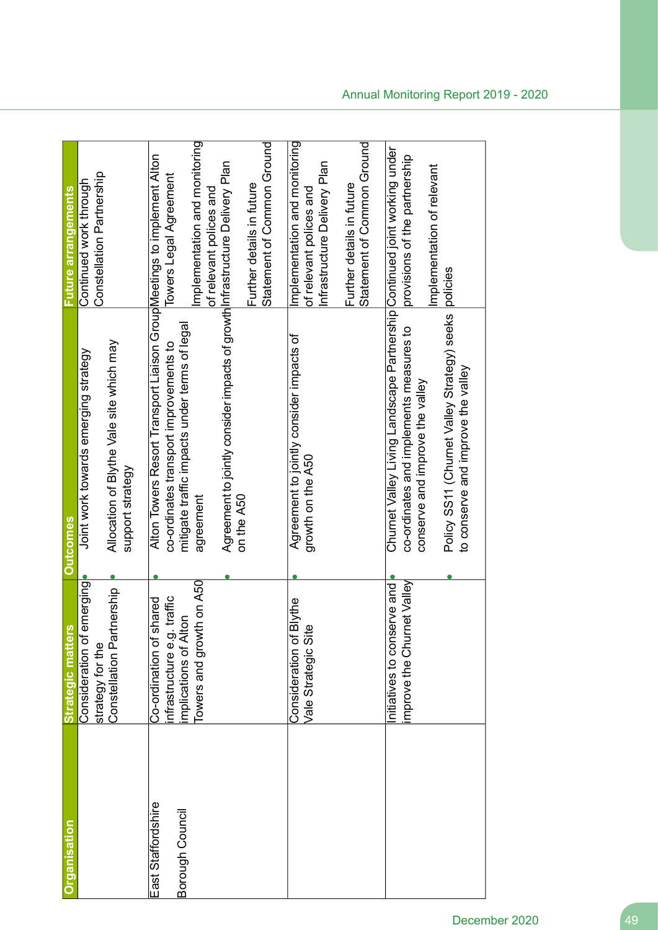| Organisation                          | <b>Strategic matters</b>                                                                                       | <b>Outcomes</b>                                                                                                                                                                                                                                                               | Future arrangements                                                                                                                                 |
|---------------------------------------|----------------------------------------------------------------------------------------------------------------|-------------------------------------------------------------------------------------------------------------------------------------------------------------------------------------------------------------------------------------------------------------------------------|-----------------------------------------------------------------------------------------------------------------------------------------------------|
|                                       | emerging<br>Constellation Partnership<br>Consideration of<br>strategy for the                                  | Allocation of Blythe Vale site which may<br>Joint work towards emerging strategy<br>support strategy                                                                                                                                                                          | Constellation Partnership<br>Continued work through                                                                                                 |
| East Staffordshire<br>Borough Council | Towers and growth on A50<br>nfrastructure e.g. traffic<br>Co-ordination of shared<br>5q<br>implications of Alt | Alton Towers Resort Transport Liaison Group Meetings to implement Alton<br>Agreement to jointly consider impacts of growth Infrastructure Delivery Plan<br>mitigate traffic impacts under terms of legal<br>co-ordinates transport improvements to<br>agreement<br>on the A50 | Implementation and monitoring<br>Statement of Common Ground<br>Towers Legal Agreement<br>Further details in future<br>of relevant polices and       |
|                                       | <b>Blythe</b><br>Vale Strategic Site<br>Consideration of                                                       | Agreement to jointly consider impacts of<br>growth on the A50                                                                                                                                                                                                                 | Implementation and monitoring<br>Statement of Common Ground<br>Infrastructure Delivery Plan<br>Further details in future<br>of relevant polices and |
|                                       | mprove the Churnet Valley<br>Initiatives to conserve and                                                       | Churnet Valley Living Landscape Partnership Continued joint working under<br>Policy SS11 (Churnet Valley Strategy) seeks<br>co-ordinates and implements measures to<br>to conserve and improve the valley<br>conserve and improve the valley                                  | provisions of the partnership<br>mplementation of relevant<br>policies                                                                              |

### Annual Monitoring Report 2019 - 2020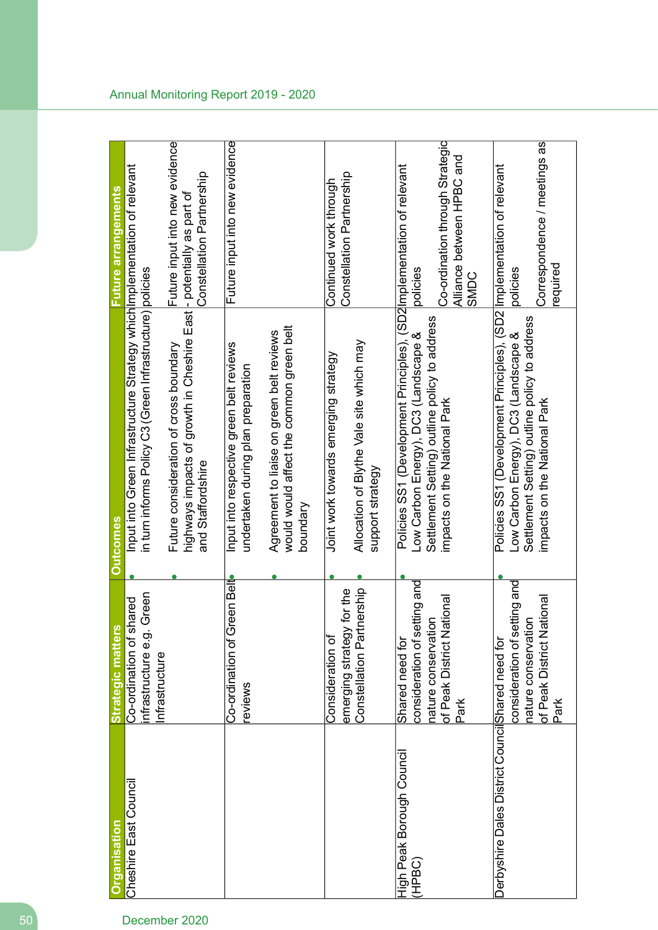| <u>Organisation</u>                               | <b>Strategic matters</b>                                                               | <b>Outcomes</b>                                                                                                                                                 | Future arrangements                                                  |
|---------------------------------------------------|----------------------------------------------------------------------------------------|-----------------------------------------------------------------------------------------------------------------------------------------------------------------|----------------------------------------------------------------------|
| Cheshire East Council                             | Co-ordination of shared                                                                | Input into Green Infrastructure Strategy which Implementation of relevant                                                                                       |                                                                      |
|                                                   | Green<br>infrastructure e.g.<br>nfrastructure                                          | in turn informs Policy C3 (Green Infrastructure) policies                                                                                                       |                                                                      |
|                                                   |                                                                                        | Future consideration of cross boundary                                                                                                                          | Future input into new evidence                                       |
|                                                   |                                                                                        | highways impacts of growth in Cheshire East<br>and Staffordshire                                                                                                | Constellation Partnership<br>- potentially as part of                |
|                                                   | Co-ordination of Green Belt<br>reviews                                                 | Input into respective green belt reviews<br>undertaken during plan preparation                                                                                  | Future input into new evidence                                       |
|                                                   |                                                                                        | would would affect the common green belt<br>Agreement to liaise on green belt reviews<br>boundary                                                               |                                                                      |
|                                                   | y for the<br>emerging strategy<br>Consideration of                                     | Joint work towards emerging strategy                                                                                                                            | Constellation Partnership<br>Continued work through                  |
|                                                   | Constellation Partnership                                                              | Allocation of Blythe Vale site which may<br>support strategy                                                                                                    |                                                                      |
| <b>High Peak Borough Council</b><br>(HPBC)        | consideration of setting and<br>$\overline{5}$<br>nature conservati<br>Shared need for | Policies SS1 (Development Principles), (SD2 Implementation of relevant<br>Settlement Setting) outline policy to address<br>Low Carbon Energy), DC3 (Landscape & | policies                                                             |
|                                                   | of Peak District National<br>Park                                                      | impacts on the National Park                                                                                                                                    | Co-ordination through Strategic<br>Alliance between HPBC and<br>SMDC |
| Derbyshire Dales District Council Shared need for | consideration of setting and<br>nature conservation                                    | Policies SS1 (Development Principles), (SD2 Implementation of relevant<br>Settlement Setting) outline policy to address<br>Low Carbon Energy), DC3 (Landscape & | policies                                                             |
|                                                   | lational<br>of Peak District N<br>Park                                                 | impacts on the National Park                                                                                                                                    | Correspondence / meetings as<br>required                             |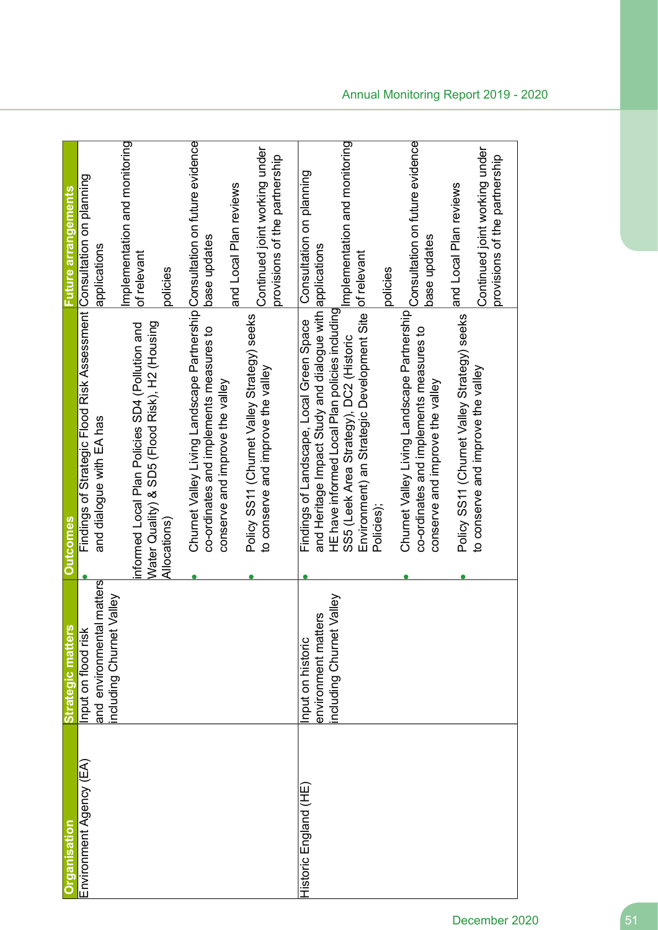| <u>irganisation</u>          | Strategic matters                                                            | <b>Outcomes</b>                                                                                                                                                                                                                                                           | <b>Euture arrangements</b>                                                                               |
|------------------------------|------------------------------------------------------------------------------|---------------------------------------------------------------------------------------------------------------------------------------------------------------------------------------------------------------------------------------------------------------------------|----------------------------------------------------------------------------------------------------------|
| Environment Agency (EA)      | and environmental matters<br>including Churnet Valley<br>Input on flood risk | Findings of Strategic Flood Risk Assessment Consultation on planning<br>and dialogue with EA has                                                                                                                                                                          | applications                                                                                             |
|                              |                                                                              | Water Quality) & SD5 (Flood Risk), H2 (Housing<br>informed Local Plan Policies SD4 (Pollution and<br>Allocations)                                                                                                                                                         | Implementation and monitoring<br>of relevant<br>policies                                                 |
|                              |                                                                              | Churnet Valley Living Landscape Partnership Consultation on future evidence<br>Policy SS11 (Churnet Valley Strategy) seeks<br>co-ordinates and implements measures to<br>to conserve and improve the valley<br>conserve and improve the valley                            | Continued joint working under<br>provisions of the partnership<br>and Local Plan reviews<br>base updates |
| <b>Historic England (HE)</b> | Valley<br>environment matters<br>including Churnet<br>Input on historic      | and Heritage Impact Study and dialogue with applications<br>Environment) an Strategic Development Site of relevant<br>HE have informed Local Plan policies including<br>Findings of Landscape, Local Green Space<br>SS5 (Leek Area Strategy), DC2 (Historic<br>Policies); | Implementation and monitoring<br>Consultation on planning<br>policies                                    |
|                              |                                                                              | Churnet Valley Living Landscape Partnership Consultation on future evidence<br>Policy SS11 (Churnet Valley Strategy) seeks<br>co-ordinates and implements measures to<br>to conserve and improve the valley<br>conserve and improve the valley                            | Continued joint working under<br>provisions of the partnership<br>and Local Plan reviews<br>base updates |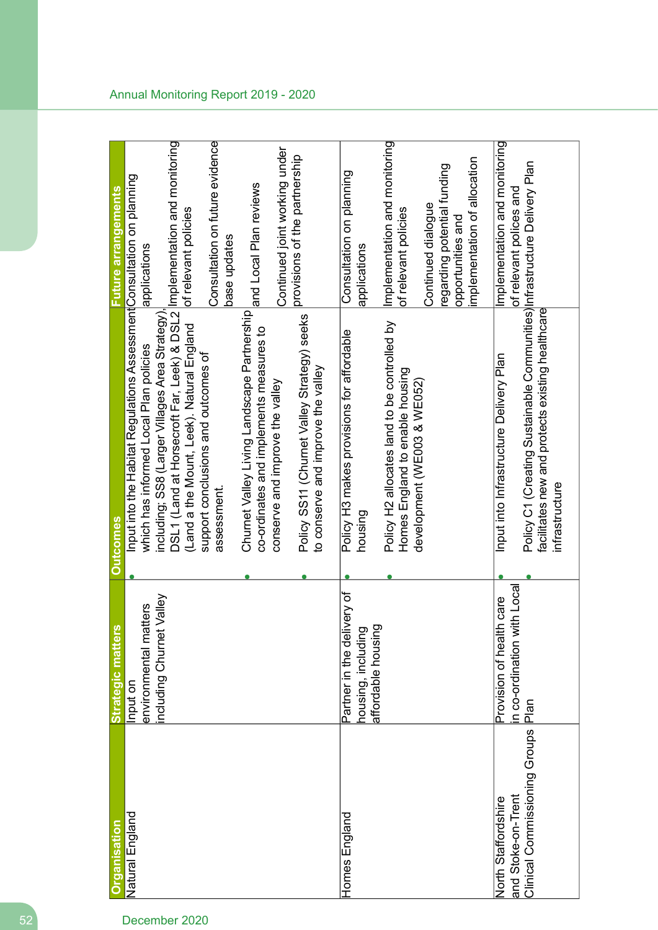| <b>Organisation</b>           | S,<br><b>Strategic matter</b>                        | <b>Outcomes</b>                                                                                                                                 | <b>Future arrangements</b>                                                                            |
|-------------------------------|------------------------------------------------------|-------------------------------------------------------------------------------------------------------------------------------------------------|-------------------------------------------------------------------------------------------------------|
| Natural England               | Input on                                             | Input into the Habitat Regulations Assessment Consultation on planning                                                                          |                                                                                                       |
|                               | environmental matters                                | which has informed Local Plan policies                                                                                                          | applications                                                                                          |
|                               | t Valley<br>including Churnet                        | including; SS8 (Larger Villages Area Strategy)                                                                                                  |                                                                                                       |
|                               |                                                      | DSL1 (Land at Horsecroft Far, Leek) & DSL2 Implementation and monitoring                                                                        | of relevant policies                                                                                  |
|                               |                                                      | (Land a the Mount, Leek). Natural England                                                                                                       |                                                                                                       |
|                               |                                                      | support conclusions and outcomes of<br>assessment.                                                                                              | Consultation on future evidence                                                                       |
|                               |                                                      |                                                                                                                                                 | base updates                                                                                          |
|                               |                                                      | Churnet Valley Living Landscape Partnership<br>co-ordinates and implements measures to                                                          | and Local Plan reviews                                                                                |
|                               |                                                      | conserve and improve the valley                                                                                                                 | Continued joint working under                                                                         |
|                               |                                                      | Policy SS11 (Churnet Valley Strategy) seeks<br>to conserve and improve the valley                                                               | provisions of the partnership                                                                         |
| Homes England                 | ivery of<br>housing, including<br>Partner in the del | Policy H3 makes provisions for affordable<br>housing                                                                                            | Consultation on planning<br>applications                                                              |
|                               | affordable housing                                   | Policy H2 allocates land to be controlled by<br>Homes England to enable housing                                                                 | Implementation and monitoring<br>of relevant policies                                                 |
|                               |                                                      | development (WE003 & WE052)                                                                                                                     | mplementation of allocation<br>regarding potential funding<br>Continued dialogue<br>opportunities and |
| North Staffordshire           | Provision of health care                             | Input into Infrastructure Delivery Plan                                                                                                         | Implementation and monitoring                                                                         |
| and Stoke-on-Trent            | in co-ordination with Local                          |                                                                                                                                                 | of relevant polices and                                                                               |
| Clinical Commissioning Groups | Plan                                                 | Policy C1 (Creating Sustainable Communities) Infrastructure Delivery Plan<br>facilitates new and protects existing healthcare<br>infrastructure |                                                                                                       |
|                               |                                                      |                                                                                                                                                 |                                                                                                       |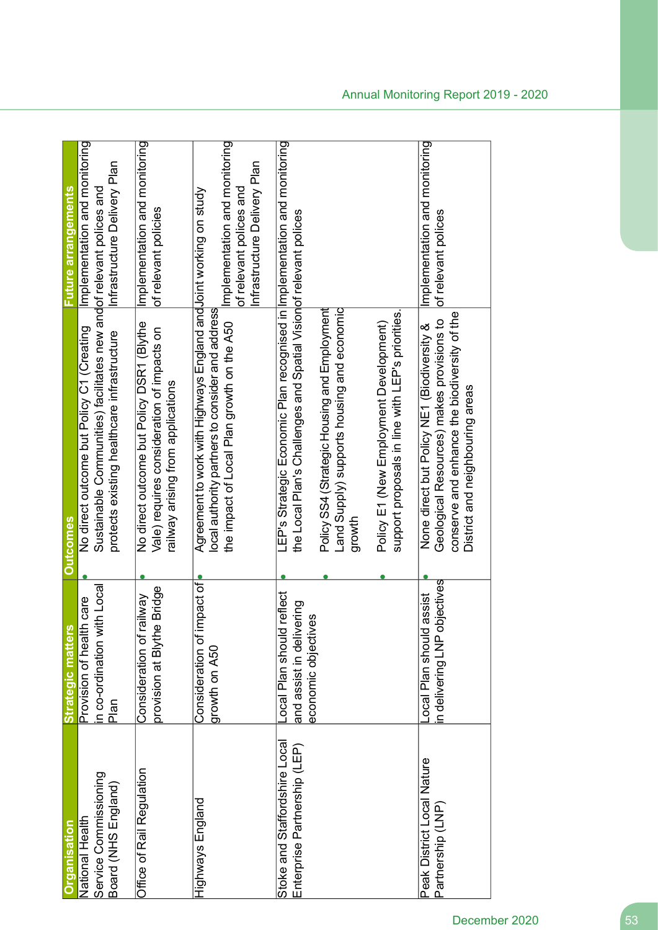| Service Commissioning<br>Board (NHS England)<br>National Health<br><b>Tiganisation</b> | n co-ordination with Local<br>Provision of health care<br>ဖွ<br><b>Strategic matter</b><br>Plan | Sustainable Communities) facilitates new andof relevant polices and<br>No direct outcome but Policy C1 (Creating<br>protects existing healthcare infrastructure<br><b>Outcomes</b>                                                                                                                                                              | Implementation and monitoring<br>Infrastructure Delivery Plan<br>uture arrangements      |
|----------------------------------------------------------------------------------------|-------------------------------------------------------------------------------------------------|-------------------------------------------------------------------------------------------------------------------------------------------------------------------------------------------------------------------------------------------------------------------------------------------------------------------------------------------------|------------------------------------------------------------------------------------------|
| Office of Rail Regulation                                                              | e Bridge<br>railway<br>provision at Blyth<br>Consideration of                                   | No direct outcome but Policy DSR1 (Blythe<br>Vale) requires consideration of impacts on<br>railway arising from applications                                                                                                                                                                                                                    | Implementation and monitoring<br>of relevant policies                                    |
| Highways England                                                                       | impact of<br>Consideration of<br>growth on A50                                                  | Agreement to work with Highways England and Joint working on study<br>local authority partners to consider and address<br>the impact of Local Plan growth on the A50                                                                                                                                                                            | Implementation and monitoring<br>Infrastructure Delivery Plan<br>of relevant polices and |
| Stoke and Staffordshire Local<br>Enterprise Partnership (LEP)                          | ocal Plan should reflect<br>and assist in delivering<br>economic objectives                     | LEP's Strategic Economic Plan recognised in limplementation and monitoring<br>the Local Plan's Challenges and Spatial Visionof relevant polices<br>Land Supply's hottoddns (Xiddng pre-<br>Policy SS4 (Strategic Housing and Employment<br>support proposals in line with LEP's priorities.<br>Policy E1 (New Employment Development)<br>growth |                                                                                          |
| Peak District Local Nature<br>Partnership (LNP)                                        | objectives<br>d assist<br>ocal Plan shoul<br>n delivering LNP                                   | conserve and enhance the biodiversity of the<br>Geological Resources) makes provisions to<br>None direct but Policy NE1 (Biodiversity &<br>District and neighbouring areas                                                                                                                                                                      | Implementation and monitoring<br>of relevant polices                                     |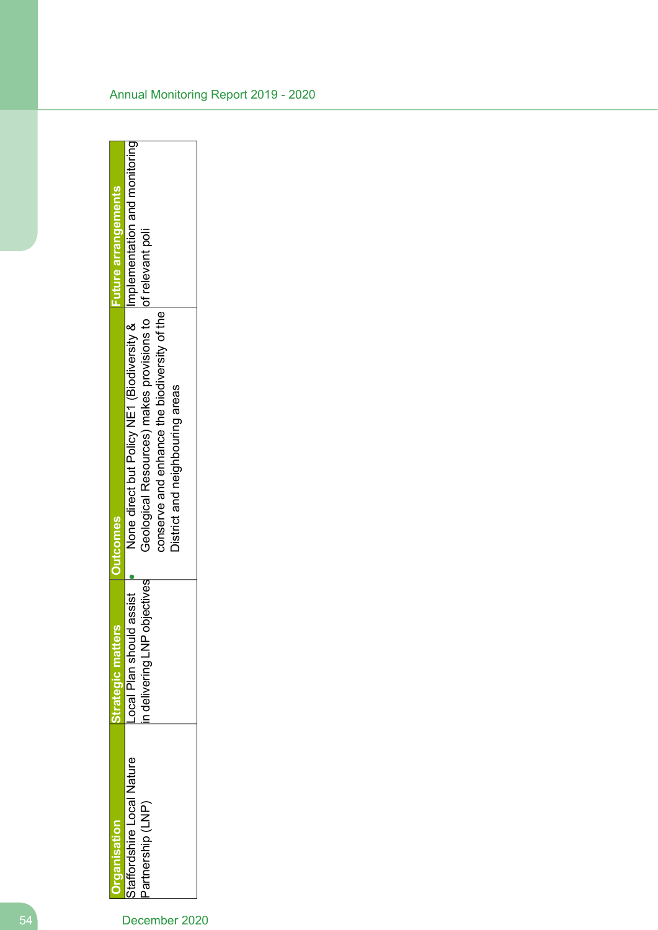|                                                | ღ<br>trategic matte                                             | <b>Dutcomes</b>                                                                                                                                                                                                              | <b>Future arrangements</b> |
|------------------------------------------------|-----------------------------------------------------------------|------------------------------------------------------------------------------------------------------------------------------------------------------------------------------------------------------------------------------|----------------------------|
| staffordshire Local Nature<br>artnership (LNP) | objectives<br>d assist<br>Local Plan shoul<br>in delivering LNP | None direct but Policy NE1 (Biodiversity &   Implementation and monitoring<br>Geological Resources) makes provisions to lof relevant poli<br>conserve and enhance the biodiversity of the<br>District and neighbouring areas |                            |
|                                                |                                                                 |                                                                                                                                                                                                                              |                            |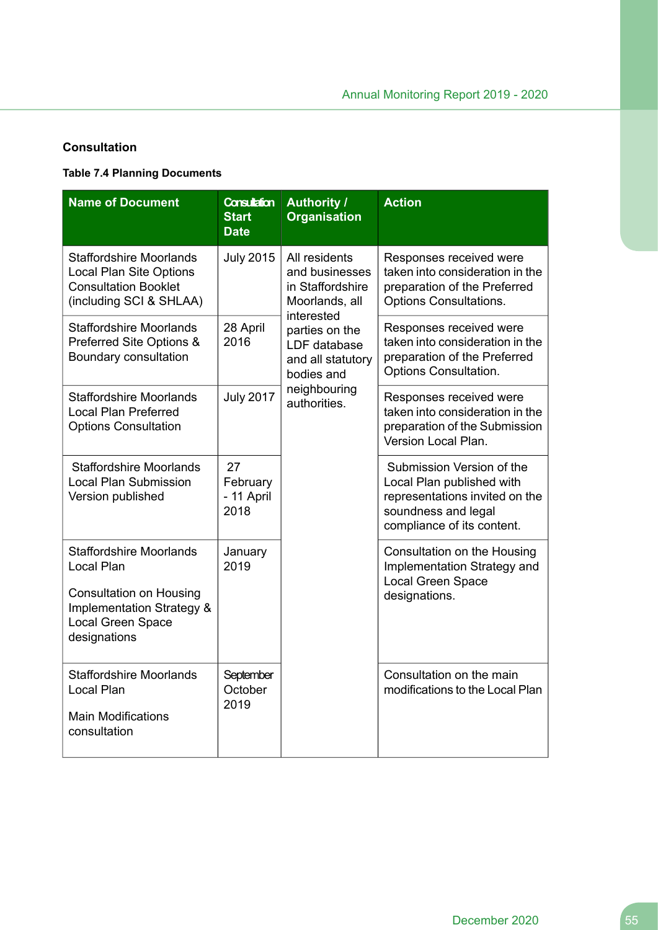### **Consultation**

### **Table 7.4 Planning Documents**

| <b>Name of Document</b>                                                                                                                                     | <b>Consultation</b><br><b>Start</b><br><b>Date</b> | <b>Authority /</b><br><b>Organisation</b>                                           | <b>Action</b>                                                                                                                                 |
|-------------------------------------------------------------------------------------------------------------------------------------------------------------|----------------------------------------------------|-------------------------------------------------------------------------------------|-----------------------------------------------------------------------------------------------------------------------------------------------|
| <b>Staffordshire Moorlands</b><br><b>Local Plan Site Options</b><br><b>Consultation Booklet</b><br>(including SCI & SHLAA)                                  | <b>July 2015</b>                                   | All residents<br>and businesses<br>in Staffordshire<br>Moorlands, all<br>interested | Responses received were<br>taken into consideration in the<br>preparation of the Preferred<br><b>Options Consultations.</b>                   |
| <b>Staffordshire Moorlands</b><br>Preferred Site Options &<br>Boundary consultation                                                                         | 28 April<br>2016                                   | parties on the<br>LDF database<br>and all statutory<br>bodies and                   | Responses received were<br>taken into consideration in the<br>preparation of the Preferred<br>Options Consultation.                           |
| <b>Staffordshire Moorlands</b><br><b>Local Plan Preferred</b><br><b>Options Consultation</b>                                                                | <b>July 2017</b>                                   | neighbouring<br>authorities.                                                        | Responses received were<br>taken into consideration in the<br>preparation of the Submission<br>Version Local Plan.                            |
| <b>Staffordshire Moorlands</b><br><b>Local Plan Submission</b><br>Version published                                                                         | 27<br>February<br>- 11 April<br>2018               |                                                                                     | Submission Version of the<br>Local Plan published with<br>representations invited on the<br>soundness and legal<br>compliance of its content. |
| <b>Staffordshire Moorlands</b><br>Local Plan<br><b>Consultation on Housing</b><br><b>Implementation Strategy &amp;</b><br>Local Green Space<br>designations | January<br>2019                                    |                                                                                     | Consultation on the Housing<br>Implementation Strategy and<br>Local Green Space<br>designations.                                              |
| <b>Staffordshire Moorlands</b><br><b>Local Plan</b><br><b>Main Modifications</b><br>consultation                                                            | September<br>October<br>2019                       |                                                                                     | Consultation on the main<br>modifications to the Local Plan                                                                                   |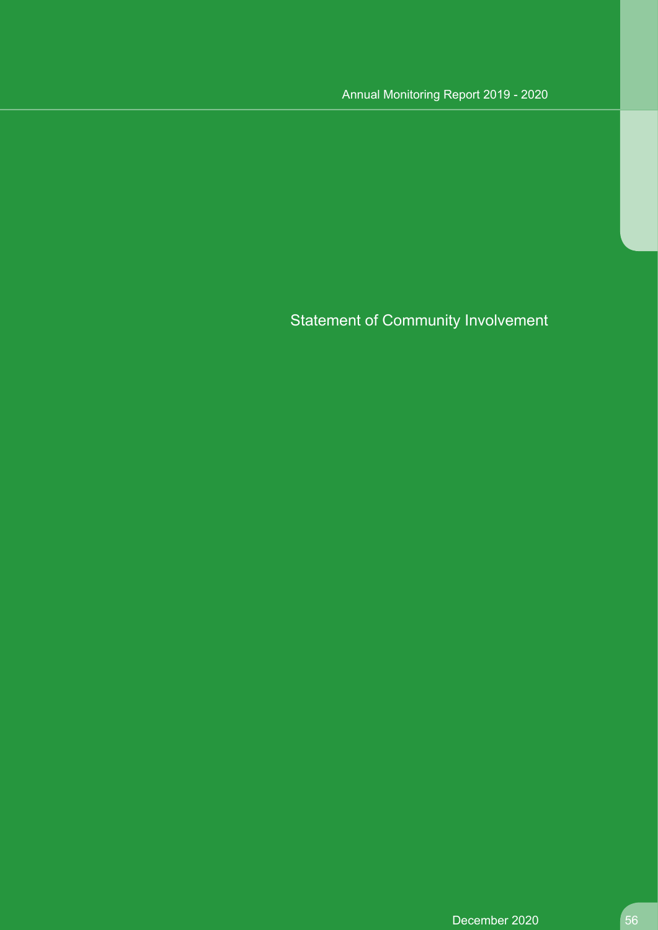Statement of Community Involvement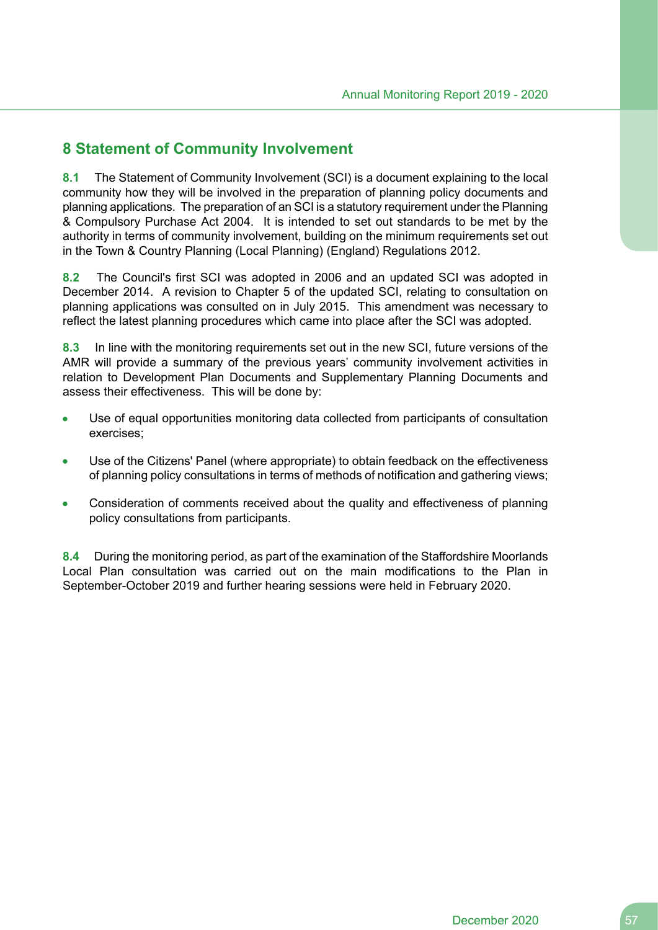# **8 Statement of Community Involvement**

**8.1** The Statement of Community Involvement (SCI) is a document explaining to the local community how they will be involved in the preparation of planning policy documents and planning applications. The preparation of an SCI is a statutory requirement under the Planning & Compulsory Purchase Act 2004. It is intended to set out standards to be met by the authority in terms of community involvement, building on the minimum requirements set out in the Town & Country Planning (Local Planning) (England) Regulations 2012.

**8.2** The Council's first SCI was adopted in 2006 and an updated SCI was adopted in December 2014. A revision to Chapter 5 of the updated SCI, relating to consultation on planning applications was consulted on in July 2015. This amendment was necessary to reflect the latest planning procedures which came into place after the SCI was adopted.

**8.3** In line with the monitoring requirements set out in the new SCI, future versions of the AMR will provide a summary of the previous years' community involvement activities in relation to Development Plan Documents and Supplementary Planning Documents and assess their effectiveness. This will be done by:

- Use of equal opportunities monitoring data collected from participants of consultation exercises;
- Use of the Citizens' Panel (where appropriate) to obtain feedback on the effectiveness of planning policy consultations in terms of methods of notification and gathering views;
- Consideration of comments received about the quality and effectiveness of planning policy consultations from participants.

**8.4** During the monitoring period, as part of the examination of the Staffordshire Moorlands Local Plan consultation was carried out on the main modifications to the Plan in September-October 2019 and further hearing sessions were held in February 2020.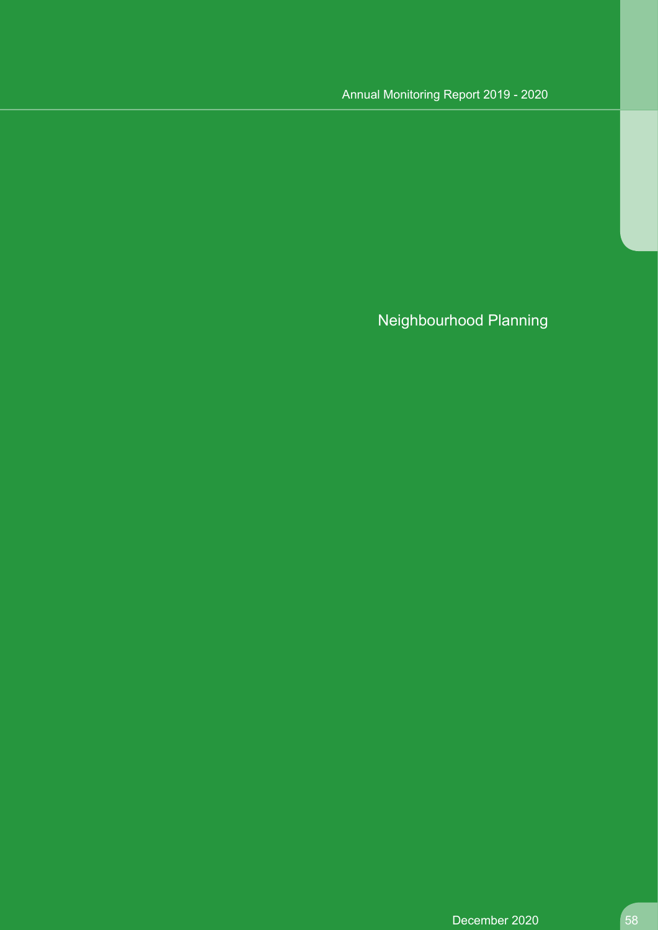# Annual Monitoring Report 2019 - 2020

Neighbourhood Planning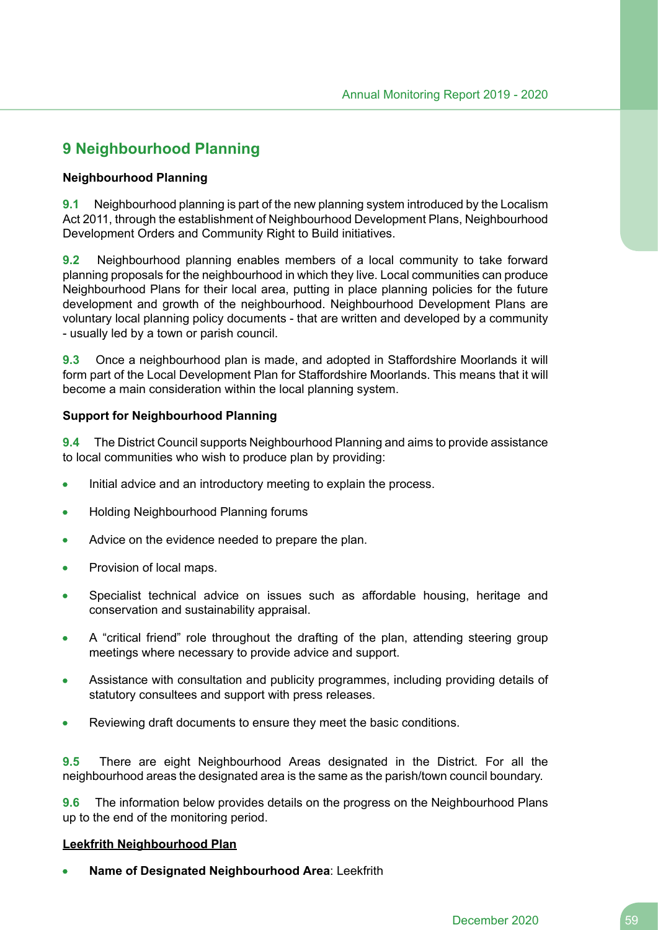# **9 Neighbourhood Planning**

### **Neighbourhood Planning**

**9.1** Neighbourhood planning is part of the new planning system introduced by the Localism Act 2011, through the establishment of Neighbourhood Development Plans, Neighbourhood Development Orders and Community Right to Build initiatives.

**9.2** Neighbourhood planning enables members of a local community to take forward planning proposals for the neighbourhood in which they live. Local communities can produce Neighbourhood Plans for their local area, putting in place planning policies for the future development and growth of the neighbourhood. Neighbourhood Development Plans are voluntary local planning policy documents - that are written and developed by a community - usually led by a town or parish council.

**9.3** Once a neighbourhood plan is made, and adopted in Staffordshire Moorlands it will form part of the Local Development Plan for Staffordshire Moorlands. This means that it will become a main consideration within the local planning system.

### **Support for Neighbourhood Planning**

**9.4** The District Council supports Neighbourhood Planning and aims to provide assistance to local communities who wish to produce plan by providing:

- Initial advice and an introductory meeting to explain the process.  $\bullet$
- Holding Neighbourhood Planning forums  $\bullet$
- Advice on the evidence needed to prepare the plan.  $\bullet$
- Provision of local maps.
- Specialist technical advice on issues such as affordable housing, heritage and conservation and sustainability appraisal.
- A "critical friend" role throughout the drafting of the plan, attending steering group meetings where necessary to provide advice and support.
- Assistance with consultation and publicity programmes, including providing details of statutory consultees and support with press releases.
- Reviewing draft documents to ensure they meet the basic conditions.

**9.5** There are eight Neighbourhood Areas designated in the District. For all the neighbourhood areas the designated area is the same as the parish/town council boundary.

**9.6** The information below provides details on the progress on the Neighbourhood Plans up to the end of the monitoring period.

### **Leekfrith Neighbourhood Plan**

**Name of Designated Neighbourhood Area**: Leekfrith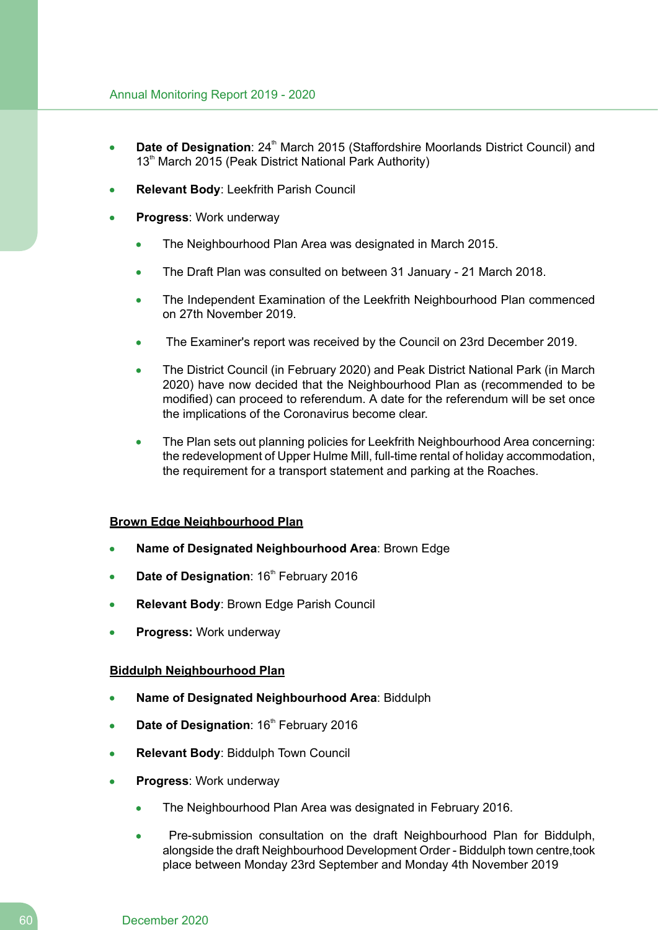- **Date of Designation**: 24<sup>th</sup> March 2015 (Staffordshire Moorlands District Council) and  $\bullet$ 13<sup>th</sup> March 2015 (Peak District National Park Authority)
- **Relevant Body**: Leekfrith Parish Council
- **Progress**: Work underway
	- The Neighbourhood Plan Area was designated in March 2015.
	- The Draft Plan was consulted on between 31 January 21 March 2018.  $\bullet$
	- The Independent Examination of the Leekfrith Neighbourhood Plan commenced  $\blacksquare$ on 27th November 2019.
	- $\bullet$ The Examiner's report was received by the Council on 23rd December 2019.
	- The District Council (in February 2020) and Peak District National Park (in March  $\bullet$ 2020) have now decided that the Neighbourhood Plan as (recommended to be modified) can proceed to referendum. A date for the referendum will be set once the implications of the Coronavirus become clear.
	- The Plan sets out planning policies for Leekfrith Neighbourhood Area concerning:  $\bullet$ the redevelopment of Upper Hulme Mill, full-time rental of holiday accommodation, the requirement for a transport statement and parking at the Roaches.

### **Brown Edge Neighbourhood Plan**

- **Name of Designated Neighbourhood Area**: Brown Edge
- **Date of Designation: 16<sup>th</sup> February 2016**
- **Relevant Body**: Brown Edge Parish Council
- **Progress:** Work underway

### **Biddulph Neighbourhood Plan**

- **Name of Designated Neighbourhood Area**: Biddulph
- **Date of Designation: 16<sup>th</sup> February 2016**
- **Relevant Body**: Biddulph Town Council
- **Progress**: Work underway
	- The Neighbourhood Plan Area was designated in February 2016.
	- Pre-submission consultation on the draft Neighbourhood Plan for Biddulph, alongside the draft Neighbourhood Development Order - Biddulph town centre,took place between Monday 23rd September and Monday 4th November 2019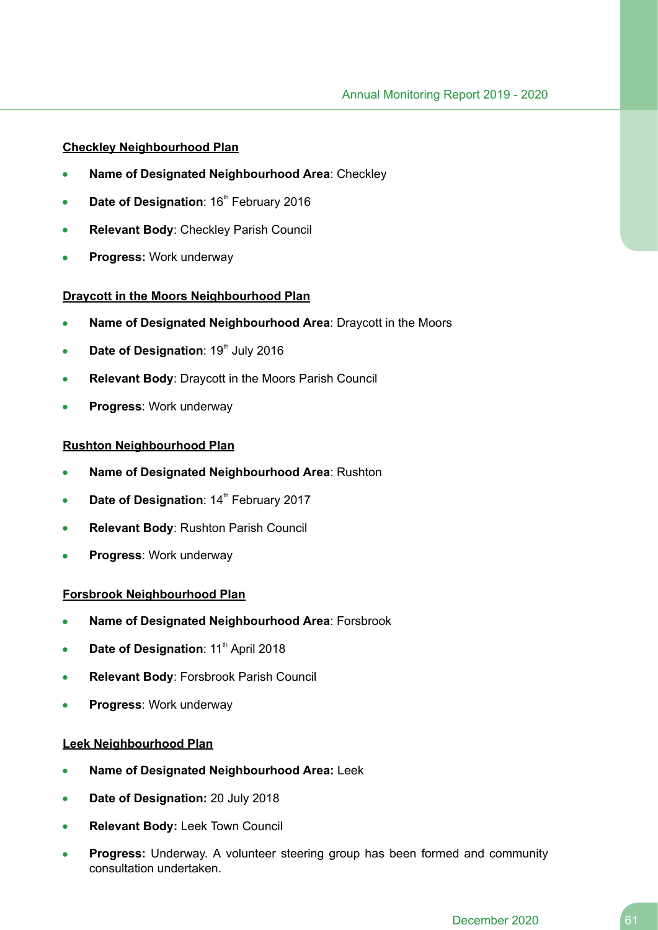### **Checkley Neighbourhood Plan**

- **Name of Designated Neighbourhood Area**: Checkley
- **Date of Designation: 16<sup>th</sup> February 2016**
- **Relevant Body**: Checkley Parish Council
- **Progress:** Work underway

### **Draycott in the Moors Neighbourhood Plan**

- **Name of Designated Neighbourhood Area**: Draycott in the Moors
- **Date of Designation: 19th July 2016**
- **Relevant Body**: Draycott in the Moors Parish Council  $\bullet$
- **Progress**: Work underway

### **Rushton Neighbourhood Plan**

- **Name of Designated Neighbourhood Area**: Rushton
- **Date of Designation: 14<sup>th</sup> February 2017**
- **Relevant Body**: Rushton Parish Council  $\bullet$
- **Progress**: Work underway  $\blacksquare$

### **Forsbrook Neighbourhood Plan**

- **Name of Designated Neighbourhood Area**: Forsbrook
- **Date of Designation**: 11<sup>th</sup> April 2018
- **Relevant Body**: Forsbrook Parish Council
- **Progress**: Work underway

### **Leek Neighbourhood Plan**

- **Name of Designated Neighbourhood Area:** Leek
- **Date of Designation:** 20 July 2018  $\bullet$
- **Relevant Body:** Leek Town Council
- **Progress:** Underway. A volunteer steering group has been formed and community consultation undertaken.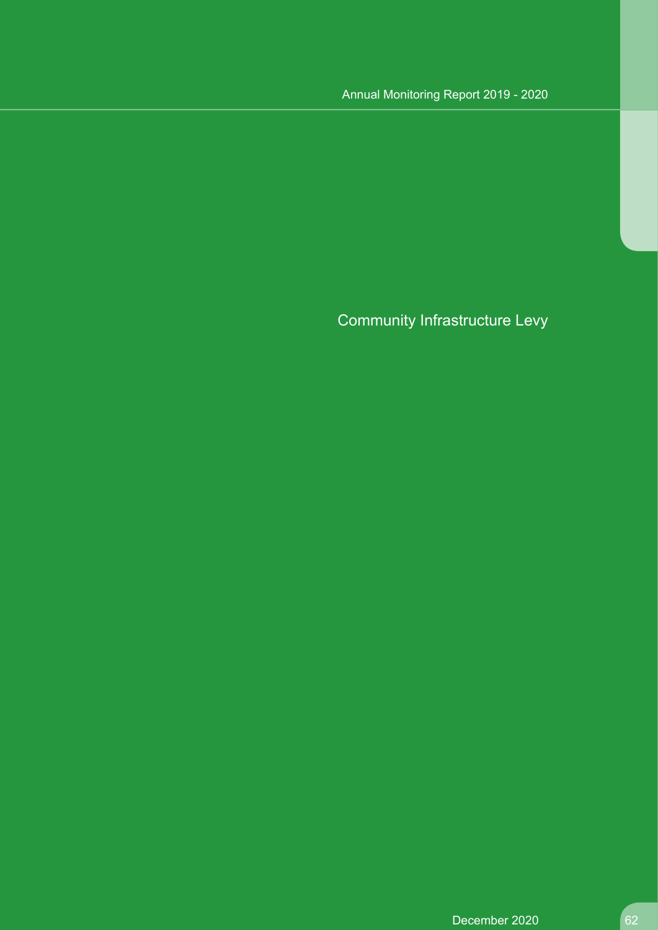# Annual Monitoring Report 2019 - 2020

Community Infrastructure Levy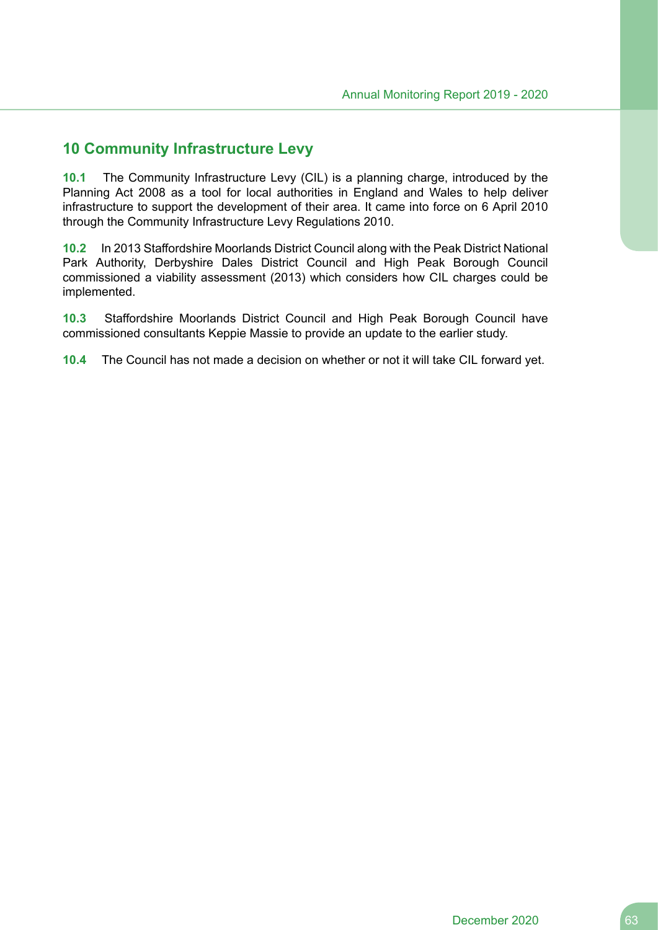## **10 Community Infrastructure Levy**

**10.1** The Community Infrastructure Levy (CIL) is a planning charge, introduced by the Planning Act 2008 as a tool for local authorities in England and Wales to help deliver infrastructure to support the development of their area. It came into force on 6 April 2010 through the Community Infrastructure Levy Regulations 2010.

**10.2** In 2013 Staffordshire Moorlands District Council along with the Peak District National Park Authority, Derbyshire Dales District Council and High Peak Borough Council commissioned a viability assessment (2013) which considers how CIL charges could be implemented.

**10.3** Staffordshire Moorlands District Council and High Peak Borough Council have commissioned consultants Keppie Massie to provide an update to the earlier study.

**10.4** The Council has not made a decision on whether or not it will take CIL forward yet.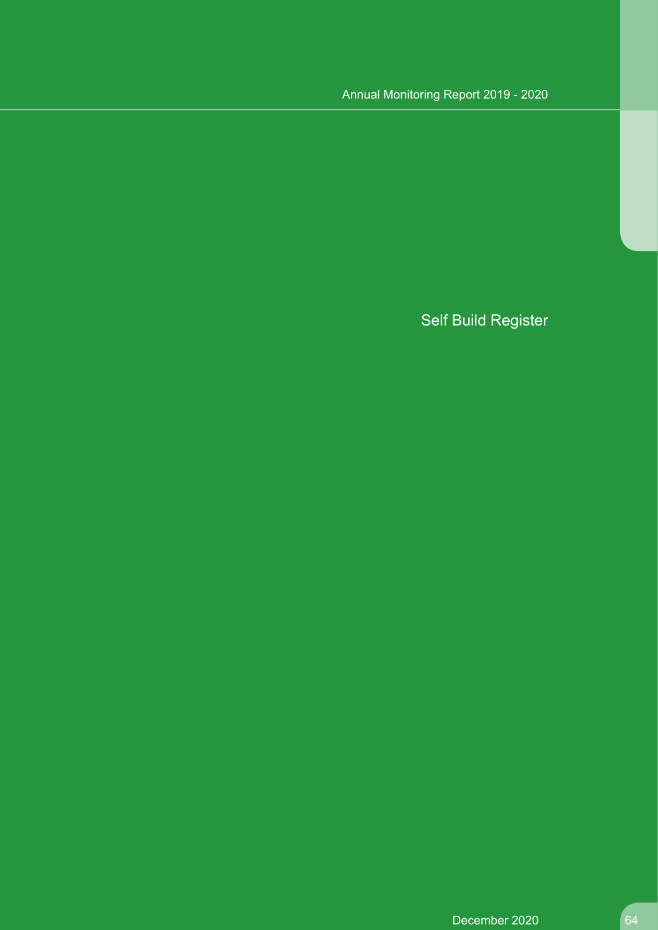# Annual Monitoring Report 2019 - 2020

# Self Build Register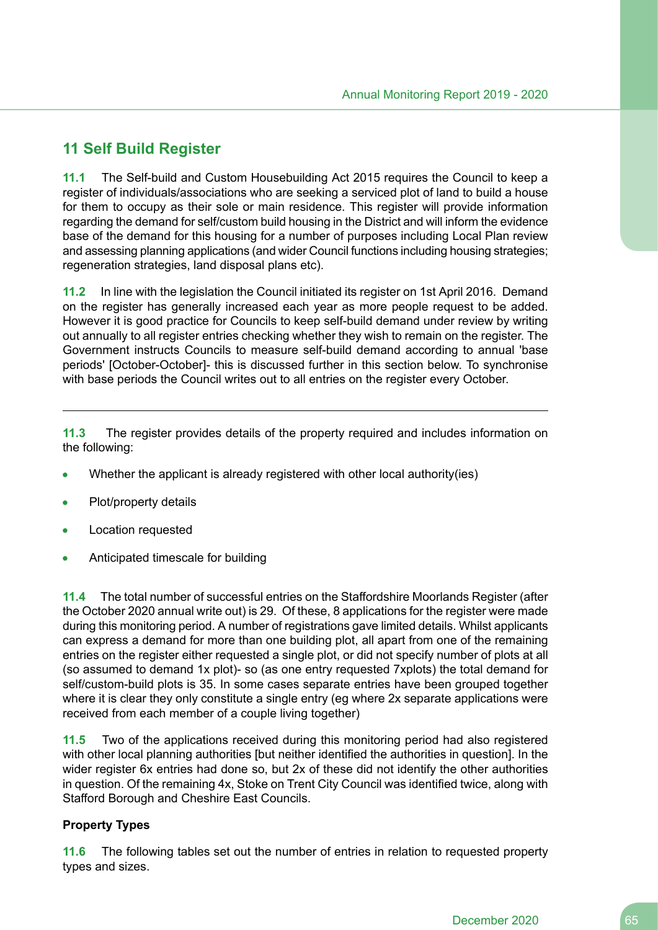# **11 Self Build Register**

**11.1** The Self-build and Custom Housebuilding Act 2015 requires the Council to keep a register of individuals/associations who are seeking a serviced plot of land to build a house for them to occupy as their sole or main residence. This register will provide information regarding the demand for self/custom build housing in the District and will inform the evidence base of the demand for this housing for a number of purposes including Local Plan review and assessing planning applications (and wider Council functions including housing strategies; regeneration strategies, land disposal plans etc).

**11.2** In line with the legislation the Council initiated its register on 1st April 2016. Demand on the register has generally increased each year as more people request to be added. However it is good practice for Councils to keep self-build demand under review by writing out annually to all register entries checking whether they wish to remain on the register. The Government instructs Councils to measure self-build demand according to annual 'base periods' [October-October]- this is discussed further in this section below. To synchronise with base periods the Council writes out to all entries on the register every October.

**11.3** The register provides details of the property required and includes information on the following:

- Whether the applicant is already registered with other local authority(ies)
- Plot/property details
- Location requested
- Anticipated timescale for building

**11.4** The total number of successful entries on the Staffordshire Moorlands Register (after the October 2020 annual write out) is 29. Of these, 8 applications for the register were made during this monitoring period. A number of registrations gave limited details. Whilst applicants can express a demand for more than one building plot, all apart from one of the remaining entries on the register either requested a single plot, or did not specify number of plots at all (so assumed to demand 1x plot)- so (as one entry requested 7xplots) the total demand for self/custom-build plots is 35. In some cases separate entries have been grouped together where it is clear they only constitute a single entry (eq where 2x separate applications were received from each member of a couple living together)

**11.5** Two of the applications received during this monitoring period had also registered with other local planning authorities [but neither identified the authorities in question]. In the wider register 6x entries had done so, but 2x of these did not identify the other authorities in question. Of the remaining 4x, Stoke on Trent City Council was identified twice, along with Stafford Borough and Cheshire East Councils.

### **Property Types**

**11.6** The following tables set out the number of entries in relation to requested property types and sizes.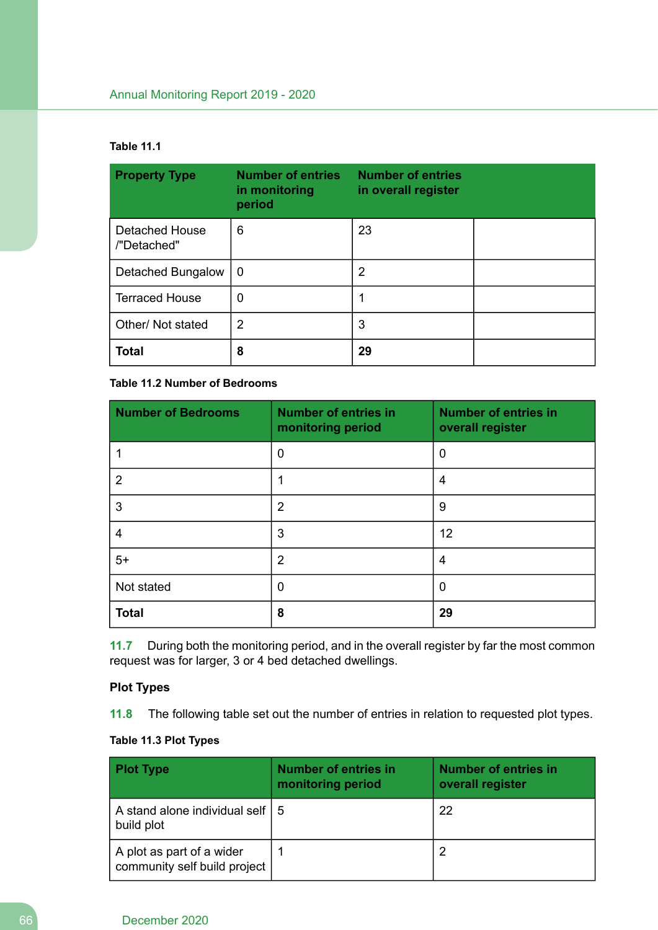### **Table 11.1**

| <b>Property Type</b>                 | <b>Number of entries</b><br>in monitoring<br>period | <b>Number of entries</b><br>in overall register |  |
|--------------------------------------|-----------------------------------------------------|-------------------------------------------------|--|
| <b>Detached House</b><br>/"Detached" | 6                                                   | 23                                              |  |
| Detached Bungalow                    | $\Omega$                                            | 2                                               |  |
| <b>Terraced House</b>                | 0                                                   |                                                 |  |
| Other/ Not stated                    | 2                                                   | 3                                               |  |
| <b>Total</b>                         | 8                                                   | 29                                              |  |

### **Table 11.2 Number of Bedrooms**

| <b>Number of Bedrooms</b> | <b>Number of entries in</b><br>monitoring period | <b>Number of entries in</b><br>overall register |
|---------------------------|--------------------------------------------------|-------------------------------------------------|
|                           | 0                                                | 0                                               |
| 2                         |                                                  | 4                                               |
| 3                         | $\overline{2}$                                   | 9                                               |
| 4                         | 3                                                | 12                                              |
| $5+$                      | $\overline{2}$                                   | 4                                               |
| Not stated                | 0                                                | 0                                               |
| <b>Total</b>              | 8                                                | 29                                              |

**11.7** During both the monitoring period, and in the overall register by far the most common request was for larger, 3 or 4 bed detached dwellings.

### **Plot Types**

**11.8** The following table set out the number of entries in relation to requested plot types.

### **Table 11.3 Plot Types**

| <b>Plot Type</b>                                          | <b>Number of entries in</b><br>monitoring period | <b>Number of entries in</b><br>overall register |
|-----------------------------------------------------------|--------------------------------------------------|-------------------------------------------------|
| A stand alone individual self   5<br>build plot           |                                                  | 22                                              |
| A plot as part of a wider<br>community self build project |                                                  |                                                 |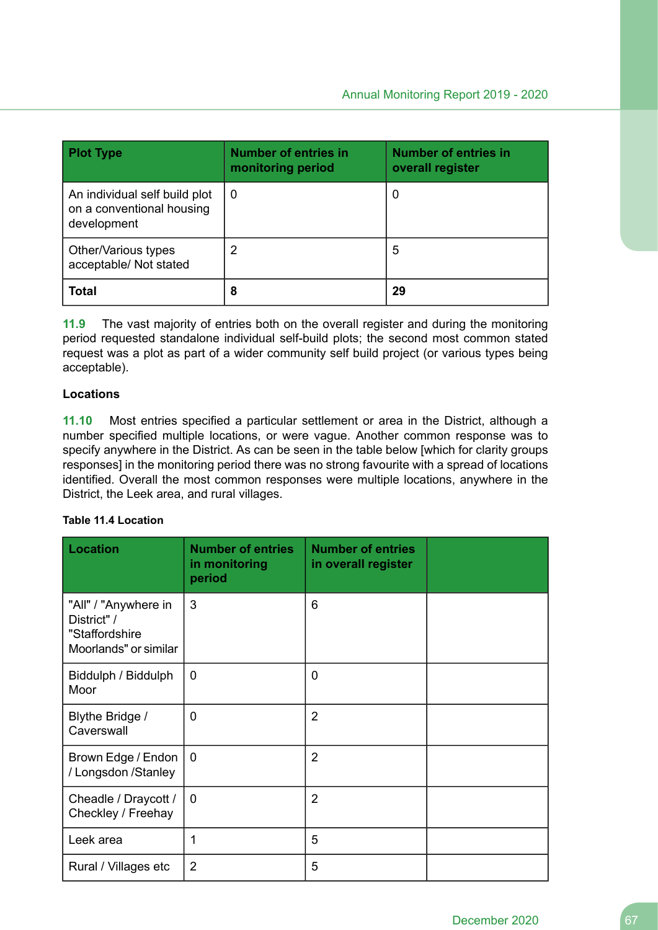| <b>Plot Type</b>                                                          | <b>Number of entries in</b><br>monitoring period | <b>Number of entries in</b><br>overall register |
|---------------------------------------------------------------------------|--------------------------------------------------|-------------------------------------------------|
| An individual self build plot<br>on a conventional housing<br>development | 0                                                | O                                               |
| Other/Various types<br>acceptable/ Not stated                             | 2                                                | 5                                               |
| <b>Total</b>                                                              | 8                                                | 29                                              |

**11.9** The vast majority of entries both on the overall register and during the monitoring period requested standalone individual self-build plots; the second most common stated request was a plot as part of a wider community self build project (or various types being acceptable).

### **Locations**

**11.10** Most entries specified a particular settlement or area in the District, although a number specified multiple locations, or were vague. Another common response was to specify anywhere in the District. As can be seen in the table below [which for clarity groups responses] in the monitoring period there was no strong favourite with a spread of locations identified. Overall the most common responses were multiple locations, anywhere in the District, the Leek area, and rural villages.

### **Table 11.4 Location**

| <b>Location</b>                                                                | <b>Number of entries</b><br>in monitoring<br>period | <b>Number of entries</b><br>in overall register |  |
|--------------------------------------------------------------------------------|-----------------------------------------------------|-------------------------------------------------|--|
| "All" / "Anywhere in<br>District" /<br>"Staffordshire<br>Moorlands" or similar | 3                                                   | 6                                               |  |
| Biddulph / Biddulph<br>Moor                                                    | 0                                                   | $\mathbf{0}$                                    |  |
| Blythe Bridge /<br>Caverswall                                                  | 0                                                   | $\overline{2}$                                  |  |
| Brown Edge / Endon<br>/ Longsdon / Stanley                                     | $\overline{0}$                                      | $\overline{2}$                                  |  |
| Cheadle / Draycott /<br>Checkley / Freehay                                     | 0                                                   | $\overline{2}$                                  |  |
| Leek area                                                                      | 1                                                   | 5                                               |  |
| Rural / Villages etc                                                           | $\overline{2}$                                      | 5                                               |  |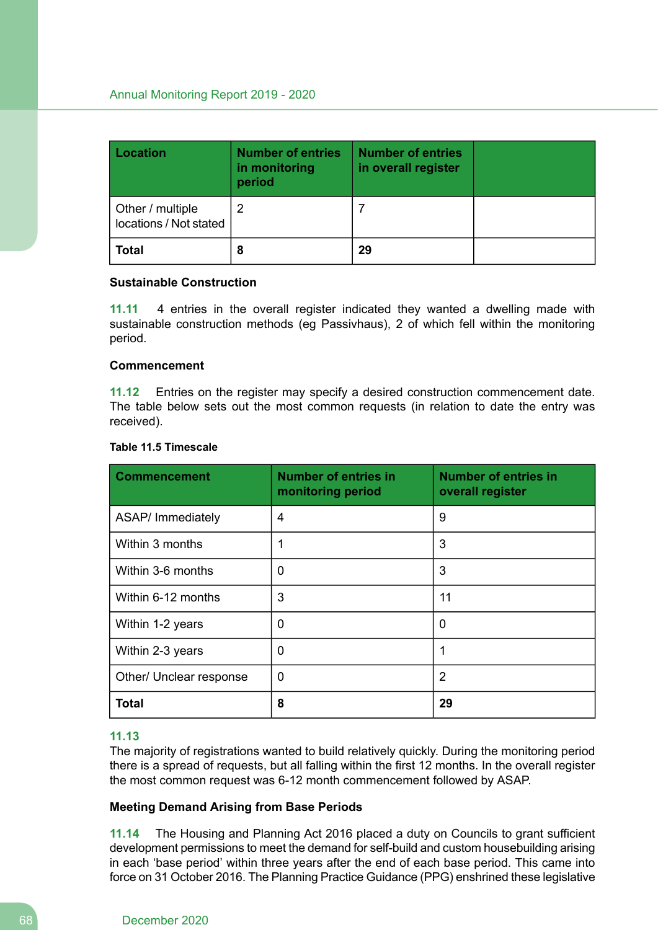| <b>Location</b>                            | <b>Number of entries</b><br>in monitoring<br>period | <b>Number of entries</b><br>in overall register |  |
|--------------------------------------------|-----------------------------------------------------|-------------------------------------------------|--|
| Other / multiple<br>locations / Not stated |                                                     |                                                 |  |
| <b>Total</b>                               | 8                                                   | 29                                              |  |

#### **Sustainable Construction**

**11.11** 4 entries in the overall register indicated they wanted a dwelling made with sustainable construction methods (eg Passivhaus), 2 of which fell within the monitoring period.

#### **Commencement**

**11.12** Entries on the register may specify a desired construction commencement date. The table below sets out the most common requests (in relation to date the entry was received).

#### **Table 11.5 Timescale**

| <b>Commencement</b>     | <b>Number of entries in</b><br>monitoring period | <b>Number of entries in</b><br>overall register |
|-------------------------|--------------------------------------------------|-------------------------------------------------|
| ASAP/ Immediately       | 4                                                | 9                                               |
| Within 3 months         | 1                                                | 3                                               |
| Within 3-6 months       | 0                                                | 3                                               |
| Within 6-12 months      | 3                                                | 11                                              |
| Within 1-2 years        | 0                                                | 0                                               |
| Within 2-3 years        | 0                                                | 1                                               |
| Other/ Unclear response | 0                                                | 2                                               |
| <b>Total</b>            | 8                                                | 29                                              |

### **11.13**

The majority of registrations wanted to build relatively quickly. During the monitoring period there is a spread of requests, but all falling within the first 12 months. In the overall register the most common request was 6-12 month commencement followed by ASAP.

### **Meeting Demand Arising from Base Periods**

**11.14** The Housing and Planning Act 2016 placed a duty on Councils to grant sufficient development permissions to meet the demand for self-build and custom housebuilding arising in each 'base period' within three years after the end of each base period. This came into force on 31 October 2016. The Planning Practice Guidance (PPG) enshrined these legislative

#### 68 December 2020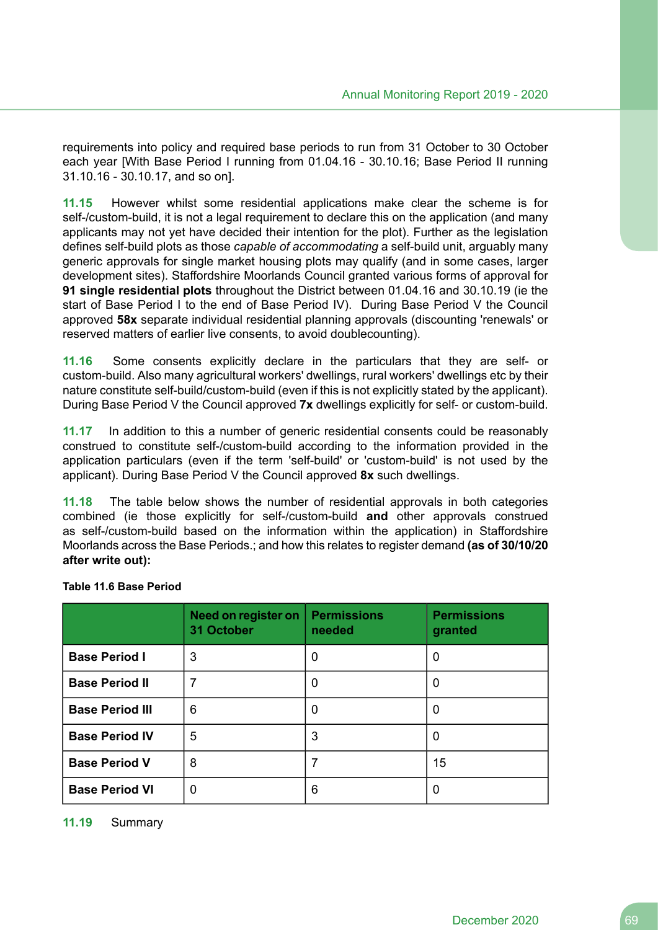requirements into policy and required base periods to run from 31 October to 30 October each year [With Base Period I running from 01.04.16 - 30.10.16; Base Period II running 31.10.16 - 30.10.17, and so on].

**11.15** However whilst some residential applications make clear the scheme is for self-/custom-build, it is not a legal requirement to declare this on the application (and many applicants may not yet have decided their intention for the plot). Further as the legislation defines self-build plots as those *capable of accommodating* a self-build unit, arguably many generic approvals for single market housing plots may qualify (and in some cases, larger development sites). Staffordshire Moorlands Council granted various forms of approval for **91 single residential plots** throughout the District between 01.04.16 and 30.10.19 (ie the start of Base Period I to the end of Base Period IV). During Base Period V the Council approved **58x** separate individual residential planning approvals (discounting 'renewals' or reserved matters of earlier live consents, to avoid doublecounting).

**11.16** Some consents explicitly declare in the particulars that they are self- or custom-build. Also many agricultural workers' dwellings, rural workers' dwellings etc by their nature constitute self-build/custom-build (even if this is not explicitly stated by the applicant). During Base Period V the Council approved **7x** dwellings explicitly for self- or custom-build.

**11.17** In addition to this a number of generic residential consents could be reasonably construed to constitute self-/custom-build according to the information provided in the application particulars (even if the term 'self-build' or 'custom-build' is not used by the applicant). During Base Period V the Council approved **8x** such dwellings.

**11.18** The table below shows the number of residential approvals in both categories combined (ie those explicitly for self-/custom-build **and** other approvals construed as self-/custom-build based on the information within the application) in Staffordshire Moorlands across the Base Periods.; and how this relates to register demand **(as of 30/10/20 after write out):**

|                        | Need on register on<br>31 October | <b>Permissions</b><br>needed | <b>Permissions</b><br>granted |
|------------------------|-----------------------------------|------------------------------|-------------------------------|
| <b>Base Period I</b>   | 3                                 | 0                            | 0                             |
| <b>Base Period II</b>  | 7                                 | 0                            | 0                             |
| <b>Base Period III</b> | 6                                 | 0                            | $\Omega$                      |
| <b>Base Period IV</b>  | 5                                 | 3                            | $\Omega$                      |
| <b>Base Period V</b>   | 8                                 |                              | 15                            |
| <b>Base Period VI</b>  | 0                                 | 6                            | 0                             |

### **Table 11.6 Base Period**

#### **11.19** Summary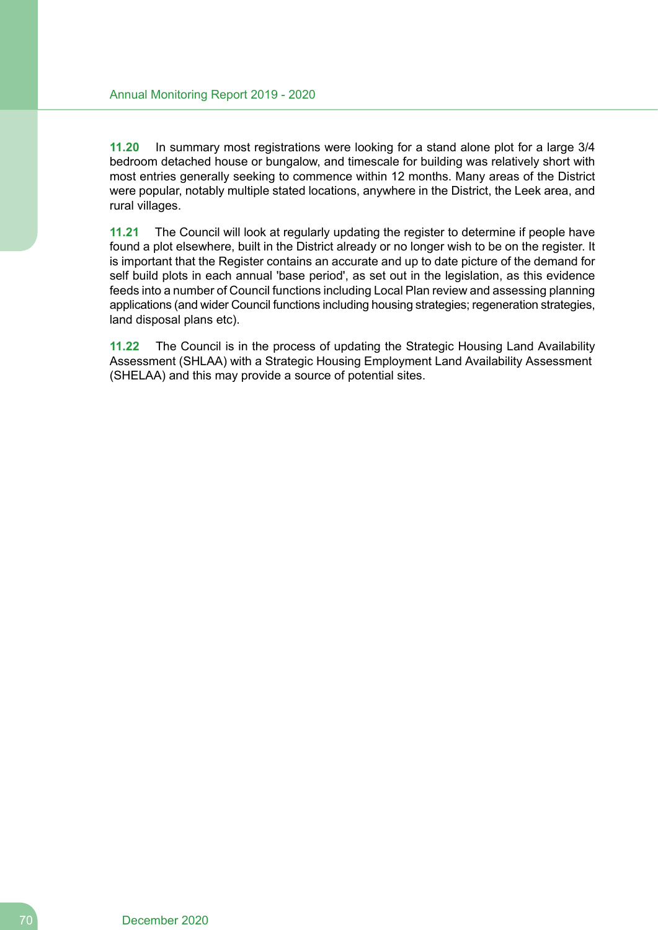**11.20** In summary most registrations were looking for a stand alone plot for a large 3/4 bedroom detached house or bungalow, and timescale for building was relatively short with most entries generally seeking to commence within 12 months. Many areas of the District were popular, notably multiple stated locations, anywhere in the District, the Leek area, and rural villages.

**11.21** The Council will look at regularly updating the register to determine if people have found a plot elsewhere, built in the District already or no longer wish to be on the register. It is important that the Register contains an accurate and up to date picture of the demand for self build plots in each annual 'base period', as set out in the legislation, as this evidence feeds into a number of Council functions including Local Plan review and assessing planning applications (and wider Council functions including housing strategies; regeneration strategies, land disposal plans etc).

**11.22** The Council is in the process of updating the Strategic Housing Land Availability Assessment (SHLAA) with a Strategic Housing Employment Land Availability Assessment (SHELAA) and this may provide a source of potential sites.